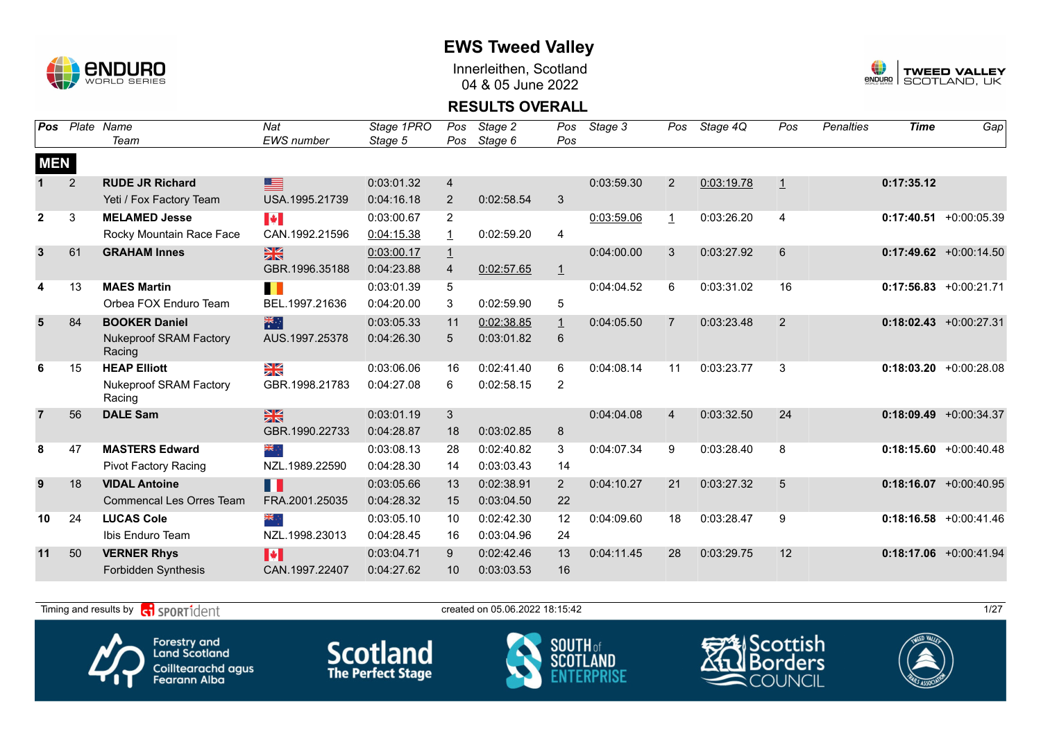

Innerleithen, Scotland 04 & 05 June 2022



#### **RESULTS OVERALL**

| Pos            |                | Plate Name                              | Nat               | Stage 1PRO | Pos            | Stage 2    | Pos            | Stage 3    | Pos            | Stage 4Q   | Pos            | <b>Penalties</b> | <b>Time</b> | Gap                       |
|----------------|----------------|-----------------------------------------|-------------------|------------|----------------|------------|----------------|------------|----------------|------------|----------------|------------------|-------------|---------------------------|
|                |                | Team                                    | <b>EWS</b> number | Stage 5    | Pos            | Stage 6    | Pos            |            |                |            |                |                  |             |                           |
| <b>MEN</b>     |                |                                         |                   |            |                |            |                |            |                |            |                |                  |             |                           |
|                | $\overline{2}$ | <b>RUDE JR Richard</b>                  | <u>sa</u>         | 0:03:01.32 | 4              |            |                | 0:03:59.30 | $\overline{2}$ | 0:03:19.78 | $\overline{1}$ |                  | 0:17:35.12  |                           |
|                |                | Yeti / Fox Factory Team                 | USA.1995.21739    | 0:04:16.18 | 2              | 0:02:58.54 | 3              |            |                |            |                |                  |             |                           |
| $\mathbf{2}$   | 3              | <b>MELAMED Jesse</b>                    | <b>IV</b>         | 0:03:00.67 | $\overline{2}$ |            |                | 0:03:59.06 | 1              | 0:03:26.20 | 4              |                  |             | $0:17:40.51 + 0:00:05.39$ |
|                |                | Rocky Mountain Race Face                | CAN.1992.21596    | 0:04:15.38 | $\mathbf{1}$   | 0:02:59.20 | 4              |            |                |            |                |                  |             |                           |
| 3              | 61             | <b>GRAHAM Innes</b>                     | $\frac{N}{N}$     | 0:03:00.17 | $\overline{1}$ |            |                | 0:04:00.00 | 3              | 0:03:27.92 | 6              |                  |             | $0:17:49.62 + 0:00:14.50$ |
|                |                |                                         | GBR.1996.35188    | 0:04:23.88 | $\overline{4}$ | 0:02:57.65 | $\mathbf{1}$   |            |                |            |                |                  |             |                           |
| 4              | 13             | <b>MAES Martin</b>                      | П                 | 0:03:01.39 | 5              |            |                | 0:04:04.52 | 6              | 0:03:31.02 | 16             |                  |             | $0:17:56.83$ +0:00:21.71  |
|                |                | Orbea FOX Enduro Team                   | BEL.1997.21636    | 0:04:20.00 | 3              | 0:02:59.90 | 5              |            |                |            |                |                  |             |                           |
| 5              | 84             | <b>BOOKER Daniel</b>                    | 米村                | 0:03:05.33 | 11             | 0:02:38.85 | $\perp$        | 0:04:05.50 | $\overline{7}$ | 0:03:23.48 | 2              |                  |             | $0:18:02.43 + 0:00:27.31$ |
|                |                | <b>Nukeproof SRAM Factory</b><br>Racing | AUS.1997.25378    | 0:04:26.30 | 5              | 0:03:01.82 | 6              |            |                |            |                |                  |             |                           |
| 6              | 15             | <b>HEAP Elliott</b>                     | ≥k                | 0:03:06.06 | 16             | 0:02:41.40 | 6              | 0:04:08.14 | 11             | 0:03:23.77 | 3              |                  |             | $0:18:03.20 + 0:00:28.08$ |
|                |                | <b>Nukeproof SRAM Factory</b><br>Racing | GBR.1998.21783    | 0:04:27.08 | 6              | 0:02:58.15 | 2              |            |                |            |                |                  |             |                           |
| $\overline{7}$ | 56             | <b>DALE Sam</b>                         | $\frac{N}{N}$     | 0:03:01.19 | 3              |            |                | 0:04:04.08 | $\overline{4}$ | 0:03:32.50 | 24             |                  |             | $0:18:09.49 + 0:00:34.37$ |
|                |                |                                         | GBR.1990.22733    | 0:04:28.87 | 18             | 0:03:02.85 | 8              |            |                |            |                |                  |             |                           |
| 8              | 47             | <b>MASTERS Edward</b>                   | ं और              | 0:03:08.13 | 28             | 0:02:40.82 | 3              | 0:04:07.34 | 9              | 0:03:28.40 | 8              |                  |             | $0:18:15.60 + 0:00:40.48$ |
|                |                | Pivot Factory Racing                    | NZL.1989.22590    | 0:04:28.30 | 14             | 0:03:03.43 | 14             |            |                |            |                |                  |             |                           |
| 9              | 18             | <b>VIDAL Antoine</b>                    | H                 | 0:03:05.66 | 13             | 0:02:38.91 | $\overline{2}$ | 0:04:10.27 | 21             | 0:03:27.32 | 5              |                  |             | $0:18:16.07 + 0:00:40.95$ |
|                |                | <b>Commencal Les Orres Team</b>         | FRA.2001.25035    | 0:04:28.32 | 15             | 0:03:04.50 | 22             |            |                |            |                |                  |             |                           |
| 10             | 24             | <b>LUCAS Cole</b>                       | ÷, ak             | 0:03:05.10 | 10             | 0:02:42.30 | $12 \,$        | 0:04:09.60 | 18             | 0:03:28.47 | 9              |                  |             | $0:18:16.58$ +0:00:41.46  |
|                |                | Ibis Enduro Team                        | NZL.1998.23013    | 0:04:28.45 | 16             | 0:03:04.96 | 24             |            |                |            |                |                  |             |                           |
| 11             | 50             | <b>VERNER Rhys</b>                      | <b>I</b> *        | 0:03:04.71 | 9              | 0:02:42.46 | 13             | 0:04:11.45 | 28             | 0:03:29.75 | 12             |                  |             | $0:18:17.06$ +0:00:41.94  |
|                |                | Forbidden Synthesis                     | CAN.1997.22407    | 0:04:27.62 | 10             | 0:03:03.53 | 16             |            |                |            |                |                  |             |                           |

Timing and results by  $\overline{c_1}$  SPORT1 $\overline{1}$  dent to the created on 05.06.2022 18:15:42







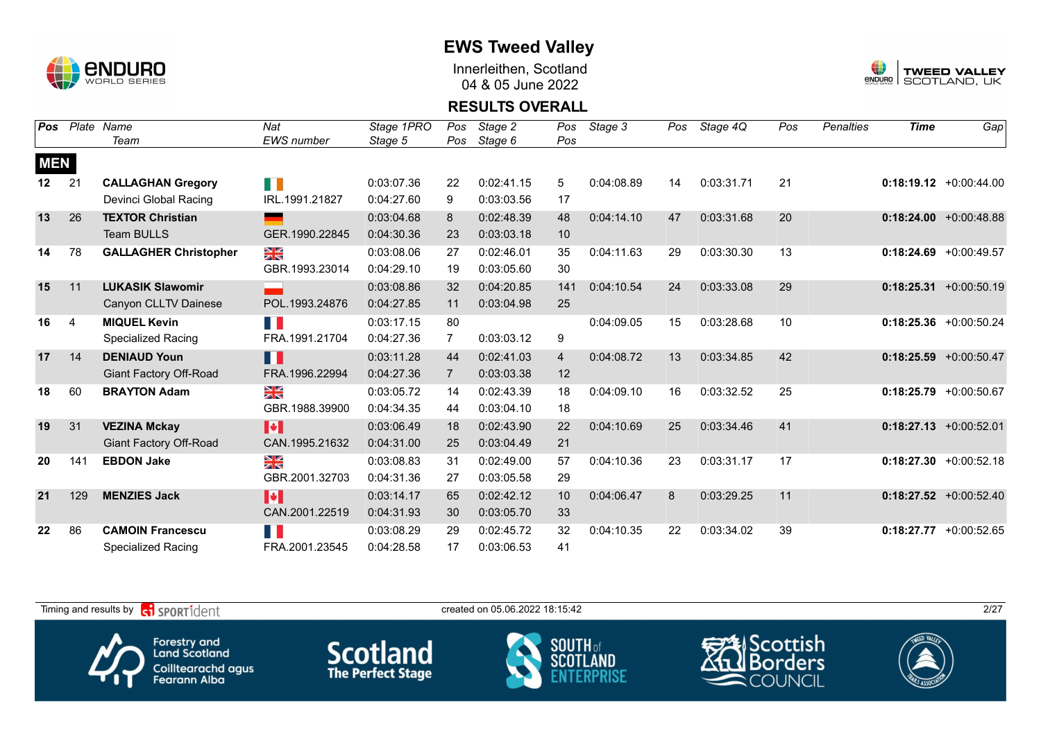

Innerleithen, Scotland 04 & 05 June 2022



#### **RESULTS OVERALL**

| <b>Pos</b>      | Plate          | Name                          | Nat                   | Stage 1PRO | Pos            | Stage 2    | Pos            | Stage 3    | Pos | Stage 4Q   | Pos | <b>Penalties</b> | <b>Time</b> | Gap                       |
|-----------------|----------------|-------------------------------|-----------------------|------------|----------------|------------|----------------|------------|-----|------------|-----|------------------|-------------|---------------------------|
|                 |                | Team                          | <b>EWS</b> number     | Stage 5    | Pos            | Stage 6    | Pos            |            |     |            |     |                  |             |                           |
| <b>MEN</b>      |                |                               |                       |            |                |            |                |            |     |            |     |                  |             |                           |
| 12 <sub>2</sub> | 21             | <b>CALLAGHAN Gregory</b>      | H II                  | 0:03:07.36 | 22             | 0:02:41.15 | 5              | 0:04:08.89 | 14  | 0:03:31.71 | 21  |                  |             | $0:18:19.12$ +0:00:44.00  |
|                 |                | Devinci Global Racing         | IRL.1991.21827        | 0:04:27.60 | 9              | 0:03:03.56 | 17             |            |     |            |     |                  |             |                           |
| 13              | 26             | <b>TEXTOR Christian</b>       | <u>e anno 1989.</u>   | 0:03:04.68 | 8              | 0:02:48.39 | 48             | 0:04:14.10 | 47  | 0:03:31.68 | 20  |                  |             | $0:18:24.00 + 0:00:48.88$ |
|                 |                | Team BULLS                    | GER.1990.22845        | 0:04:30.36 | 23             | 0:03:03.18 | 10             |            |     |            |     |                  |             |                           |
| 14              | 78             | <b>GALLAGHER Christopher</b>  | N<br>X                | 0:03:08.06 | 27             | 0:02:46.01 | 35             | 0:04:11.63 | 29  | 0:03:30.30 | 13  |                  | 0:18:24.69  | $+0:00:49.57$             |
|                 |                |                               | GBR.1993.23014        | 0:04:29.10 | 19             | 0:03:05.60 | 30             |            |     |            |     |                  |             |                           |
| 15              | 11             | <b>LUKASIK Slawomir</b>       |                       | 0:03:08.86 | 32             | 0:04:20.85 | 141            | 0:04:10.54 | 24  | 0:03:33.08 | 29  |                  |             | $0:18:25.31 + 0:00:50.19$ |
|                 |                | Canyon CLLTV Dainese          | POL.1993.24876        | 0:04:27.85 | 11             | 0:03:04.98 | 25             |            |     |            |     |                  |             |                           |
| 16              | $\overline{4}$ | <b>MIQUEL Kevin</b>           | n ji                  | 0:03:17.15 | 80             |            |                | 0:04:09.05 | 15  | 0:03:28.68 | 10  |                  |             | $0:18:25.36$ +0:00:50.24  |
|                 |                | <b>Specialized Racing</b>     | FRA.1991.21704        | 0:04:27.36 | $\mathbf{7}$   | 0:03:03.12 | 9              |            |     |            |     |                  |             |                           |
| 17              | 14             | <b>DENIAUD Youn</b>           | H                     | 0:03:11.28 | 44             | 0:02:41.03 | $\overline{4}$ | 0:04:08.72 | 13  | 0:03:34.85 | 42  |                  |             | $0:18:25.59$ +0:00:50.47  |
|                 |                | Giant Factory Off-Road        | FRA.1996.22994        | 0:04:27.36 | $\overline{7}$ | 0:03:03.38 | 12             |            |     |            |     |                  |             |                           |
| 18              | 60             | <b>BRAYTON Adam</b>           | ≥k                    | 0:03:05.72 | 14             | 0:02:43.39 | 18             | 0:04:09.10 | 16  | 0:03:32.52 | 25  |                  |             | $0:18:25.79$ +0:00:50.67  |
|                 |                |                               | GBR.1988.39900        | 0:04:34.35 | 44             | 0:03:04.10 | 18             |            |     |            |     |                  |             |                           |
| 19              | 31             | <b>VEZINA Mckay</b>           | H                     | 0:03:06.49 | 18             | 0:02:43.90 | 22             | 0:04:10.69 | 25  | 0:03:34.46 | 41  |                  |             | $0:18:27.13 + 0:00:52.01$ |
|                 |                | <b>Giant Factory Off-Road</b> | CAN.1995.21632        | 0:04:31.00 | 25             | 0:03:04.49 | 21             |            |     |            |     |                  |             |                           |
| 20              | 141            | <b>EBDON Jake</b>             | ≥k                    | 0:03:08.83 | 31             | 0:02:49.00 | 57             | 0:04:10.36 | 23  | 0:03:31.17 | 17  |                  |             | $0:18:27.30 +0:00:52.18$  |
|                 |                |                               | GBR.2001.32703        | 0:04:31.36 | 27             | 0:03:05.58 | 29             |            |     |            |     |                  |             |                           |
| 21              | 129            | <b>MENZIES Jack</b>           | $\blacktriangleright$ | 0:03:14.17 | 65             | 0:02:42.12 | 10             | 0:04:06.47 | 8   | 0:03:29.25 | 11  |                  |             | $0:18:27.52$ +0:00:52.40  |
|                 |                |                               | CAN.2001.22519        | 0:04:31.93 | 30             | 0:03:05.70 | 33             |            |     |            |     |                  |             |                           |
| 22              | 86             | <b>CAMOIN Francescu</b>       | F.                    | 0:03:08.29 | 29             | 0:02:45.72 | 32             | 0:04:10.35 | 22  | 0:03:34.02 | 39  |                  | 0:18:27.77  | $+0:00:52.65$             |
|                 |                | <b>Specialized Racing</b>     | FRA.2001.23545        | 0:04:28.58 | 17             | 0:03:06.53 | 41             |            |     |            |     |                  |             |                           |

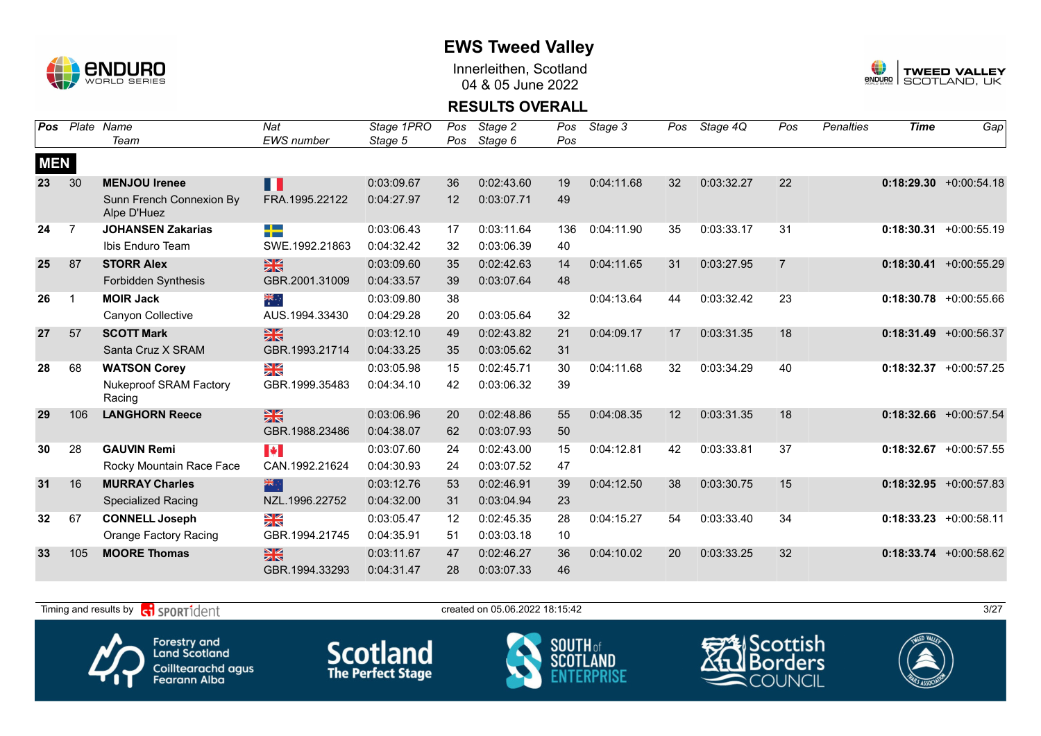

Innerleithen, Scotland 04 & 05 June 2022



### **RESULTS OVERALL**

| Pos        | Plate          | Name                                    | Nat                   | Stage 1PRO | Pos | Stage 2    | Pos | Stage 3    | Pos | Stage 4Q   | Pos            | Penalties | <b>Time</b> | Gap                       |
|------------|----------------|-----------------------------------------|-----------------------|------------|-----|------------|-----|------------|-----|------------|----------------|-----------|-------------|---------------------------|
|            |                | Team                                    | <b>EWS</b> number     | Stage 5    | Pos | Stage 6    | Pos |            |     |            |                |           |             |                           |
| <b>MEN</b> |                |                                         |                       |            |     |            |     |            |     |            |                |           |             |                           |
| 23         | 30             | <b>MENJOU Irenee</b>                    | Ш                     | 0:03:09.67 | 36  | 0:02:43.60 | 19  | 0:04:11.68 | 32  | 0:03:32.27 | 22             |           |             | $0:18:29.30 + 0:00:54.18$ |
|            |                | Sunn French Connexion By<br>Alpe D'Huez | FRA.1995.22122        | 0:04:27.97 | 12  | 0:03:07.71 | 49  |            |     |            |                |           |             |                           |
| 24         | $\overline{7}$ | <b>JOHANSEN Zakarias</b>                | <u> Die Bes</u><br>-- | 0:03:06.43 | 17  | 0:03:11.64 | 136 | 0:04:11.90 | 35  | 0:03:33.17 | 31             |           |             | $0:18:30.31 + 0:00:55.19$ |
|            |                | Ibis Enduro Team                        | SWE.1992.21863        | 0:04:32.42 | 32  | 0:03:06.39 | 40  |            |     |            |                |           |             |                           |
| 25         | 87             | <b>STORR Alex</b>                       | $rac{N}{2}$           | 0:03:09.60 | 35  | 0:02:42.63 | 14  | 0:04:11.65 | 31  | 0:03:27.95 | $\overline{7}$ |           |             | $0:18:30.41 + 0:00:55.29$ |
|            |                | Forbidden Synthesis                     | GBR.2001.31009        | 0:04:33.57 | 39  | 0:03:07.64 | 48  |            |     |            |                |           |             |                           |
| 26         |                | <b>MOIR Jack</b>                        | ैं                    | 0:03:09.80 | 38  |            |     | 0:04:13.64 | 44  | 0:03:32.42 | 23             |           |             | $0:18:30.78$ +0:00:55.66  |
|            |                | Canyon Collective                       | AUS.1994.33430        | 0:04:29.28 | 20  | 0:03:05.64 | 32  |            |     |            |                |           |             |                           |
| 27         | 57             | <b>SCOTT Mark</b>                       | $\frac{28}{25}$       | 0:03:12.10 | 49  | 0:02:43.82 | 21  | 0:04:09.17 | 17  | 0:03:31.35 | 18             |           |             | $0:18:31.49 + 0:00:56.37$ |
|            |                | Santa Cruz X SRAM                       | GBR.1993.21714        | 0:04:33.25 | 35  | 0:03:05.62 | 31  |            |     |            |                |           |             |                           |
| 28         | 68             | <b>WATSON Corey</b>                     | ≥k                    | 0:03:05.98 | 15  | 0:02:45.71 | 30  | 0:04:11.68 | 32  | 0:03:34.29 | 40             |           |             | $0:18:32.37 + 0:00:57.25$ |
|            |                | <b>Nukeproof SRAM Factory</b><br>Racing | GBR.1999.35483        | 0:04:34.10 | 42  | 0:03:06.32 | 39  |            |     |            |                |           |             |                           |
| 29         | 106            | <b>LANGHORN Reece</b>                   | $\frac{2}{3}$         | 0:03:06.96 | 20  | 0:02:48.86 | 55  | 0:04:08.35 | 12  | 0:03:31.35 | 18             |           |             | $0:18:32.66$ +0:00:57.54  |
|            |                |                                         | GBR.1988.23486        | 0:04:38.07 | 62  | 0:03:07.93 | 50  |            |     |            |                |           |             |                           |
| 30         | 28             | <b>GAUVIN Remi</b>                      | <b>A</b>              | 0:03:07.60 | 24  | 0:02:43.00 | 15  | 0:04:12.81 | 42  | 0:03:33.81 | 37             |           |             | $0:18:32.67$ +0:00:57.55  |
|            |                | Rocky Mountain Race Face                | CAN.1992.21624        | 0:04:30.93 | 24  | 0:03:07.52 | 47  |            |     |            |                |           |             |                           |
| 31         | 16             | <b>MURRAY Charles</b>                   | 米                     | 0:03:12.76 | 53  | 0:02:46.91 | 39  | 0:04:12.50 | 38  | 0:03:30.75 | 15             |           |             | $0:18:32.95 +0:00:57.83$  |
|            |                | <b>Specialized Racing</b>               | NZL.1996.22752        | 0:04:32.00 | 31  | 0:03:04.94 | 23  |            |     |            |                |           |             |                           |
| 32         | 67             | <b>CONNELL Joseph</b>                   | ¥≼                    | 0:03:05.47 | 12  | 0:02:45.35 | 28  | 0:04:15.27 | 54  | 0:03:33.40 | 34             |           |             | $0:18:33.23 + 0:00:58.11$ |
|            |                | <b>Orange Factory Racing</b>            | GBR.1994.21745        | 0:04:35.91 | 51  | 0:03:03.18 | 10  |            |     |            |                |           |             |                           |
| 33         | 105            | <b>MOORE Thomas</b>                     | $\frac{N}{N}$         | 0:03:11.67 | 47  | 0:02:46.27 | 36  | 0:04:10.02 | 20  | 0:03:33.25 | 32             |           |             | $0:18:33.74$ +0:00:58.62  |
|            |                |                                         | GBR.1994.33293        | 0:04:31.47 | 28  | 0:03:07.33 | 46  |            |     |            |                |           |             |                           |

Timing and results by  $\overline{c_1}$  SPORT1 $\overline{d}$  entropy and the created on 05.06.2022 18:15:42







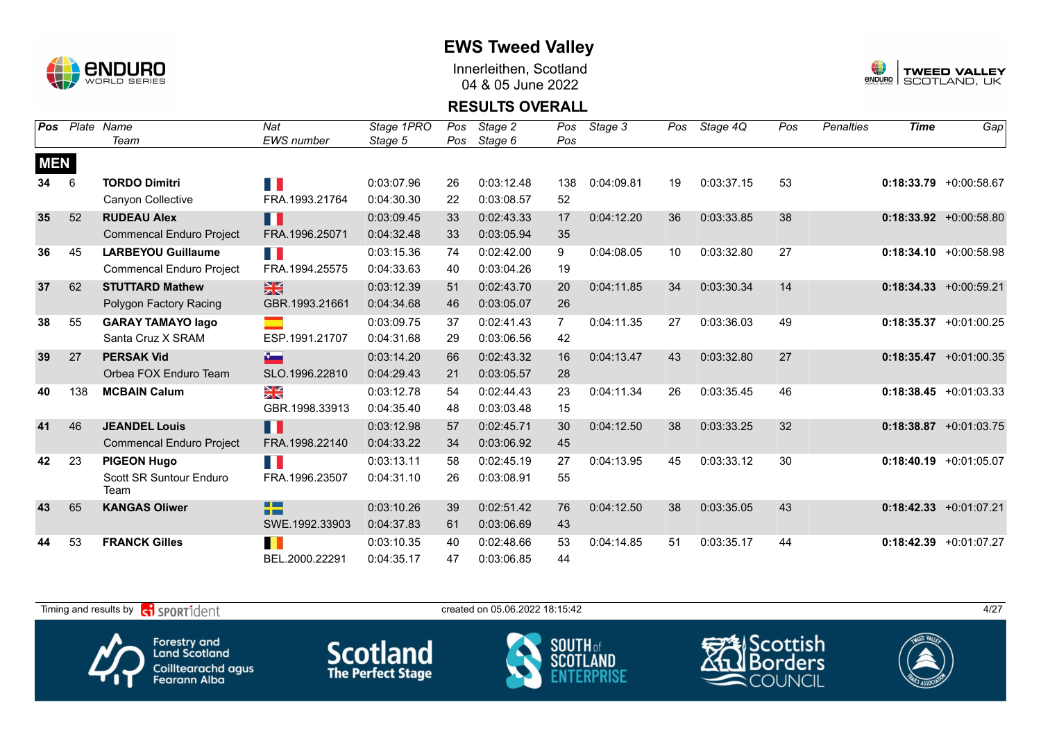

Innerleithen, Scotland 04 & 05 June 2022



#### **RESULTS OVERALL**

| Pos        | Plate | Name                            | Nat                            | Stage 1PRO | Pos | Stage 2    | Pos | Stage 3    | Pos | Stage 4Q   | Pos | <b>Penalties</b> | <b>Time</b> | Gap                       |
|------------|-------|---------------------------------|--------------------------------|------------|-----|------------|-----|------------|-----|------------|-----|------------------|-------------|---------------------------|
|            |       | Team                            | EWS number                     | Stage 5    | Pos | Stage 6    | Pos |            |     |            |     |                  |             |                           |
| <b>MEN</b> |       |                                 |                                |            |     |            |     |            |     |            |     |                  |             |                           |
| 34         | 6     | <b>TORDO Dimitri</b>            | H.                             | 0:03:07.96 | 26  | 0:03:12.48 | 138 | 0:04:09.81 | 19  | 0:03:37.15 | 53  |                  |             | $0:18:33.79$ +0:00:58.67  |
|            |       | Canyon Collective               | FRA.1993.21764                 | 0:04:30.30 | 22  | 0:03:08.57 | 52  |            |     |            |     |                  |             |                           |
| 35         | 52    | <b>RUDEAU Alex</b>              | H.                             | 0:03:09.45 | 33  | 0:02:43.33 | 17  | 0:04:12.20 | 36  | 0:03:33.85 | 38  |                  |             | $0:18:33.92 +0:00:58.80$  |
|            |       | <b>Commencal Enduro Project</b> | FRA.1996.25071                 | 0:04:32.48 | 33  | 0:03:05.94 | 35  |            |     |            |     |                  |             |                           |
| 36         | 45    | <b>LARBEYOU Guillaume</b>       | n ji                           | 0:03:15.36 | 74  | 0:02:42.00 | 9   | 0:04:08.05 | 10  | 0:03:32.80 | 27  |                  |             | $0:18:34.10 + 0:00:58.98$ |
|            |       | <b>Commencal Enduro Project</b> | FRA.1994.25575                 | 0:04:33.63 | 40  | 0:03:04.26 | 19  |            |     |            |     |                  |             |                           |
| 37         | 62    | <b>STUTTARD Mathew</b>          | $\frac{28}{28}$                | 0:03:12.39 | 51  | 0:02:43.70 | 20  | 0:04:11.85 | 34  | 0:03:30.34 | 14  |                  |             | $0:18:34.33 + 0:00:59.21$ |
|            |       | Polygon Factory Racing          | GBR.1993.21661                 | 0:04:34.68 | 46  | 0:03:05.07 | 26  |            |     |            |     |                  |             |                           |
| 38         | 55    | <b>GARAY TAMAYO lago</b>        |                                | 0:03:09.75 | 37  | 0:02:41.43 | 7   | 0:04:11.35 | 27  | 0:03:36.03 | 49  |                  |             | $0:18:35.37$ +0:01:00.25  |
|            |       | Santa Cruz X SRAM               | ESP.1991.21707                 | 0:04:31.68 | 29  | 0:03:06.56 | 42  |            |     |            |     |                  |             |                           |
| 39         | 27    | <b>PERSAK Vid</b>               | $\mathbf{r}$                   | 0:03:14.20 | 66  | 0:02:43.32 | 16  | 0:04:13.47 | 43  | 0:03:32.80 | 27  |                  |             | $0:18:35.47 +0:01:00.35$  |
|            |       | Orbea FOX Enduro Team           | SLO.1996.22810                 | 0:04:29.43 | 21  | 0:03:05.57 | 28  |            |     |            |     |                  |             |                           |
| 40         | 138   | <b>MCBAIN Calum</b>             | $\frac{\sum x}{\sum x}$        | 0:03:12.78 | 54  | 0:02:44.43 | 23  | 0:04:11.34 | 26  | 0:03:35.45 | 46  |                  |             | $0:18:38.45 + 0:01:03.33$ |
|            |       |                                 | GBR.1998.33913                 | 0:04:35.40 | 48  | 0:03:03.48 | 15  |            |     |            |     |                  |             |                           |
| 41         | 46    | <b>JEANDEL Louis</b>            | n K                            | 0:03:12.98 | 57  | 0:02:45.71 | 30  | 0:04:12.50 | 38  | 0:03:33.25 | 32  |                  |             | $0:18:38.87$ +0:01:03.75  |
|            |       | <b>Commencal Enduro Project</b> | FRA.1998.22140                 | 0:04:33.22 | 34  | 0:03:06.92 | 45  |            |     |            |     |                  |             |                           |
| 42         | 23    | <b>PIGEON Hugo</b>              | H.                             | 0:03:13.11 | 58  | 0:02:45.19 | 27  | 0:04:13.95 | 45  | 0:03:33.12 | 30  |                  |             | $0:18:40.19$ +0:01:05.07  |
|            |       | Scott SR Suntour Enduro<br>Team | FRA.1996.23507                 | 0:04:31.10 | 26  | 0:03:08.91 | 55  |            |     |            |     |                  |             |                           |
| 43         | 65    | <b>KANGAS Oliwer</b>            | <b>The State</b><br><b>THE</b> | 0:03:10.26 | 39  | 0:02:51.42 | 76  | 0:04:12.50 | 38  | 0:03:35.05 | 43  |                  |             | $0:18:42.33 + 0:01:07.21$ |
|            |       |                                 | SWE.1992.33903                 | 0:04:37.83 | 61  | 0:03:06.69 | 43  |            |     |            |     |                  |             |                           |
| 44         | 53    | <b>FRANCK Gilles</b>            |                                | 0:03:10.35 | 40  | 0:02:48.66 | 53  | 0:04:14.85 | 51  | 0:03:35.17 | 44  |                  |             | $0:18:42.39 + 0:01:07.27$ |
|            |       |                                 | BEL.2000.22291                 | 0:04:35.17 | 47  | 0:03:06.85 | 44  |            |     |            |     |                  |             |                           |

Timing and results by  $\overline{c_1}$  SPORT1 $\overline{d}$  entropy created on 05.06.2022 18:15:42 4/27 Scottish Forestry and<br>Land Scotland **Scotland SOUTH** of orders SCOT Coilltearachd agus<br>Fearann Alba COUNCIL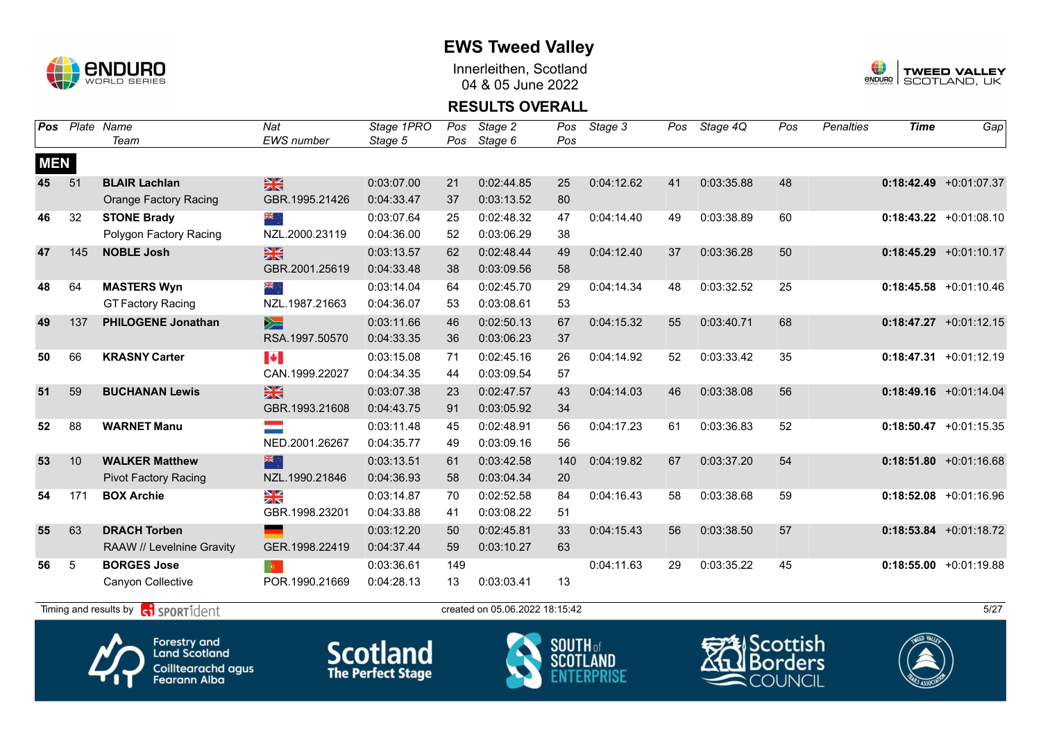

Innerleithen, Scotland 04 & 05 June 2022



#### **RESULTS OVERALL**

| $0:18:42.49$ +0:01:07.37<br>$0:18:43.22 +0:01:08.10$<br>$0:18:45.29 +0:01:10.17$<br>$0:18:45.58 + 0:01:10.46$ |
|---------------------------------------------------------------------------------------------------------------|
|                                                                                                               |
|                                                                                                               |
|                                                                                                               |
|                                                                                                               |
|                                                                                                               |
|                                                                                                               |
|                                                                                                               |
|                                                                                                               |
|                                                                                                               |
|                                                                                                               |
| $0:18:47.27 +0:01:12.15$                                                                                      |
|                                                                                                               |
| $0:18:47.31 + 0:01:12.19$                                                                                     |
|                                                                                                               |
| $0:18:49.16$ +0:01:14.04                                                                                      |
|                                                                                                               |
| $0:18:50.47$ +0:01:15.35                                                                                      |
|                                                                                                               |
| $0:18:51.80 + 0:01:16.68$                                                                                     |
|                                                                                                               |
| $0:18:52.08$ +0:01:16.96                                                                                      |
|                                                                                                               |
| $0:18:53.84 + 0:01:18.72$                                                                                     |
|                                                                                                               |
| $0:18:55.00 + 0:01:19.88$                                                                                     |
|                                                                                                               |
|                                                                                                               |

Timing and results by  $\overline{c_1}$  SPORT1 $\overline{d}$  entropy of the stated on 05.06.2022 18:15:42









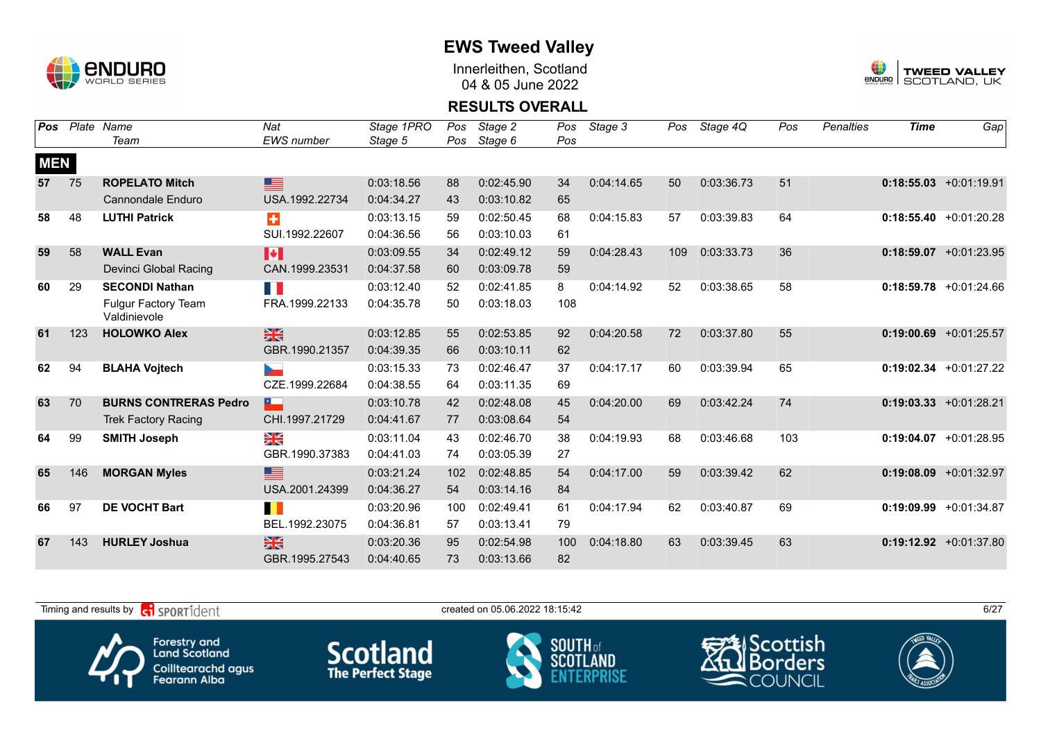

Innerleithen, Scotland 04 & 05 June 2022



#### **RESULTS OVERALL**

| <b>Pos</b> | Plate | Name                                       | Nat                     | Stage 1PRO | Pos | Stage 2    | Pos | Stage 3    | Pos | Stage 4Q   | Pos | <b>Penalties</b> | <b>Time</b> | Gap                       |
|------------|-------|--------------------------------------------|-------------------------|------------|-----|------------|-----|------------|-----|------------|-----|------------------|-------------|---------------------------|
|            |       | Team                                       | <b>EWS</b> number       | Stage 5    | Pos | Stage 6    | Pos |            |     |            |     |                  |             |                           |
| <b>MEN</b> |       |                                            |                         |            |     |            |     |            |     |            |     |                  |             |                           |
| 57         | 75    | <b>ROPELATO Mitch</b>                      | ⊑                       | 0:03:18.56 | 88  | 0:02:45.90 | 34  | 0:04:14.65 | 50  | 0:03:36.73 | 51  |                  |             | $0:18:55.03 +0:01:19.91$  |
|            |       | <b>Cannondale Enduro</b>                   | USA.1992.22734          | 0:04:34.27 | 43  | 0:03:10.82 | 65  |            |     |            |     |                  |             |                           |
| 58         | 48    | <b>LUTHI Patrick</b>                       | $\ddot{}$               | 0:03:13.15 | 59  | 0:02:50.45 | 68  | 0:04:15.83 | 57  | 0:03:39.83 | 64  |                  |             | $0:18:55.40 +0:01:20.28$  |
|            |       |                                            | SUI.1992.22607          | 0:04:36.56 | 56  | 0:03:10.03 | 61  |            |     |            |     |                  |             |                           |
| 59         | 58    | <b>WALL Evan</b>                           | $\blacktriangleright$   | 0:03:09.55 | 34  | 0:02:49.12 | 59  | 0:04:28.43 | 109 | 0:03:33.73 | 36  |                  |             | $0:18:59.07$ +0:01:23.95  |
|            |       | Devinci Global Racing                      | CAN.1999.23531          | 0:04:37.58 | 60  | 0:03:09.78 | 59  |            |     |            |     |                  |             |                           |
| 60         | 29    | <b>SECONDI Nathan</b>                      | $\mathbb{R}^n$          | 0:03:12.40 | 52  | 0:02:41.85 | 8   | 0:04:14.92 | 52  | 0:03:38.65 | 58  |                  | 0:18:59.78  | $+0:01:24.66$             |
|            |       | <b>Fulgur Factory Team</b><br>Valdinievole | FRA.1999.22133          | 0:04:35.78 | 50  | 0:03:18.03 | 108 |            |     |            |     |                  |             |                           |
| 61         | 123   | <b>HOLOWKO Alex</b>                        | $\frac{N}{N}$           | 0:03:12.85 | 55  | 0:02:53.85 | 92  | 0:04:20.58 | 72  | 0:03:37.80 | 55  |                  |             | $0:19:00.69$ +0:01:25.57  |
|            |       |                                            | GBR.1990.21357          | 0:04:39.35 | 66  | 0:03:10.11 | 62  |            |     |            |     |                  |             |                           |
| 62         | 94    | <b>BLAHA Vojtech</b>                       | $\mathbf{r}$            | 0:03:15.33 | 73  | 0:02:46.47 | 37  | 0:04:17.17 | 60  | 0:03:39.94 | 65  |                  |             | $0:19:02.34$ +0:01:27.22  |
|            |       |                                            | CZE.1999.22684          | 0:04:38.55 | 64  | 0:03:11.35 | 69  |            |     |            |     |                  |             |                           |
| 63         | 70    | <b>BURNS CONTRERAS Pedro</b>               | ×.                      | 0:03:10.78 | 42  | 0:02:48.08 | 45  | 0:04:20.00 | 69  | 0:03:42.24 | 74  |                  |             | $0:19:03.33 +0:01:28.21$  |
|            |       | <b>Trek Factory Racing</b>                 | CHI.1997.21729          | 0:04:41.67 | 77  | 0:03:08.64 | 54  |            |     |            |     |                  |             |                           |
| 64         | 99    | <b>SMITH Joseph</b>                        | $\frac{\sum x}{\sum x}$ | 0:03:11.04 | 43  | 0:02:46.70 | 38  | 0:04:19.93 | 68  | 0:03:46.68 | 103 |                  |             | $0:19:04.07$ +0:01:28.95  |
|            |       |                                            | GBR.1990.37383          | 0:04:41.03 | 74  | 0:03:05.39 | 27  |            |     |            |     |                  |             |                           |
| 65         | 146   | <b>MORGAN Myles</b>                        | ▇                       | 0:03:21.24 | 102 | 0:02:48.85 | 54  | 0:04:17.00 | 59  | 0:03:39.42 | 62  |                  |             | $0:19:08.09$ +0:01:32.97  |
|            |       |                                            | USA.2001.24399          | 0:04:36.27 | 54  | 0:03:14.16 | 84  |            |     |            |     |                  |             |                           |
| 66         | 97    | <b>DE VOCHT Bart</b>                       | П                       | 0:03:20.96 | 100 | 0:02:49.41 | 61  | 0:04:17.94 | 62  | 0:03:40.87 | 69  |                  |             | $0:19:09.99 + 0:01:34.87$ |
|            |       |                                            | BEL.1992.23075          | 0:04:36.81 | 57  | 0:03:13.41 | 79  |            |     |            |     |                  |             |                           |
| 67         | 143   | <b>HURLEY Joshua</b>                       | $\frac{N}{N}$           | 0:03:20.36 | 95  | 0:02:54.98 | 100 | 0:04:18.80 | 63  | 0:03:39.45 | 63  |                  |             | $0:19:12.92 +0:01:37.80$  |
|            |       |                                            | GBR.1995.27543          | 0:04:40.65 | 73  | 0:03:13.66 | 82  |            |     |            |     |                  |             |                           |

Timing and results by  $\overline{c_1}$  SPORT1 $\overline{1}$  dent to the created on 05.06.2022 18:15:42 6/27 Scottish Forestry and<br>Land Scotland **Scotland SOUTH** of sco orders Coilltearachd agus<br>Fearann Alba COUNCIL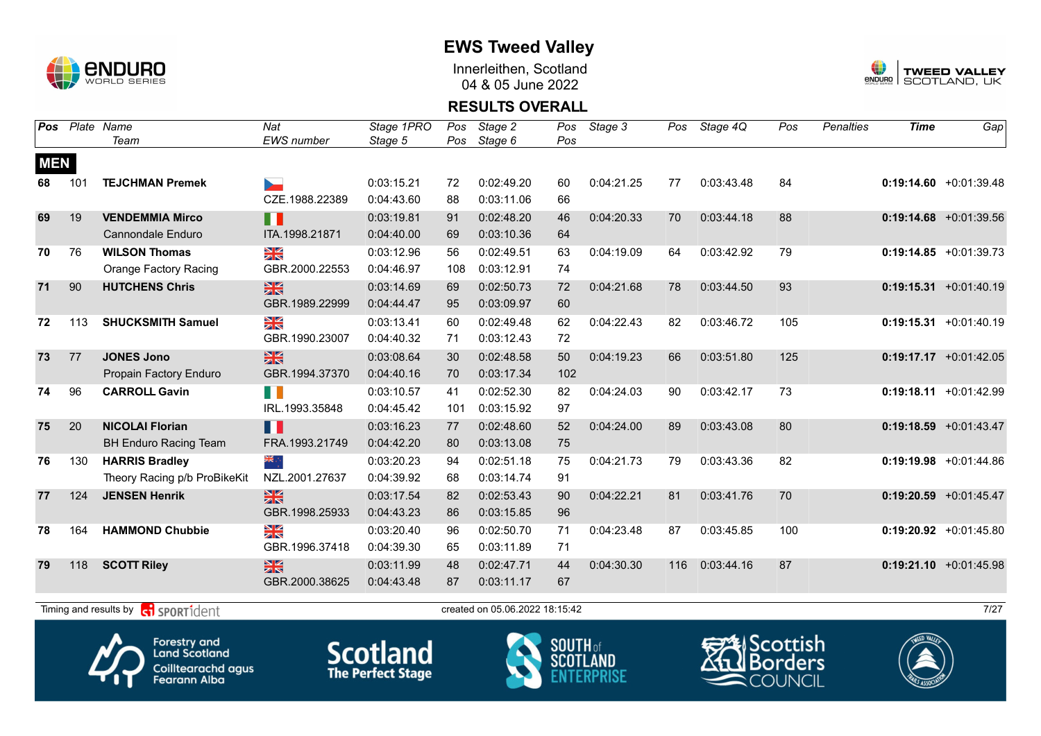

Innerleithen, Scotland 04 & 05 June 2022



#### **RESULTS OVERALL**

| Pos        | Plate | Name                         | Nat                     | Stage 1PRO | Pos | Stage 2    | Pos | Stage 3    | Pos | Stage 4Q   | Pos | <b>Penalties</b> | <b>Time</b> | Gap                       |
|------------|-------|------------------------------|-------------------------|------------|-----|------------|-----|------------|-----|------------|-----|------------------|-------------|---------------------------|
|            |       | Team                         | EWS number              | Stage 5    | Pos | Stage 6    | Pos |            |     |            |     |                  |             |                           |
| <b>MEN</b> |       |                              |                         |            |     |            |     |            |     |            |     |                  |             |                           |
| 68         | 101   | <b>TEJCHMAN Premek</b>       | ►                       | 0:03:15.21 | 72  | 0:02:49.20 | 60  | 0:04:21.25 | 77  | 0:03:43.48 | 84  |                  |             | $0:19:14.60 + 0:01:39.48$ |
|            |       |                              | CZE.1988.22389          | 0:04:43.60 | 88  | 0:03:11.06 | 66  |            |     |            |     |                  |             |                           |
| 69         | 19    | <b>VENDEMMIA Mirco</b>       | H                       | 0:03:19.81 | 91  | 0:02:48.20 | 46  | 0:04:20.33 | 70  | 0:03:44.18 | 88  |                  |             | $0:19:14.68$ +0:01:39.56  |
|            |       | <b>Cannondale Enduro</b>     | ITA.1998.21871          | 0:04:40.00 | 69  | 0:03:10.36 | 64  |            |     |            |     |                  |             |                           |
| 70         | 76    | <b>WILSON Thomas</b>         | $\frac{\sum x}{\sum x}$ | 0:03:12.96 | 56  | 0:02:49.51 | 63  | 0:04:19.09 | 64  | 0:03:42.92 | 79  |                  |             | $0:19:14.85 + 0:01:39.73$ |
|            |       | <b>Orange Factory Racing</b> | GBR.2000.22553          | 0:04:46.97 | 108 | 0:03:12.91 | 74  |            |     |            |     |                  |             |                           |
| 71         | 90    | <b>HUTCHENS Chris</b>        | $\frac{N}{N}$           | 0:03:14.69 | 69  | 0:02:50.73 | 72  | 0:04:21.68 | 78  | 0:03:44.50 | 93  |                  |             | $0:19:15.31 + 0:01:40.19$ |
|            |       |                              | GBR.1989.22999          | 0:04:44.47 | 95  | 0:03:09.97 | 60  |            |     |            |     |                  |             |                           |
| 72         | 113   | <b>SHUCKSMITH Samuel</b>     | XX                      | 0:03:13.41 | 60  | 0:02:49.48 | 62  | 0:04:22.43 | 82  | 0:03:46.72 | 105 |                  |             | $0:19:15.31 + 0:01:40.19$ |
|            |       |                              | GBR.1990.23007          | 0:04:40.32 | 71  | 0:03:12.43 | 72  |            |     |            |     |                  |             |                           |
| 73         | 77    | <b>JONES Jono</b>            | $\frac{N}{N}$           | 0:03:08.64 | 30  | 0:02:48.58 | 50  | 0:04:19.23 | 66  | 0:03:51.80 | 125 |                  |             | $0:19:17.17 + 0:01:42.05$ |
|            |       | Propain Factory Enduro       | GBR.1994.37370          | 0:04:40.16 | 70  | 0:03:17.34 | 102 |            |     |            |     |                  |             |                           |
| 74         | 96    | <b>CARROLL Gavin</b>         | H N                     | 0:03:10.57 | 41  | 0:02:52.30 | 82  | 0:04:24.03 | 90  | 0:03:42.17 | 73  |                  |             | $0:19:18.11 + 0:01:42.99$ |
|            |       |                              | IRL.1993.35848          | 0:04:45.42 | 101 | 0:03:15.92 | 97  |            |     |            |     |                  |             |                           |
| 75         | 20    | <b>NICOLAI Florian</b>       | H                       | 0:03:16.23 | 77  | 0:02:48.60 | 52  | 0:04:24.00 | 89  | 0:03:43.08 | 80  |                  |             | $0:19:18.59 + 0:01:43.47$ |
|            |       | <b>BH Enduro Racing Team</b> | FRA.1993.21749          | 0:04:42.20 | 80  | 0:03:13.08 | 75  |            |     |            |     |                  |             |                           |
| 76         | 130   | <b>HARRIS Bradley</b>        | ्रेल                    | 0:03:20.23 | 94  | 0:02:51.18 | 75  | 0:04:21.73 | 79  | 0:03:43.36 | 82  |                  |             | $0:19:19.98$ +0:01:44.86  |
|            |       | Theory Racing p/b ProBikeKit | NZL.2001.27637          | 0:04:39.92 | 68  | 0:03:14.74 | 91  |            |     |            |     |                  |             |                           |
| 77         | 124   | <b>JENSEN Henrik</b>         | $\frac{N}{N}$           | 0:03:17.54 | 82  | 0:02:53.43 | 90  | 0:04:22.21 | 81  | 0:03:41.76 | 70  |                  |             | $0:19:20.59$ +0:01:45.47  |
|            |       |                              | GBR.1998.25933          | 0:04:43.23 | 86  | 0:03:15.85 | 96  |            |     |            |     |                  |             |                           |
| 78         | 164   | <b>HAMMOND Chubbie</b>       | $\frac{N}{N}$           | 0:03:20.40 | 96  | 0:02:50.70 | 71  | 0:04:23.48 | 87  | 0:03:45.85 | 100 |                  |             | $0:19:20.92$ +0:01:45.80  |
|            |       |                              | GBR.1996.37418          | 0:04:39.30 | 65  | 0:03:11.89 | 71  |            |     |            |     |                  |             |                           |
| 79         | 118   | <b>SCOTT Riley</b>           | $\frac{N}{N}$           | 0:03:11.99 | 48  | 0:02:47.71 | 44  | 0:04:30.30 | 116 | 0:03:44.16 | 87  |                  |             | $0:19:21.10 + 0:01:45.98$ |
|            |       |                              | GBR.2000.38625          | 0:04:43.48 | 87  | 0:03:11.17 | 67  |            |     |            |     |                  |             |                           |
|            |       |                              |                         |            |     |            |     |            |     |            |     |                  |             |                           |

Timing and results by  $\overline{c_1}$  SPORT1 $\overline{d}$  CITE 27/27









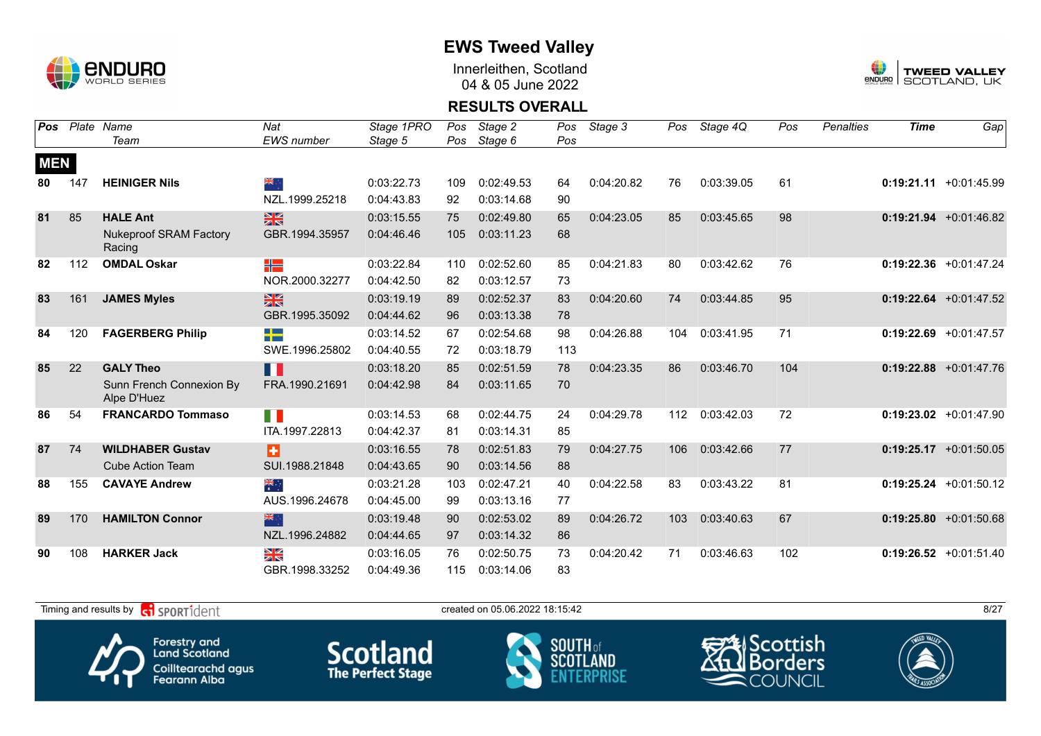

Innerleithen, Scotland 04 & 05 June 2022



#### **RESULTS OVERALL**

| <b>Pos</b> |     | Plate Name                              | Nat                               | Stage 1PRO | Pos | Stage 2    | Pos | Stage 3    | Pos | Stage 4Q   | Pos | <b>Penalties</b> | <b>Time</b> | Gap                       |
|------------|-----|-----------------------------------------|-----------------------------------|------------|-----|------------|-----|------------|-----|------------|-----|------------------|-------------|---------------------------|
|            |     | Team                                    | EWS number                        | Stage 5    | Pos | Stage 6    | Pos |            |     |            |     |                  |             |                           |
| <b>MEN</b> |     |                                         |                                   |            |     |            |     |            |     |            |     |                  |             |                           |
| 80         | 147 | <b>HEINIGER Nils</b>                    | ang ∴                             | 0:03:22.73 | 109 | 0:02:49.53 | 64  | 0:04:20.82 | 76  | 0:03:39.05 | 61  |                  |             | $0:19:21.11 + 0:01:45.99$ |
|            |     |                                         | NZL.1999.25218                    | 0:04:43.83 | 92  | 0:03:14.68 | 90  |            |     |            |     |                  |             |                           |
| 81         | 85  | <b>HALE Ant</b>                         | $\frac{N}{N}$                     | 0:03:15.55 | 75  | 0:02:49.80 | 65  | 0:04:23.05 | 85  | 0:03:45.65 | 98  |                  |             | $0:19:21.94 +0:01:46.82$  |
|            |     | <b>Nukeproof SRAM Factory</b><br>Racing | GBR.1994.35957                    | 0:04:46.46 | 105 | 0:03:11.23 | 68  |            |     |            |     |                  |             |                           |
| 82         | 112 | <b>OMDAL Oskar</b>                      | ╬                                 | 0:03:22.84 | 110 | 0:02:52.60 | 85  | 0:04:21.83 | 80  | 0:03:42.62 | 76  |                  |             | 0:19:22.36 +0:01:47.24    |
|            |     |                                         | NOR.2000.32277                    | 0:04:42.50 | 82  | 0:03:12.57 | 73  |            |     |            |     |                  |             |                           |
| 83         | 161 | <b>JAMES Myles</b>                      | $\frac{N}{N}$                     | 0:03:19.19 | 89  | 0:02:52.37 | 83  | 0:04:20.60 | 74  | 0:03:44.85 | 95  |                  |             | $0:19:22.64$ +0:01:47.52  |
|            |     |                                         | GBR.1995.35092                    | 0:04:44.62 | 96  | 0:03:13.38 | 78  |            |     |            |     |                  |             |                           |
| 84         | 120 | <b>FAGERBERG Philip</b>                 | <b>The Company</b><br><b>STEP</b> | 0:03:14.52 | 67  | 0:02:54.68 | 98  | 0:04:26.88 | 104 | 0:03:41.95 | 71  |                  |             | $0:19:22.69$ +0:01:47.57  |
|            |     |                                         | SWE.1996.25802                    | 0:04:40.55 | 72  | 0:03:18.79 | 113 |            |     |            |     |                  |             |                           |
| 85         | 22  | <b>GALY Theo</b>                        | H                                 | 0:03:18.20 | 85  | 0:02:51.59 | 78  | 0:04:23.35 | 86  | 0:03:46.70 | 104 |                  |             | $0:19:22.88$ +0:01:47.76  |
|            |     | Sunn French Connexion By<br>Alpe D'Huez | FRA.1990.21691                    | 0:04:42.98 | 84  | 0:03:11.65 | 70  |            |     |            |     |                  |             |                           |
| 86         | 54  | <b>FRANCARDO Tommaso</b>                | H.                                | 0:03:14.53 | 68  | 0:02:44.75 | 24  | 0:04:29.78 | 112 | 0:03:42.03 | 72  |                  |             | $0:19:23.02 +0:01:47.90$  |
|            |     |                                         | ITA.1997.22813                    | 0:04:42.37 | 81  | 0:03:14.31 | 85  |            |     |            |     |                  |             |                           |
| 87         | 74  | <b>WILDHABER Gustav</b>                 | Ð                                 | 0:03:16.55 | 78  | 0:02:51.83 | 79  | 0:04:27.75 | 106 | 0:03:42.66 | 77  |                  |             | $0:19:25.17 + 0:01:50.05$ |
|            |     | <b>Cube Action Team</b>                 | SUI.1988.21848                    | 0:04:43.65 | 90  | 0:03:14.56 | 88  |            |     |            |     |                  |             |                           |
| 88         | 155 | <b>CAVAYE Andrew</b>                    | ैं                                | 0:03:21.28 | 103 | 0:02:47.21 | 40  | 0:04:22.58 | 83  | 0:03:43.22 | 81  |                  |             | $0:19:25.24$ +0:01:50.12  |
|            |     |                                         | AUS.1996.24678                    | 0:04:45.00 | 99  | 0:03:13.16 | 77  |            |     |            |     |                  |             |                           |
| 89         | 170 | <b>HAMILTON Connor</b>                  | 米心                                | 0:03:19.48 | 90  | 0:02:53.02 | 89  | 0:04:26.72 | 103 | 0:03:40.63 | 67  |                  |             | $0:19:25.80 + 0:01:50.68$ |
|            |     |                                         | NZL.1996.24882                    | 0:04:44.65 | 97  | 0:03:14.32 | 86  |            |     |            |     |                  |             |                           |
| 90         | 108 | <b>HARKER Jack</b>                      | ≥k                                | 0:03:16.05 | 76  | 0:02:50.75 | 73  | 0:04:20.42 | 71  | 0:03:46.63 | 102 |                  |             | $0:19:26.52 +0:01:51.40$  |
|            |     |                                         | GBR.1998.33252                    | 0:04:49.36 | 115 | 0:03:14.06 | 83  |            |     |            |     |                  |             |                           |

Timing and results by  $\overline{c_1}$  SPORT1 $\overline{d}$  entropy created on 05.06.2022 18:15:42 Scottish Forestry and<br>Land Scotland **Scotland SOUTH** of orders SCOT Coilltearachd agus<br>Fearann Alba COUNCIL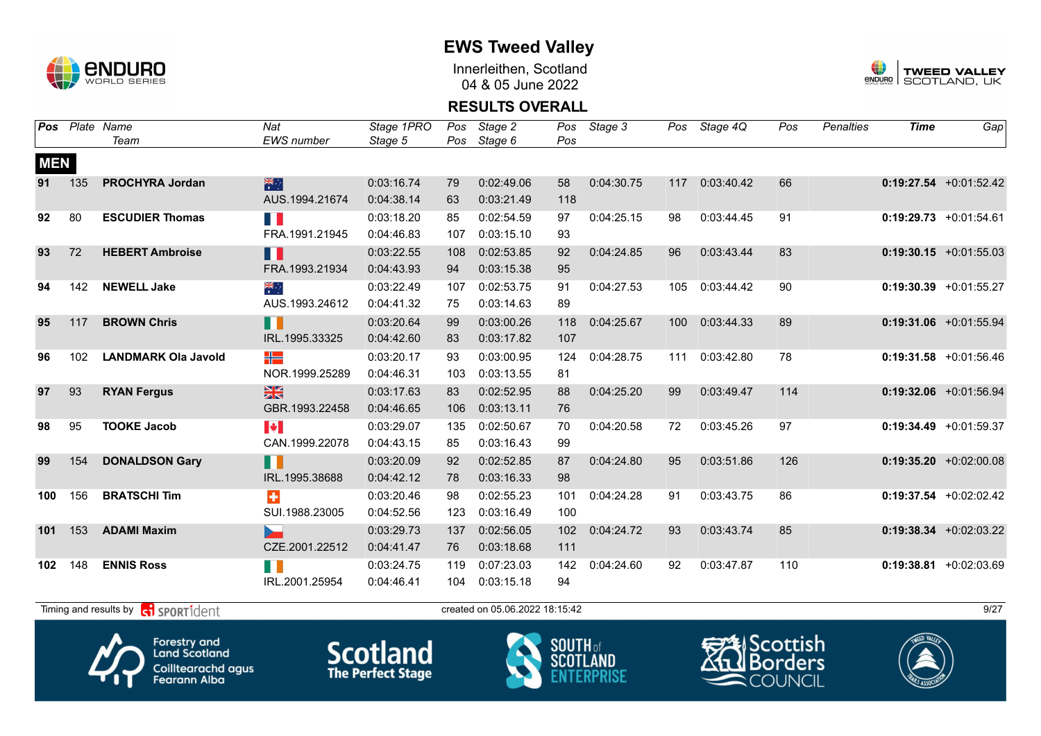

Innerleithen, Scotland 04 & 05 June 2022



#### **RESULTS OVERALL**

| Pos        |     | Plate Name                 | Nat                   | Stage 1PRO | Pos | Stage 2    | Pos | Stage 3    | Pos              | Stage 4Q   | Pos | Penalties | <b>Time</b> | Gap                       |
|------------|-----|----------------------------|-----------------------|------------|-----|------------|-----|------------|------------------|------------|-----|-----------|-------------|---------------------------|
|            |     | Team                       | <b>EWS</b> number     | Stage 5    | Pos | Stage 6    | Pos |            |                  |            |     |           |             |                           |
| <b>MEN</b> |     |                            |                       |            |     |            |     |            |                  |            |     |           |             |                           |
| 91         | 135 | <b>PROCHYRA Jordan</b>     | 米                     | 0:03:16.74 | 79  | 0:02:49.06 | 58  | 0:04:30.75 | 117              | 0:03:40.42 | 66  |           |             | $0:19:27.54$ +0:01:52.42  |
|            |     |                            | AUS.1994.21674        | 0:04:38.14 | 63  | 0:03:21.49 | 118 |            |                  |            |     |           |             |                           |
| 92         | 80  | <b>ESCUDIER Thomas</b>     | E.                    | 0:03:18.20 | 85  | 0:02:54.59 | 97  | 0:04:25.15 | 98               | 0:03:44.45 | 91  |           |             | $0:19:29.73 +0:01:54.61$  |
|            |     |                            | FRA.1991.21945        | 0:04:46.83 | 107 | 0:03:15.10 | 93  |            |                  |            |     |           |             |                           |
| 93         | 72  | <b>HEBERT Ambroise</b>     | ╻╻                    | 0:03:22.55 | 108 | 0:02:53.85 | 92  | 0:04:24.85 | 96               | 0:03:43.44 | 83  |           |             | $0:19:30.15$ +0:01:55.03  |
|            |     |                            | FRA.1993.21934        | 0:04:43.93 | 94  | 0:03:15.38 | 95  |            |                  |            |     |           |             |                           |
| 94         | 142 | <b>NEWELL Jake</b>         | ्हें                  | 0:03:22.49 | 107 | 0:02:53.75 | 91  | 0:04:27.53 | 105              | 0:03:44.42 | 90  |           |             | $0:19:30.39$ +0:01:55.27  |
|            |     |                            | AUS.1993.24612        | 0:04:41.32 | 75  | 0:03:14.63 | 89  |            |                  |            |     |           |             |                           |
| 95         | 117 | <b>BROWN Chris</b>         | H                     | 0:03:20.64 | 99  | 0:03:00.26 | 118 | 0:04:25.67 | 100 <sub>1</sub> | 0:03:44.33 | 89  |           |             | $0:19:31.06$ +0:01:55.94  |
|            |     |                            | IRL.1995.33325        | 0:04:42.60 | 83  | 0:03:17.82 | 107 |            |                  |            |     |           |             |                           |
| 96         | 102 | <b>LANDMARK Ola Javold</b> | ╬═                    | 0:03:20.17 | 93  | 0:03:00.95 | 124 | 0:04:28.75 | 111              | 0:03:42.80 | 78  |           |             | $0:19:31.58$ +0:01:56.46  |
|            |     |                            | NOR.1999.25289        | 0:04:46.31 | 103 | 0:03:13.55 | 81  |            |                  |            |     |           |             |                           |
| 97         | 93  | <b>RYAN Fergus</b>         | $\frac{2}{3}$         | 0:03:17.63 | 83  | 0:02:52.95 | 88  | 0:04:25.20 | 99               | 0:03:49.47 | 114 |           |             | $0:19:32.06$ +0:01:56.94  |
|            |     |                            | GBR.1993.22458        | 0:04:46.65 | 106 | 0:03:13.11 | 76  |            |                  |            |     |           |             |                           |
| 98         | 95  | <b>TOOKE Jacob</b>         | $\blacktriangleright$ | 0:03:29.07 | 135 | 0:02:50.67 | 70  | 0:04:20.58 | 72               | 0:03:45.26 | 97  |           |             | $0:19:34.49 + 0:01:59.37$ |
|            |     |                            | CAN.1999.22078        | 0:04:43.15 | 85  | 0:03:16.43 | 99  |            |                  |            |     |           |             |                           |
| 99         | 154 | <b>DONALDSON Gary</b>      | n                     | 0:03:20.09 | 92  | 0:02:52.85 | 87  | 0:04:24.80 | 95               | 0:03:51.86 | 126 |           |             | $0:19:35.20 +0:02:00.08$  |
|            |     |                            | IRL.1995.38688        | 0:04:42.12 | 78  | 0:03:16.33 | 98  |            |                  |            |     |           |             |                           |
| 100        | 156 | <b>BRATSCHI Tim</b>        | $\ddot{\textbf{r}}$   | 0:03:20.46 | 98  | 0:02:55.23 | 101 | 0:04:24.28 | 91               | 0:03:43.75 | 86  |           |             | $0:19:37.54$ +0:02:02.42  |
|            |     |                            | SUI.1988.23005        | 0:04:52.56 | 123 | 0:03:16.49 | 100 |            |                  |            |     |           |             |                           |
| 101        | 153 | <b>ADAMI Maxim</b>         | b.                    | 0:03:29.73 | 137 | 0:02:56.05 | 102 | 0:04:24.72 | 93               | 0:03:43.74 | 85  |           |             | $0:19:38.34 +0:02:03.22$  |
|            |     |                            | CZE.2001.22512        | 0:04:41.47 | 76  | 0:03:18.68 | 111 |            |                  |            |     |           |             |                           |
| 102        | 148 | <b>ENNIS Ross</b>          | H O                   | 0:03:24.75 | 119 | 0:07:23.03 | 142 | 0:04:24.60 | 92               | 0:03:47.87 | 110 |           |             | 0:19:38.81 +0:02:03.69    |
|            |     |                            | IRL.2001.25954        | 0:04:46.41 | 104 | 0:03:15.18 | 94  |            |                  |            |     |           |             |                           |
|            |     |                            |                       |            |     |            |     |            |                  |            |     |           |             |                           |

Timing and results by  $\overline{c_1}$  SPORT1 $\overline{1}$  dent to the second of the created on 05.06.2022 18:15:42 9/27



Forestry and<br>Land Scotland Coilltearachd agus<br>Fearann Alba **Scotland** 



Scottish orders COUNCIL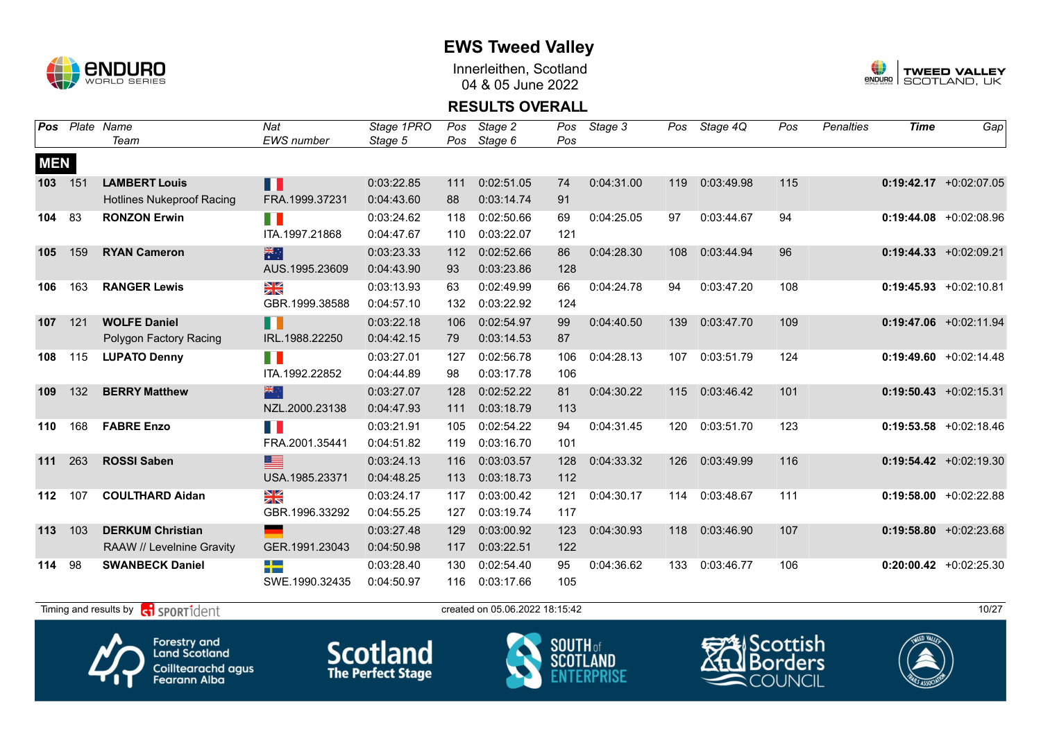

Innerleithen, Scotland 04 & 05 June 2022



#### **RESULTS OVERALL**

|     |      |                                                                                                                                                                                                                                                                                                                                                                                      |            |     | Stage 2    |     | Stage 3    |     | Stage 4Q   | Pos | <b>Penalties</b> | <b>Time</b> | Gap                       |
|-----|------|--------------------------------------------------------------------------------------------------------------------------------------------------------------------------------------------------------------------------------------------------------------------------------------------------------------------------------------------------------------------------------------|------------|-----|------------|-----|------------|-----|------------|-----|------------------|-------------|---------------------------|
|     | Team | <b>EWS</b> number                                                                                                                                                                                                                                                                                                                                                                    | Stage 5    | Pos | Stage 6    | Pos |            |     |            |     |                  |             |                           |
|     |      |                                                                                                                                                                                                                                                                                                                                                                                      |            |     |            |     |            |     |            |     |                  |             |                           |
| 151 |      | Ш                                                                                                                                                                                                                                                                                                                                                                                    | 0:03:22.85 | 111 | 0:02:51.05 | 74  | 0:04:31.00 | 119 | 0:03:49.98 | 115 |                  |             | $0:19:42.17 + 0:02:07.05$ |
|     |      | FRA.1999.37231                                                                                                                                                                                                                                                                                                                                                                       | 0:04:43.60 | 88  | 0:03:14.74 | 91  |            |     |            |     |                  |             |                           |
| 83  |      | E.                                                                                                                                                                                                                                                                                                                                                                                   | 0:03:24.62 | 118 | 0:02:50.66 | 69  | 0:04:25.05 | 97  | 0:03:44.67 | 94  |                  |             | $0:19:44.08$ +0:02:08.96  |
|     |      | ITA.1997.21868                                                                                                                                                                                                                                                                                                                                                                       | 0:04:47.67 | 110 | 0:03:22.07 | 121 |            |     |            |     |                  |             |                           |
| 159 |      | 米                                                                                                                                                                                                                                                                                                                                                                                    | 0:03:23.33 | 112 | 0:02:52.66 | 86  | 0:04:28.30 | 108 | 0:03:44.94 | 96  |                  |             | $0:19:44.33 + 0:02:09.21$ |
|     |      | AUS.1995.23609                                                                                                                                                                                                                                                                                                                                                                       | 0:04:43.90 | 93  | 0:03:23.86 | 128 |            |     |            |     |                  |             |                           |
| 163 |      | XK                                                                                                                                                                                                                                                                                                                                                                                   | 0:03:13.93 | 63  | 0:02:49.99 | 66  | 0:04:24.78 | 94  | 0:03:47.20 | 108 |                  |             | $0:19:45.93 + 0:02:10.81$ |
|     |      | GBR.1999.38588                                                                                                                                                                                                                                                                                                                                                                       | 0:04:57.10 | 132 | 0:03:22.92 | 124 |            |     |            |     |                  |             |                           |
| 121 |      | П                                                                                                                                                                                                                                                                                                                                                                                    | 0:03:22.18 | 106 | 0:02:54.97 | 99  | 0:04:40.50 | 139 | 0:03:47.70 | 109 |                  |             | $0:19:47.06$ +0:02:11.94  |
|     |      | IRL.1988.22250                                                                                                                                                                                                                                                                                                                                                                       | 0:04:42.15 | 79  | 0:03:14.53 | 87  |            |     |            |     |                  |             |                           |
| 115 |      | n n                                                                                                                                                                                                                                                                                                                                                                                  | 0:03:27.01 | 127 | 0:02:56.78 | 106 | 0:04:28.13 | 107 | 0:03:51.79 | 124 |                  |             | $0:19:49.60 + 0:02:14.48$ |
|     |      | ITA.1992.22852                                                                                                                                                                                                                                                                                                                                                                       | 0:04:44.89 | 98  | 0:03:17.78 | 106 |            |     |            |     |                  |             |                           |
| 132 |      | 米心                                                                                                                                                                                                                                                                                                                                                                                   | 0:03:27.07 | 128 | 0:02:52.22 | 81  | 0:04:30.22 | 115 | 0:03:46.42 | 101 |                  |             | $0:19:50.43 + 0:02:15.31$ |
|     |      | NZL.2000.23138                                                                                                                                                                                                                                                                                                                                                                       | 0:04:47.93 | 111 | 0:03:18.79 | 113 |            |     |            |     |                  |             |                           |
| 168 |      | n K                                                                                                                                                                                                                                                                                                                                                                                  | 0:03:21.91 | 105 | 0:02:54.22 | 94  | 0:04:31.45 | 120 | 0:03:51.70 | 123 |                  |             | $0:19:53.58$ +0:02:18.46  |
|     |      | FRA.2001.35441                                                                                                                                                                                                                                                                                                                                                                       | 0:04:51.82 | 119 | 0:03:16.70 | 101 |            |     |            |     |                  |             |                           |
| 263 |      | <u>est</u>                                                                                                                                                                                                                                                                                                                                                                           | 0:03:24.13 | 116 | 0:03:03.57 | 128 | 0:04:33.32 | 126 | 0:03:49.99 | 116 |                  |             | $0:19:54.42 +0:02:19.30$  |
|     |      | USA.1985.23371                                                                                                                                                                                                                                                                                                                                                                       | 0:04:48.25 | 113 | 0:03:18.73 | 112 |            |     |            |     |                  |             |                           |
| 107 |      | ≥k                                                                                                                                                                                                                                                                                                                                                                                   | 0:03:24.17 | 117 | 0:03:00.42 | 121 | 0:04:30.17 | 114 | 0:03:48.67 | 111 |                  |             | $0:19:58.00 + 0:02:22.88$ |
|     |      | GBR.1996.33292                                                                                                                                                                                                                                                                                                                                                                       | 0:04:55.25 | 127 | 0:03:19.74 | 117 |            |     |            |     |                  |             |                           |
| 103 |      | <b>State</b>                                                                                                                                                                                                                                                                                                                                                                         | 0:03:27.48 | 129 | 0:03:00.92 | 123 | 0:04:30.93 | 118 | 0:03:46.90 | 107 |                  |             | $0:19:58.80 + 0:02:23.68$ |
|     |      | GER.1991.23043                                                                                                                                                                                                                                                                                                                                                                       | 0:04:50.98 | 117 | 0:03:22.51 | 122 |            |     |            |     |                  |             |                           |
| 98  |      | <u>range a</u><br><b>BEE</b>                                                                                                                                                                                                                                                                                                                                                         | 0:03:28.40 | 130 | 0:02:54.40 | 95  | 0:04:36.62 | 133 | 0:03:46.77 | 106 |                  |             | $0:20:00.42$ +0:02:25.30  |
|     |      | SWE.1990.32435                                                                                                                                                                                                                                                                                                                                                                       | 0:04:50.97 | 116 | 0:03:17.66 | 105 |            |     |            |     |                  |             |                           |
|     |      | <b>LAMBERT Louis</b><br><b>Hotlines Nukeproof Racing</b><br><b>RONZON Erwin</b><br><b>RYAN Cameron</b><br><b>RANGER Lewis</b><br><b>WOLFE Daniel</b><br>Polygon Factory Racing<br><b>LUPATO Denny</b><br><b>BERRY Matthew</b><br><b>FABRE Enzo</b><br><b>ROSSI Saben</b><br><b>COULTHARD Aidan</b><br><b>DERKUM Christian</b><br>RAAW // Levelnine Gravity<br><b>SWANBECK Daniel</b> |            |     |            |     |            |     |            |     |                  |             |                           |



Forestry and<br>Land Scotland Coilltearachd agus<br>Fearann Alba







Timing and results by  $\overline{c_1}$  SPORT1 $\overline{d}$  entropy created on 05.06.2022 18:15:42 10/27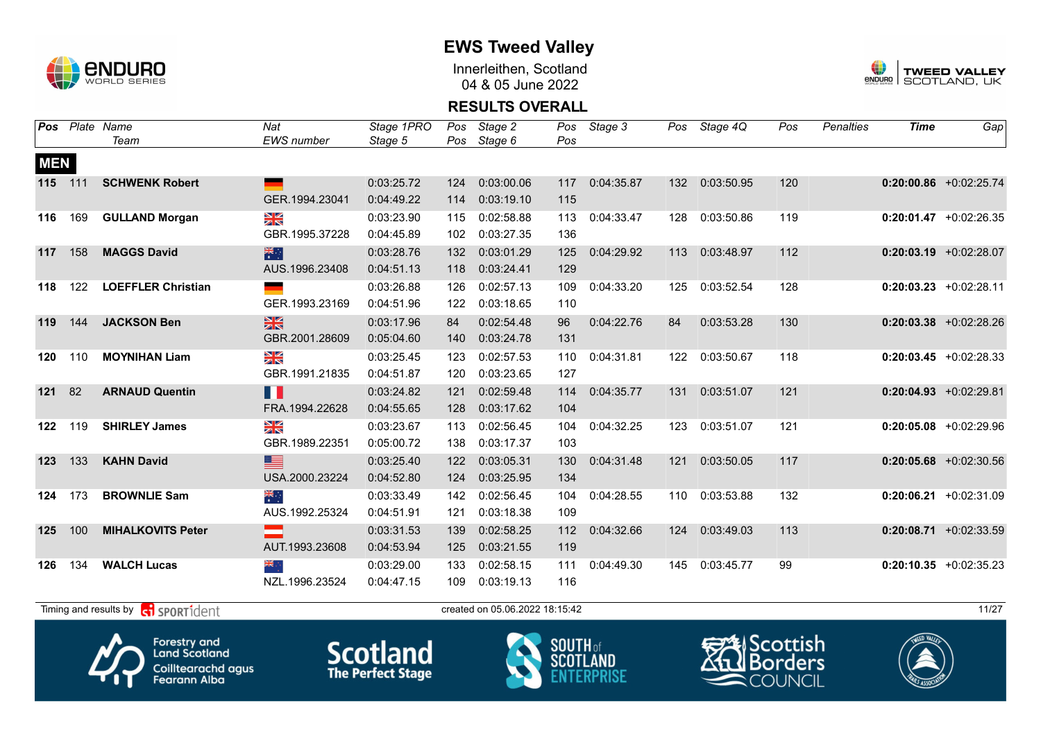

Innerleithen, Scotland 04 & 05 June 2022



#### **RESULTS OVERALL**

| Pos        |     | Plate Name                                 | Nat               | Stage 1PRO | Pos | Stage 2                        |     | Pos Stage 3 |     | Pos Stage 4Q | Pos | Penalties | <b>Time</b> | Gap                       |
|------------|-----|--------------------------------------------|-------------------|------------|-----|--------------------------------|-----|-------------|-----|--------------|-----|-----------|-------------|---------------------------|
|            |     | Team                                       | <b>EWS</b> number | Stage 5    | Pos | Stage 6                        | Pos |             |     |              |     |           |             |                           |
| <b>MEN</b> |     |                                            |                   |            |     |                                |     |             |     |              |     |           |             |                           |
| 115 111    |     | <b>SCHWENK Robert</b>                      |                   | 0:03:25.72 | 124 | 0:03:00.06                     | 117 | 0:04:35.87  | 132 | 0:03:50.95   | 120 |           |             | $0:20:00.86$ +0:02:25.74  |
|            |     |                                            | GER.1994.23041    | 0:04:49.22 | 114 | 0:03:19.10                     | 115 |             |     |              |     |           |             |                           |
| 116        | 169 | <b>GULLAND Morgan</b>                      | $\frac{N}{N}$     | 0:03:23.90 | 115 | 0:02:58.88                     | 113 | 0:04:33.47  | 128 | 0:03:50.86   | 119 |           |             | $0:20:01.47$ +0:02:26.35  |
|            |     |                                            | GBR.1995.37228    | 0:04:45.89 | 102 | 0:03:27.35                     | 136 |             |     |              |     |           |             |                           |
| 117        | 158 | <b>MAGGS David</b>                         | 米啊                | 0:03:28.76 | 132 | 0:03:01.29                     | 125 | 0:04:29.92  | 113 | 0:03:48.97   | 112 |           |             | $0:20:03.19$ +0:02:28.07  |
|            |     |                                            | AUS.1996.23408    | 0:04:51.13 | 118 | 0:03:24.41                     | 129 |             |     |              |     |           |             |                           |
| 118        | 122 | <b>LOEFFLER Christian</b>                  |                   | 0:03:26.88 | 126 | 0:02:57.13                     | 109 | 0:04:33.20  | 125 | 0:03:52.54   | 128 |           |             | $0:20:03.23$ +0:02:28.11  |
|            |     |                                            | GER.1993.23169    | 0:04:51.96 | 122 | 0:03:18.65                     | 110 |             |     |              |     |           |             |                           |
| 119        | 144 | <b>JACKSON Ben</b>                         | $\frac{N}{N}$     | 0:03:17.96 | 84  | 0:02:54.48                     | 96  | 0:04:22.76  | 84  | 0:03:53.28   | 130 |           |             | $0:20:03.38$ +0:02:28.26  |
|            |     |                                            | GBR.2001.28609    | 0:05:04.60 | 140 | 0:03:24.78                     | 131 |             |     |              |     |           |             |                           |
| 120        | 110 | <b>MOYNIHAN Liam</b>                       | $\frac{N}{N}$     | 0:03:25.45 | 123 | 0:02:57.53                     | 110 | 0:04:31.81  | 122 | 0:03:50.67   | 118 |           |             | $0:20:03.45$ +0:02:28.33  |
|            |     |                                            | GBR.1991.21835    | 0:04:51.87 | 120 | 0:03:23.65                     | 127 |             |     |              |     |           |             |                           |
| 121        | 82  | <b>ARNAUD Quentin</b>                      | Ш                 | 0:03:24.82 | 121 | 0:02:59.48                     | 114 | 0:04:35.77  | 131 | 0:03:51.07   | 121 |           |             | $0:20:04.93 + 0:02:29.81$ |
|            |     |                                            | FRA.1994.22628    | 0:04:55.65 | 128 | 0:03:17.62                     | 104 |             |     |              |     |           |             |                           |
| 122        | 119 | <b>SHIRLEY James</b>                       | XK                | 0:03:23.67 | 113 | 0:02:56.45                     | 104 | 0:04:32.25  | 123 | 0:03:51.07   | 121 |           |             | $0:20:05.08$ +0:02:29.96  |
|            |     |                                            | GBR.1989.22351    | 0:05:00.72 | 138 | 0:03:17.37                     | 103 |             |     |              |     |           |             |                           |
| 123        | 133 | <b>KAHN David</b>                          | ▆                 | 0:03:25.40 | 122 | 0:03:05.31                     | 130 | 0:04:31.48  | 121 | 0:03:50.05   | 117 |           |             | $0:20:05.68$ +0:02:30.56  |
|            |     |                                            | USA.2000.23224    | 0:04:52.80 | 124 | 0:03:25.95                     | 134 |             |     |              |     |           |             |                           |
| 124        | 173 | <b>BROWNLIE Sam</b>                        | ्हें              | 0:03:33.49 | 142 | 0:02:56.45                     | 104 | 0:04:28.55  | 110 | 0:03:53.88   | 132 |           |             | $0:20:06.21 + 0:02:31.09$ |
|            |     |                                            | AUS.1992.25324    | 0:04:51.91 | 121 | 0:03:18.38                     | 109 |             |     |              |     |           |             |                           |
| 125        | 100 | <b>MIHALKOVITS Peter</b>                   |                   | 0:03:31.53 | 139 | 0:02:58.25                     | 112 | 0:04:32.66  | 124 | 0:03:49.03   | 113 |           |             | $0:20:08.71$ +0:02:33.59  |
|            |     |                                            | AUT.1993.23608    | 0:04:53.94 | 125 | 0:03:21.55                     | 119 |             |     |              |     |           |             |                           |
| 126        | 134 | <b>WALCH Lucas</b>                         | ∴ <mark>≫</mark>  | 0:03:29.00 | 133 | 0:02:58.15                     | 111 | 0:04:49.30  | 145 | 0:03:45.77   | 99  |           |             | $0:20:10.35$ +0:02:35.23  |
|            |     |                                            | NZL.1996.23524    | 0:04:47.15 | 109 | 0:03:19.13                     | 116 |             |     |              |     |           |             |                           |
|            |     | Timing and results by <b>CO</b> SPORT1dent |                   |            |     | created on 05.06.2022 18:15:42 |     |             |     |              |     |           |             | 11/27                     |



Forestry and<br>Land Scotland Coilltearachd agus<br>Fearann Alba

**Scotland** 



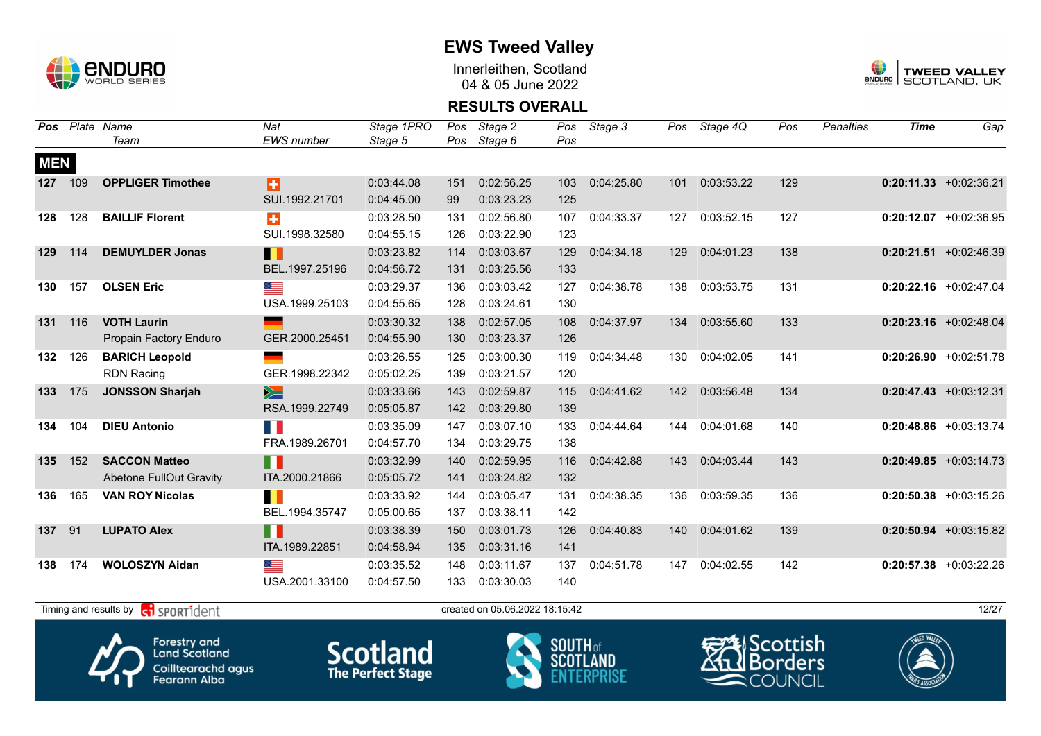

Innerleithen, Scotland 04 & 05 June 2022



#### **RESULTS OVERALL**

| Pos        |     | Plate Name<br>Team                                     | Nat<br><b>EWS</b> number      | Stage 1PRO<br>Stage 5    | Pos<br>Pos | Stage 2<br>Stage 6             | Pos<br>Pos | Stage 3    | Pos | Stage 4Q      | Pos | <b>Penalties</b> | <b>Time</b> | Gap                       |
|------------|-----|--------------------------------------------------------|-------------------------------|--------------------------|------------|--------------------------------|------------|------------|-----|---------------|-----|------------------|-------------|---------------------------|
| <b>MEN</b> |     |                                                        |                               |                          |            |                                |            |            |     |               |     |                  |             |                           |
| 127        | 109 | <b>OPPLIGER Timothee</b>                               | B<br>SUI.1992.21701           | 0:03:44.08<br>0:04:45.00 | 151<br>99  | 0:02:56.25<br>0:03:23.23       | 103<br>125 | 0:04:25.80 | 101 | 0:03:53.22    | 129 |                  |             | $0:20:11.33 + 0:02:36.21$ |
| 128        | 128 | <b>BAILLIF Florent</b>                                 | ÷<br>SUI.1998.32580           | 0:03:28.50<br>0:04:55.15 | 131<br>126 | 0:02:56.80<br>0:03:22.90       | 107<br>123 | 0:04:33.37 | 127 | 0:03:52.15    | 127 |                  |             | $0:20:12.07$ +0:02:36.95  |
| 129        | 114 | <b>DEMUYLDER Jonas</b>                                 | Ш<br>BEL.1997.25196           | 0:03:23.82<br>0:04:56.72 | 114<br>131 | 0:03:03.67<br>0:03:25.56       | 129<br>133 | 0:04:34.18 | 129 | 0:04:01.23    | 138 |                  |             | $0:20:21.51$ +0:02:46.39  |
| 130        | 157 | <b>OLSEN Eric</b>                                      | USA.1999.25103                | 0:03:29.37<br>0:04:55.65 | 136<br>128 | 0:03:03.42<br>0:03:24.61       | 127<br>130 | 0:04:38.78 | 138 | 0:03:53.75    | 131 |                  |             | $0:20:22.16$ +0:02:47.04  |
| 131        | 116 | <b>VOTH Laurin</b><br>Propain Factory Enduro           | GER.2000.25451                | 0:03:30.32<br>0:04:55.90 | 138<br>130 | 0:02:57.05<br>0:03:23.37       | 108<br>126 | 0:04:37.97 | 134 | 0:03:55.60    | 133 |                  |             | $0:20:23.16$ +0:02:48.04  |
| 132        | 126 | <b>BARICH Leopold</b><br><b>RDN Racing</b>             | GER.1998.22342                | 0:03:26.55<br>0:05:02.25 | 125<br>139 | 0:03:00.30<br>0:03:21.57       | 119<br>120 | 0:04:34.48 | 130 | 0:04:02.05    | 141 |                  |             | $0:20:26.90 + 0:02:51.78$ |
| 133        | 175 | <b>JONSSON Sharjah</b>                                 | $\geqslant$<br>RSA.1999.22749 | 0:03:33.66<br>0:05:05.87 | 143<br>142 | 0:02:59.87<br>0:03:29.80       | 115<br>139 | 0:04:41.62 | 142 | 0:03:56.48    | 134 |                  |             | $0:20:47.43$ +0:03:12.31  |
| 134        | 104 | <b>DIEU Antonio</b>                                    | n K<br>FRA.1989.26701         | 0:03:35.09<br>0:04:57.70 | 147<br>134 | 0:03:07.10<br>0:03:29.75       | 133<br>138 | 0:04:44.64 | 144 | 0:04:01.68    | 140 |                  |             | $0:20:48.86$ +0:03:13.74  |
| 135        | 152 | <b>SACCON Matteo</b><br><b>Abetone FullOut Gravity</b> | H L<br>ITA.2000.21866         | 0:03:32.99<br>0:05:05.72 | 140<br>141 | 0:02:59.95<br>0:03:24.82       | 116<br>132 | 0:04:42.88 | 143 | 0:04:03.44    | 143 |                  |             | $0:20:49.85 + 0:03:14.73$ |
| 136        | 165 | <b>VAN ROY Nicolas</b>                                 | П<br>BEL.1994.35747           | 0:03:33.92<br>0:05:00.65 | 144<br>137 | 0:03:05.47<br>0:03:38.11       | 131<br>142 | 0:04:38.35 | 136 | 0:03:59.35    | 136 |                  |             | $0:20:50.38$ +0:03:15.26  |
| 137        | 91  | <b>LUPATO Alex</b>                                     | H<br>ITA.1989.22851           | 0:03:38.39<br>0:04:58.94 | 150<br>135 | 0:03:01.73<br>0:03:31.16       | 126<br>141 | 0:04:40.83 | 140 | 0:04:01.62    | 139 |                  |             | $0:20:50.94$ +0:03:15.82  |
| 138        | 174 | <b>WOLOSZYN Aidan</b>                                  | <u> a s</u><br>USA.2001.33100 | 0:03:35.52<br>0:04:57.50 | 148<br>133 | 0:03:11.67<br>0:03:30.03       | 137<br>140 | 0:04:51.78 | 147 | 0:04:02.55    | 142 |                  |             | $0:20:57.38$ +0:03:22.26  |
|            |     | Timing and results by <b>R</b> SPORT1dent              |                               |                          |            | created on 05.06.2022 18:15:42 |            |            |     |               |     |                  |             | 12/27                     |
|            |     |                                                        |                               |                          |            |                                |            |            |     | $\sim$ $\sim$ |     |                  |             |                           |







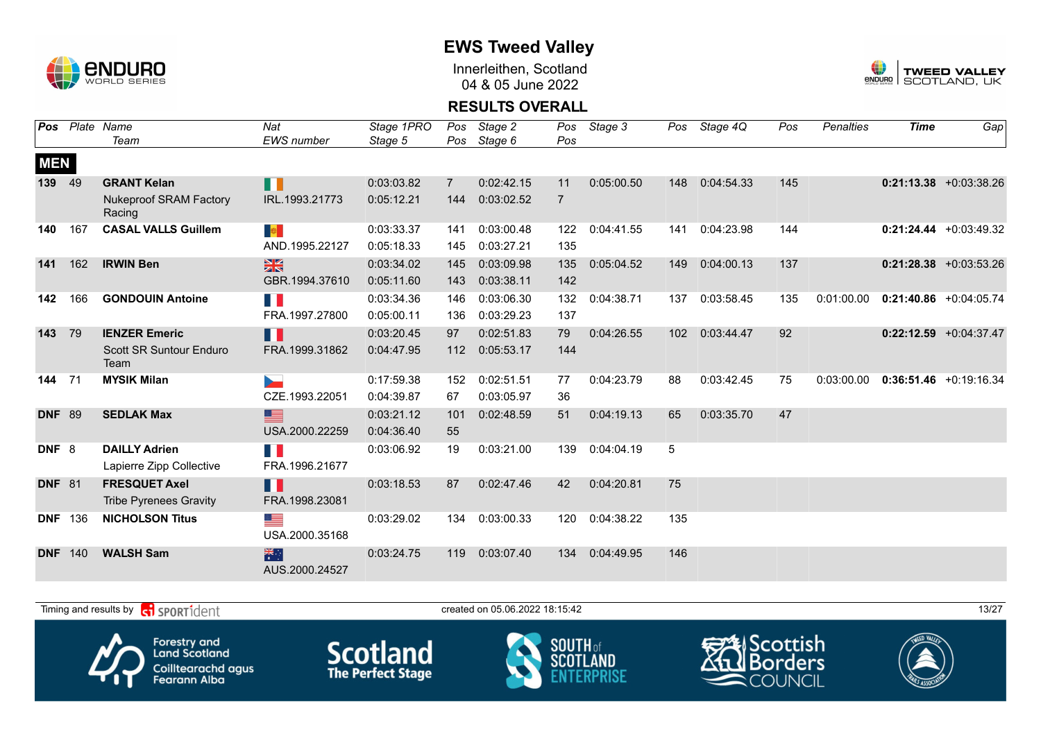

Innerleithen, Scotland 04 & 05 June 2022



#### **RESULTS OVERALL**

| Pos              | Plate | Name<br>Team                            | Nat<br>EWS number    | Stage 1PRO<br>Stage 5 | Pos<br>Pos     | Stage 2<br>Stage 6 | Pos<br>Pos     | Stage 3    | Pos | Stage 4Q   | Pos | <b>Penalties</b> | <b>Time</b> | Gap                       |
|------------------|-------|-----------------------------------------|----------------------|-----------------------|----------------|--------------------|----------------|------------|-----|------------|-----|------------------|-------------|---------------------------|
|                  |       |                                         |                      |                       |                |                    |                |            |     |            |     |                  |             |                           |
| <b>MEN</b>       |       |                                         |                      |                       |                |                    |                |            |     |            |     |                  |             |                           |
| 139              | 49    | <b>GRANT Kelan</b>                      | N N                  | 0:03:03.82            | $\overline{7}$ | 0:02:42.15         | 11             | 0:05:00.50 | 148 | 0:04:54.33 | 145 |                  |             | $0:21:13.38 + 0:03:38.26$ |
|                  |       | <b>Nukeproof SRAM Factory</b><br>Racing | IRL.1993.21773       | 0:05:12.21            | 144            | 0:03:02.52         | $\overline{7}$ |            |     |            |     |                  |             |                           |
| 140              | 167   | <b>CASAL VALLS Guillem</b>              | <b>B</b>             | 0:03:33.37            | 141            | 0:03:00.48         | 122            | 0:04:41.55 | 141 | 0:04:23.98 | 144 |                  |             | $0:21:24.44 + 0:03:49.32$ |
|                  |       |                                         | AND.1995.22127       | 0:05:18.33            | 145            | 0:03:27.21         | 135            |            |     |            |     |                  |             |                           |
| 141              | 162   | <b>IRWIN Ben</b>                        | $\frac{N}{N}$        | 0:03:34.02            | 145            | 0:03:09.98         | 135            | 0:05:04.52 | 149 | 0:04:00.13 | 137 |                  |             | $0:21:28.38$ +0:03:53.26  |
|                  |       |                                         | GBR.1994.37610       | 0:05:11.60            | 143            | 0:03:38.11         | 142            |            |     |            |     |                  |             |                           |
| 142              | 166   | <b>GONDOUIN Antoine</b>                 | E.                   | 0:03:34.36            | 146            | 0:03:06.30         | 132            | 0:04:38.71 | 137 | 0:03:58.45 | 135 | 0:01:00.00       |             | $0:21:40.86$ +0:04:05.74  |
|                  |       |                                         | FRA.1997.27800       | 0:05:00.11            | 136            | 0:03:29.23         | 137            |            |     |            |     |                  |             |                           |
| 143              | 79    | <b>IENZER Emeric</b>                    | H                    | 0:03:20.45            | 97             | 0:02:51.83         | 79             | 0:04:26.55 | 102 | 0:03:44.47 | 92  |                  |             | $0:22:12.59$ +0:04:37.47  |
|                  |       | <b>Scott SR Suntour Enduro</b><br>Team  | FRA.1999.31862       | 0:04:47.95            | 112            | 0:05:53.17         | 144            |            |     |            |     |                  |             |                           |
| 144              | 71    | <b>MYSIK Milan</b>                      |                      | 0:17:59.38            | 152            | 0:02:51.51         | 77             | 0:04:23.79 | 88  | 0:03:42.45 | 75  | 0:03:00.00       |             | $0:36:51.46 + 0:19:16.34$ |
|                  |       |                                         | CZE.1993.22051       | 0:04:39.87            | 67             | 0:03:05.97         | 36             |            |     |            |     |                  |             |                           |
| <b>DNF</b>       | 89    | <b>SEDLAK Max</b>                       | ▆                    | 0:03:21.12            | 101            | 0:02:48.59         | 51             | 0:04:19.13 | 65  | 0:03:35.70 | 47  |                  |             |                           |
|                  |       |                                         | USA.2000.22259       | 0:04:36.40            | 55             |                    |                |            |     |            |     |                  |             |                           |
| DNF <sub>8</sub> |       | <b>DAILLY Adrien</b>                    | T.                   | 0:03:06.92            | 19             | 0:03:21.00         | 139            | 0:04:04.19 | 5   |            |     |                  |             |                           |
|                  |       | Lapierre Zipp Collective                | FRA.1996.21677       |                       |                |                    |                |            |     |            |     |                  |             |                           |
| <b>DNF</b> 81    |       | <b>FRESQUET Axel</b>                    | H.                   | 0:03:18.53            | 87             | 0:02:47.46         | 42             | 0:04:20.81 | 75  |            |     |                  |             |                           |
|                  |       | <b>Tribe Pyrenees Gravity</b>           | FRA.1998.23081       |                       |                |                    |                |            |     |            |     |                  |             |                           |
| <b>DNF</b>       | 136   | <b>NICHOLSON Titus</b>                  | ▀                    | 0:03:29.02            | 134            | 0:03:00.33         | 120            | 0:04:38.22 | 135 |            |     |                  |             |                           |
|                  |       |                                         | USA.2000.35168       |                       |                |                    |                |            |     |            |     |                  |             |                           |
| <b>DNF</b>       | 140   | <b>WALSH Sam</b>                        | 米村<br>AUS.2000.24527 | 0:03:24.75            | 119            | 0:03:07.40         | 134            | 0:04:49.95 | 146 |            |     |                  |             |                           |

Timing and results by  $\overline{c_1}$  SPORT1 $\overline{1}$  dentity the created on 05.06.2022 18:15:42









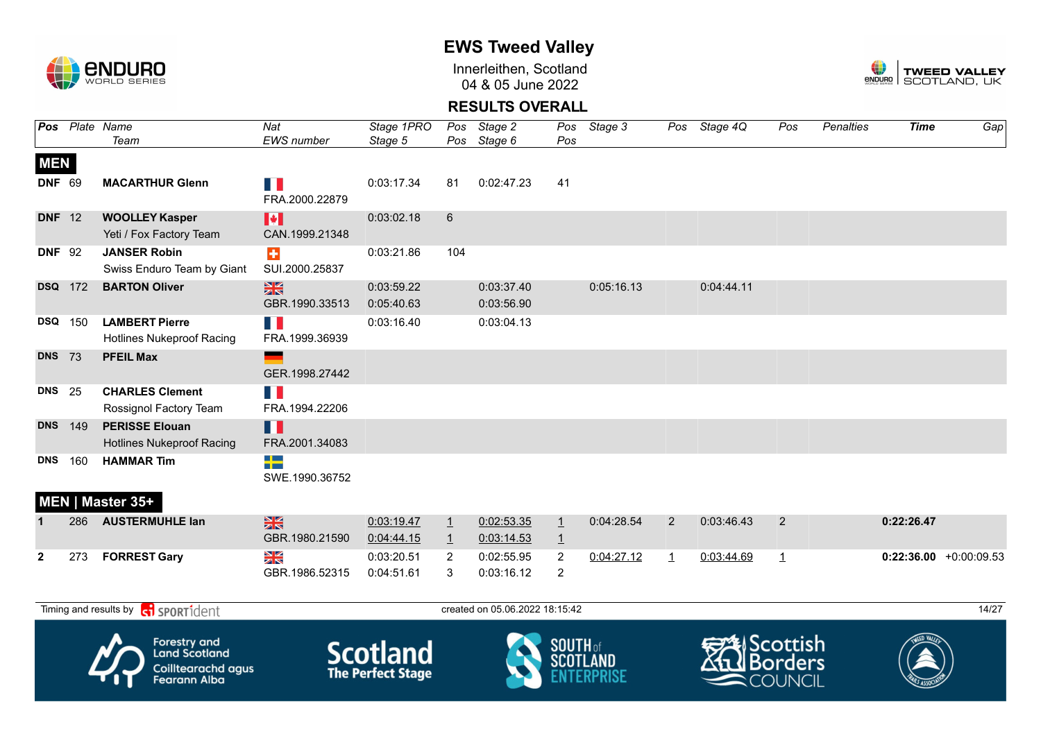

Innerleithen, Scotland 04 & 05 June 2022



### **RESULTS OVERALL**

|                |     | Pos Plate Name<br>Team                                                                   | Nat<br><b>EWS</b> number        | Stage 1PRO<br>Stage 5                       | Pos<br>Pos              | Stage 2<br>Stage 6             | Pos                              | Pos Stage 3     |                | Pos Stage 4Q | Pos                              | <b>Penalties</b> | <b>Time</b>              | $\overline{Gap}$ |
|----------------|-----|------------------------------------------------------------------------------------------|---------------------------------|---------------------------------------------|-------------------------|--------------------------------|----------------------------------|-----------------|----------------|--------------|----------------------------------|------------------|--------------------------|------------------|
| <b>MEN</b>     |     |                                                                                          |                                 |                                             |                         |                                |                                  |                 |                |              |                                  |                  |                          |                  |
| <b>DNF 69</b>  |     | <b>MACARTHUR Glenn</b>                                                                   | n a<br>FRA.2000.22879           | 0:03:17.34                                  | 81                      | 0:02:47.23                     | 41                               |                 |                |              |                                  |                  |                          |                  |
| <b>DNF</b> 12  |     | <b>WOOLLEY Kasper</b><br>Yeti / Fox Factory Team                                         | H<br>CAN.1999.21348             | 0:03:02.18                                  | $6\phantom{.}$          |                                |                                  |                 |                |              |                                  |                  |                          |                  |
| <b>DNF 92</b>  |     | <b>JANSER Robin</b><br>Swiss Enduro Team by Giant                                        | $\div$<br>SUI.2000.25837        | 0:03:21.86                                  | 104                     |                                |                                  |                 |                |              |                                  |                  |                          |                  |
| <b>DSQ</b> 172 |     | <b>BARTON Oliver</b>                                                                     | $\frac{N}{N}$<br>GBR.1990.33513 | 0:03:59.22<br>0:05:40.63                    |                         | 0:03:37.40<br>0:03:56.90       |                                  | 0:05:16.13      |                | 0:04:44.11   |                                  |                  |                          |                  |
| <b>DSQ</b> 150 |     | <b>LAMBERT Pierre</b><br><b>Hotlines Nukeproof Racing</b>                                | n p<br>FRA.1999.36939           | 0:03:16.40                                  |                         | 0:03:04.13                     |                                  |                 |                |              |                                  |                  |                          |                  |
| <b>DNS</b> 73  |     | <b>PFEIL Max</b>                                                                         | e.<br>GER.1998.27442            |                                             |                         |                                |                                  |                 |                |              |                                  |                  |                          |                  |
| <b>DNS</b> 25  |     | <b>CHARLES Clement</b><br>Rossignol Factory Team                                         | FI 6<br>FRA.1994.22206          |                                             |                         |                                |                                  |                 |                |              |                                  |                  |                          |                  |
| <b>DNS</b>     | 149 | <b>PERISSE Elouan</b><br><b>Hotlines Nukeproof Racing</b>                                | H<br>FRA.2001.34083             |                                             |                         |                                |                                  |                 |                |              |                                  |                  |                          |                  |
| <b>DNS</b>     | 160 | <b>HAMMAR Tim</b>                                                                        | $\frac{1}{2}$<br>SWE.1990.36752 |                                             |                         |                                |                                  |                 |                |              |                                  |                  |                          |                  |
|                |     | MEN   Master 35+                                                                         |                                 |                                             |                         |                                |                                  |                 |                |              |                                  |                  |                          |                  |
|                | 286 | <b>AUSTERMUHLE lan</b>                                                                   | $\frac{N}{N}$<br>GBR.1980.21590 | 0:03:19.47<br>0:04:44.15                    | $\perp$<br>$\mathbf{1}$ | 0:02:53.35<br>0:03:14.53       | $\overline{1}$<br>$\overline{1}$ | 0:04:28.54      | $\overline{2}$ | 0:03:46.43   | 2                                |                  | 0:22:26.47               |                  |
| $\mathbf{2}$   | 273 | <b>FORREST Gary</b>                                                                      | XK                              | 0:03:20.51                                  | $\overline{2}$          | 0:02:55.95                     | 2                                | 0:04:27.12      | $\mathbf{1}$   | 0:03:44.69   | $\overline{1}$                   |                  | $0:22:36.00 +0:00:09.53$ |                  |
|                |     |                                                                                          | GBR.1986.52315                  | 0:04:51.61                                  | $\sqrt{3}$              | 0:03:16.12                     | $\overline{2}$                   |                 |                |              |                                  |                  |                          |                  |
|                |     | Timing and results by <b>contract</b> sport ident                                        |                                 |                                             |                         | created on 05.06.2022 18:15:42 |                                  |                 |                |              |                                  |                  |                          | 14/27            |
|                |     | <b>Forestry and</b><br><b>Land Scotland</b><br>Coilltearachd agus<br><b>Fearann Alba</b> |                                 | <b>Scotland</b><br><b>The Perfect Stage</b> |                         |                                | <b>SOUTH</b> of                  | <b>SCOTLAND</b> |                | 类Scottish    | <b>Borders</b><br><b>COUNCIL</b> |                  |                          |                  |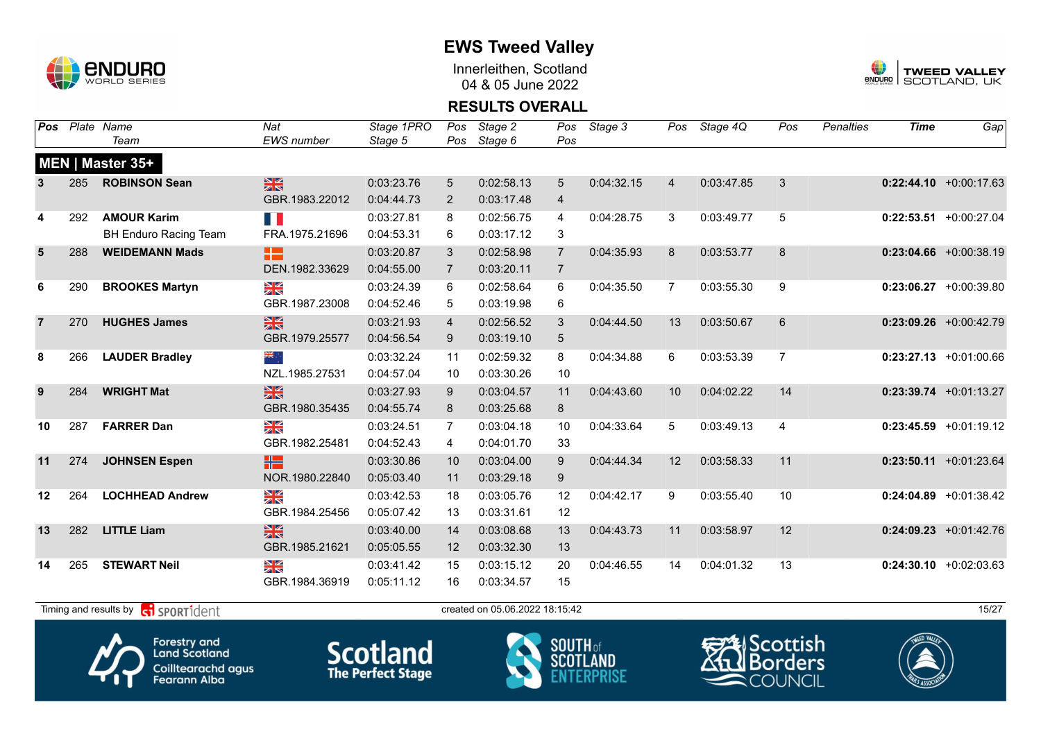

Innerleithen, Scotland 04 & 05 June 2022



### **RESULTS OVERALL**

| Pos            |     | Plate Name                   | Nat               | Stage 1PRO | Pos             | Stage 2    | Pos            | Stage 3    | Pos            | Stage 4Q   | Pos            | <b>Penalties</b> | <b>Time</b> | Gap                       |
|----------------|-----|------------------------------|-------------------|------------|-----------------|------------|----------------|------------|----------------|------------|----------------|------------------|-------------|---------------------------|
|                |     | Team                         | <b>EWS</b> number | Stage 5    | Pos             | Stage 6    | Pos            |            |                |            |                |                  |             |                           |
|                |     | MEN   Master 35+             |                   |            |                 |            |                |            |                |            |                |                  |             |                           |
| 3              | 285 | <b>ROBINSON Sean</b>         | 噐                 | 0:03:23.76 | $5\overline{)}$ | 0:02:58.13 | 5              | 0:04:32.15 | $\overline{4}$ | 0:03:47.85 | 3              |                  |             | $0:22:44.10 + 0:00:17.63$ |
|                |     |                              | GBR.1983.22012    | 0:04:44.73 | $\overline{2}$  | 0:03:17.48 | 4              |            |                |            |                |                  |             |                           |
| 4              | 292 | <b>AMOUR Karim</b>           | FI I              | 0:03:27.81 | 8               | 0:02:56.75 | 4              | 0:04:28.75 | 3              | 0:03:49.77 | 5              |                  |             | $0:22:53.51$ +0:00:27.04  |
|                |     | <b>BH Enduro Racing Team</b> | FRA.1975.21696    | 0:04:53.31 | 6               | 0:03:17.12 | 3              |            |                |            |                |                  |             |                           |
| $5\phantom{1}$ | 288 | <b>WEIDEMANN Mads</b>        | 82                | 0:03:20.87 | 3               | 0:02:58.98 | $\overline{7}$ | 0:04:35.93 | 8              | 0:03:53.77 | 8              |                  |             | $0:23:04.66$ +0:00:38.19  |
|                |     |                              | DEN.1982.33629    | 0:04:55.00 | $\overline{7}$  | 0:03:20.11 | $\overline{7}$ |            |                |            |                |                  |             |                           |
| 6              | 290 | <b>BROOKES Martyn</b>        | N<br>ZK           | 0:03:24.39 | 6               | 0:02:58.64 | 6              | 0:04:35.50 | $\overline{7}$ | 0:03:55.30 | 9              |                  |             | $0:23:06.27$ +0:00:39.80  |
|                |     |                              | GBR.1987.23008    | 0:04:52.46 | 5               | 0:03:19.98 | 6              |            |                |            |                |                  |             |                           |
|                | 270 | <b>HUGHES James</b>          | 黑                 | 0:03:21.93 | $\overline{4}$  | 0:02:56.52 | 3              | 0:04:44.50 | 13             | 0:03:50.67 | 6              |                  |             | $0:23:09.26$ +0:00:42.79  |
|                |     |                              | GBR.1979.25577    | 0:04:56.54 | 9               | 0:03:19.10 | 5              |            |                |            |                |                  |             |                           |
| 8              | 266 | <b>LAUDER Bradley</b>        | ▓                 | 0:03:32.24 | 11              | 0:02:59.32 | 8              | 0:04:34.88 | 6              | 0:03:53.39 | $\overline{7}$ |                  |             | $0:23:27.13$ +0:01:00.66  |
|                |     |                              | NZL.1985.27531    | 0:04:57.04 | 10              | 0:03:30.26 | 10             |            |                |            |                |                  |             |                           |
| 9              | 284 | <b>WRIGHT Mat</b>            | $\frac{N}{N}$     | 0:03:27.93 | 9               | 0:03:04.57 | 11             | 0:04:43.60 | 10             | 0:04:02.22 | 14             |                  |             | $0:23:39.74$ +0:01:13.27  |
|                |     |                              | GBR.1980.35435    | 0:04:55.74 | 8               | 0:03:25.68 | 8              |            |                |            |                |                  |             |                           |
| 10             | 287 | <b>FARRER Dan</b>            | XK                | 0:03:24.51 | $\overline{7}$  | 0:03:04.18 | 10             | 0:04:33.64 | 5              | 0:03:49.13 | $\overline{4}$ |                  |             | $0:23:45.59$ +0:01:19.12  |
|                |     |                              | GBR.1982.25481    | 0:04:52.43 | 4               | 0:04:01.70 | 33             |            |                |            |                |                  |             |                           |
| 11             | 274 | <b>JOHNSEN Espen</b>         | ÷۳                | 0:03:30.86 | 10              | 0:03:04.00 | 9              | 0:04:44.34 | 12             | 0:03:58.33 | 11             |                  |             | $0:23:50.11$ +0:01:23.64  |
|                |     |                              | NOR.1980.22840    | 0:05:03.40 | 11              | 0:03:29.18 | 9              |            |                |            |                |                  |             |                           |
| 12             | 264 | <b>LOCHHEAD Andrew</b>       | ≫≪                | 0:03:42.53 | 18              | 0:03:05.76 | 12             | 0:04:42.17 | 9              | 0:03:55.40 | 10             |                  |             | $0:24:04.89$ +0:01:38.42  |
|                |     |                              | GBR.1984.25456    | 0:05:07.42 | 13              | 0:03:31.61 | 12             |            |                |            |                |                  |             |                           |
| 13             | 282 | <b>LITTLE Liam</b>           | $\frac{N}{N}$     | 0:03:40.00 | 14              | 0:03:08.68 | 13             | 0:04:43.73 | 11             | 0:03:58.97 | 12             |                  |             | $0:24:09.23$ +0:01:42.76  |
|                |     |                              | GBR.1985.21621    | 0:05:05.55 | 12              | 0:03:32.30 | 13             |            |                |            |                |                  |             |                           |
| 14             | 265 | <b>STEWART Neil</b>          | XK                | 0:03:41.42 | 15              | 0:03:15.12 | 20             | 0:04:46.55 | 14             | 0:04:01.32 | 13             |                  |             | $0:24:30.10 + 0:02:03.63$ |
|                |     |                              | GBR.1984.36919    | 0:05:11.12 | 16              | 0:03:34.57 | 15             |            |                |            |                |                  |             |                           |











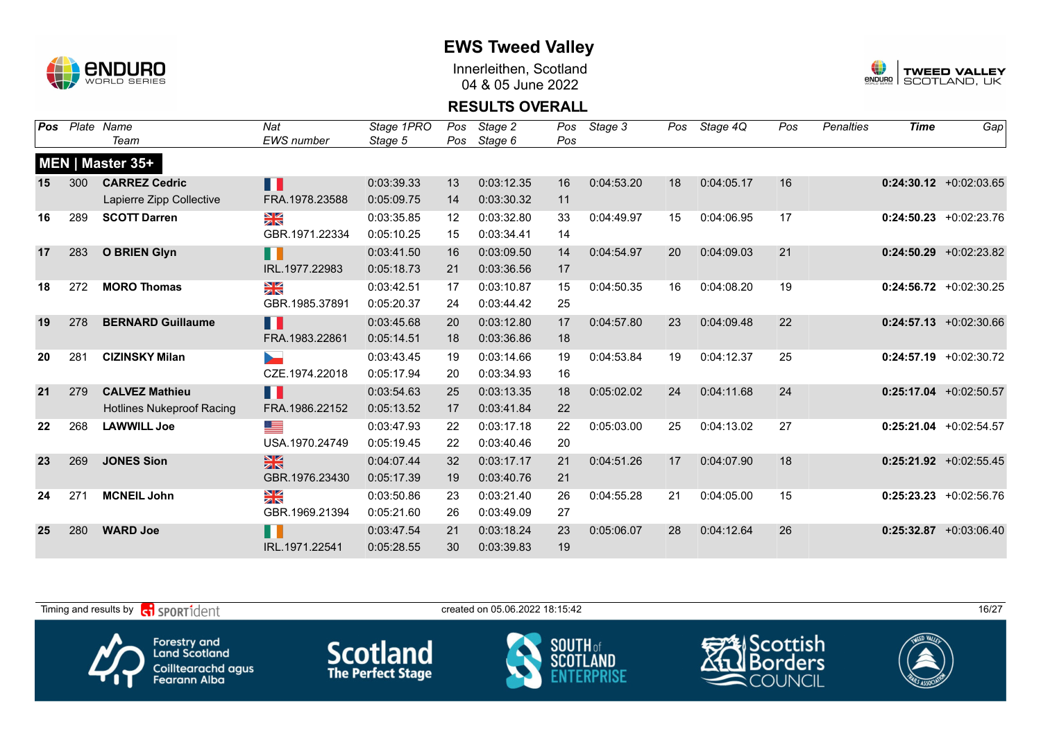

Innerleithen, Scotland 04 & 05 June 2022



#### **RESULTS OVERALL**

| Pos | Plate | Name                             | Nat               | Stage 1PRO | Pos | Stage 2    | Pos | Stage 3    | Pos | Stage 4Q   | Pos | <b>Penalties</b> | <b>Time</b> | Gap                       |
|-----|-------|----------------------------------|-------------------|------------|-----|------------|-----|------------|-----|------------|-----|------------------|-------------|---------------------------|
|     |       | Team                             | <b>EWS</b> number | Stage 5    | Pos | Stage 6    | Pos |            |     |            |     |                  |             |                           |
|     |       | MEN   Master 35+                 |                   |            |     |            |     |            |     |            |     |                  |             |                           |
| 15  | 300   | <b>CARREZ Cedric</b>             | Ш                 | 0:03:39.33 | 13  | 0:03:12.35 | 16  | 0:04:53.20 | 18  | 0:04:05.17 | 16  |                  |             | $0:24:30.12$ +0:02:03.65  |
|     |       | Lapierre Zipp Collective         | FRA.1978.23588    | 0:05:09.75 | 14  | 0:03:30.32 | 11  |            |     |            |     |                  |             |                           |
| 16  | 289   | <b>SCOTT Darren</b>              | ≥k                | 0:03:35.85 | 12  | 0:03:32.80 | 33  | 0:04:49.97 | 15  | 0:04:06.95 | 17  |                  |             | $0:24:50.23$ +0:02:23.76  |
|     |       |                                  | GBR.1971.22334    | 0:05:10.25 | 15  | 0:03:34.41 | 14  |            |     |            |     |                  |             |                           |
| 17  | 283   | <b>O BRIEN Glyn</b>              | H                 | 0:03:41.50 | 16  | 0:03:09.50 | 14  | 0:04:54.97 | 20  | 0:04:09.03 | 21  |                  |             | $0:24:50.29$ +0:02:23.82  |
|     |       |                                  | IRL.1977.22983    | 0:05:18.73 | 21  | 0:03:36.56 | 17  |            |     |            |     |                  |             |                           |
| 18  | 272   | <b>MORO Thomas</b>               | N<br>X            | 0:03:42.51 | 17  | 0:03:10.87 | 15  | 0:04:50.35 | 16  | 0:04:08.20 | 19  |                  |             | $0:24:56.72$ +0:02:30.25  |
|     |       |                                  | GBR.1985.37891    | 0:05:20.37 | 24  | 0:03:44.42 | 25  |            |     |            |     |                  |             |                           |
| 19  | 278   | <b>BERNARD Guillaume</b>         | H                 | 0:03:45.68 | 20  | 0:03:12.80 | 17  | 0:04:57.80 | 23  | 0:04:09.48 | 22  |                  |             | $0:24:57.13$ +0:02:30.66  |
|     |       |                                  | FRA.1983.22861    | 0:05:14.51 | 18  | 0:03:36.86 | 18  |            |     |            |     |                  |             |                           |
| 20  | 281   | <b>CIZINSKY Milan</b>            | ►                 | 0:03:43.45 | 19  | 0:03:14.66 | 19  | 0:04:53.84 | 19  | 0:04:12.37 | 25  |                  |             | $0:24:57.19$ +0:02:30.72  |
|     |       |                                  | CZE.1974.22018    | 0:05:17.94 | 20  | 0:03:34.93 | 16  |            |     |            |     |                  |             |                           |
| 21  | 279   | <b>CALVEZ Mathieu</b>            | n T               | 0:03:54.63 | 25  | 0:03:13.35 | 18  | 0:05:02.02 | 24  | 0:04:11.68 | 24  |                  |             | $0:25:17.04$ +0:02:50.57  |
|     |       | <b>Hotlines Nukeproof Racing</b> | FRA.1986.22152    | 0:05:13.52 | 17  | 0:03:41.84 | 22  |            |     |            |     |                  |             |                           |
| 22  | 268   | <b>LAWWILL Joe</b>               | <u>est</u>        | 0:03:47.93 | 22  | 0:03:17.18 | 22  | 0:05:03.00 | 25  | 0:04:13.02 | 27  |                  |             | $0:25:21.04$ +0:02:54.57  |
|     |       |                                  | USA.1970.24749    | 0:05:19.45 | 22  | 0:03:40.46 | 20  |            |     |            |     |                  |             |                           |
| 23  | 269   | <b>JONES Sion</b>                | $\frac{N}{N}$     | 0:04:07.44 | 32  | 0:03:17.17 | 21  | 0:04:51.26 | 17  | 0:04:07.90 | 18  |                  |             | $0:25:21.92$ +0:02:55.45  |
|     |       |                                  | GBR.1976.23430    | 0:05:17.39 | 19  | 0:03:40.76 | 21  |            |     |            |     |                  |             |                           |
| 24  | 271   | <b>MCNEIL John</b>               | ≫≼                | 0:03:50.86 | 23  | 0:03:21.40 | 26  | 0:04:55.28 | 21  | 0:04:05.00 | 15  |                  |             | $0:25:23.23 + 0:02:56.76$ |
|     |       |                                  | GBR.1969.21394    | 0:05:21.60 | 26  | 0:03:49.09 | 27  |            |     |            |     |                  |             |                           |
| 25  | 280   | <b>WARD Joe</b>                  | H                 | 0:03:47.54 | 21  | 0:03:18.24 | 23  | 0:05:06.07 | 28  | 0:04:12.64 | 26  |                  |             | $0:25:32.87$ +0:03:06.40  |
|     |       |                                  | IRL.1971.22541    | 0:05:28.55 | 30  | 0:03:39.83 | 19  |            |     |            |     |                  |             |                           |

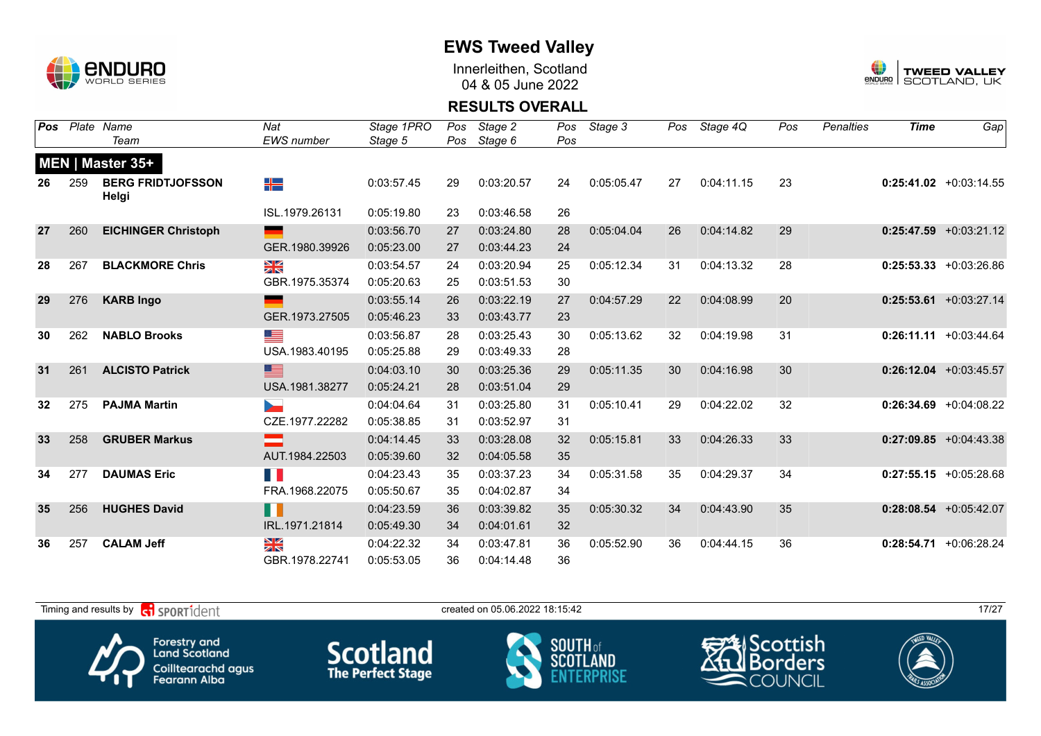

Innerleithen, Scotland 04 & 05 June 2022



#### **RESULTS OVERALL**

| Pos             |     | Plate Name                        | Nat                | Stage 1PRO | Pos | Stage 2    | Pos | Stage 3    |    | Pos Stage 4Q | Pos | Penalties | <b>Time</b> | Gap                       |
|-----------------|-----|-----------------------------------|--------------------|------------|-----|------------|-----|------------|----|--------------|-----|-----------|-------------|---------------------------|
|                 |     | Team                              | EWS number         | Stage 5    | Pos | Stage 6    | Pos |            |    |              |     |           |             |                           |
|                 |     | MEN   Master 35+                  |                    |            |     |            |     |            |    |              |     |           |             |                           |
| 26              | 259 | <b>BERG FRIDTJOFSSON</b><br>Helgi | ╉═                 | 0:03:57.45 | 29  | 0:03:20.57 | 24  | 0:05:05.47 | 27 | 0:04:11.15   | 23  |           |             | $0:25:41.02$ +0:03:14.55  |
|                 |     |                                   | ISL.1979.26131     | 0:05:19.80 | 23  | 0:03:46.58 | 26  |            |    |              |     |           |             |                           |
| 27              | 260 | <b>EICHINGER Christoph</b>        |                    | 0:03:56.70 | 27  | 0:03:24.80 | 28  | 0:05:04.04 | 26 | 0:04:14.82   | 29  |           |             | $0:25:47.59$ +0:03:21.12  |
|                 |     |                                   | GER.1980.39926     | 0:05:23.00 | 27  | 0:03:44.23 | 24  |            |    |              |     |           |             |                           |
| 28              | 267 | <b>BLACKMORE Chris</b>            | ≥k                 | 0:03:54.57 | 24  | 0:03:20.94 | 25  | 0:05:12.34 | 31 | 0:04:13.32   | 28  |           |             | $0:25:53.33 + 0:03:26.86$ |
|                 |     |                                   | GBR.1975.35374     | 0:05:20.63 | 25  | 0:03:51.53 | 30  |            |    |              |     |           |             |                           |
| 29              | 276 | <b>KARB Ingo</b>                  |                    | 0:03:55.14 | 26  | 0:03:22.19 | 27  | 0:04:57.29 | 22 | 0:04:08.99   | 20  |           |             | $0:25:53.61$ +0:03:27.14  |
|                 |     |                                   | GER.1973.27505     | 0:05:46.23 | 33  | 0:03:43.77 | 23  |            |    |              |     |           |             |                           |
| 30              | 262 | <b>NABLO Brooks</b>               | <u>est</u>         | 0:03:56.87 | 28  | 0:03:25.43 | 30  | 0:05:13.62 | 32 | 0:04:19.98   | 31  |           |             | $0:26:11.11 + 0:03:44.64$ |
|                 |     |                                   | USA.1983.40195     | 0:05:25.88 | 29  | 0:03:49.33 | 28  |            |    |              |     |           |             |                           |
| 31              | 261 | <b>ALCISTO Patrick</b>            | ▀                  | 0:04:03.10 | 30  | 0:03:25.36 | 29  | 0:05:11.35 | 30 | 0:04:16.98   | 30  |           |             | $0:26:12.04$ +0:03:45.57  |
|                 |     |                                   | USA.1981.38277     | 0:05:24.21 | 28  | 0:03:51.04 | 29  |            |    |              |     |           |             |                           |
| $32\phantom{a}$ | 275 | <b>PAJMA Martin</b>               | <b>Designation</b> | 0:04:04.64 | 31  | 0:03:25.80 | 31  | 0:05:10.41 | 29 | 0:04:22.02   | 32  |           |             | $0:26:34.69$ +0:04:08.22  |
|                 |     |                                   | CZE.1977.22282     | 0:05:38.85 | 31  | 0:03:52.97 | 31  |            |    |              |     |           |             |                           |
| 33              | 258 | <b>GRUBER Markus</b>              |                    | 0:04:14.45 | 33  | 0:03:28.08 | 32  | 0:05:15.81 | 33 | 0:04:26.33   | 33  |           |             | $0:27:09.85$ +0:04:43.38  |
|                 |     |                                   | AUT.1984.22503     | 0:05:39.60 | 32  | 0:04:05.58 | 35  |            |    |              |     |           |             |                           |
| 34              | 277 | <b>DAUMAS Eric</b>                | E.                 | 0:04:23.43 | 35  | 0:03:37.23 | 34  | 0:05:31.58 | 35 | 0:04:29.37   | 34  |           |             | $0:27:55.15$ +0:05:28.68  |
|                 |     |                                   | FRA.1968.22075     | 0:05:50.67 | 35  | 0:04:02.87 | 34  |            |    |              |     |           |             |                           |
| 35              | 256 | <b>HUGHES David</b>               | N N                | 0:04:23.59 | 36  | 0:03:39.82 | 35  | 0:05:30.32 | 34 | 0:04:43.90   | 35  |           |             | $0:28:08.54$ +0:05:42.07  |
|                 |     |                                   | IRL.1971.21814     | 0:05:49.30 | 34  | 0:04:01.61 | 32  |            |    |              |     |           |             |                           |
| 36              | 257 | <b>CALAM Jeff</b>                 | ≥k                 | 0:04:22.32 | 34  | 0:03:47.81 | 36  | 0:05:52.90 | 36 | 0:04:44.15   | 36  |           |             | $0:28:54.71$ +0:06:28.24  |
|                 |     |                                   | GBR.1978.22741     | 0:05:53.05 | 36  | 0:04:14.48 | 36  |            |    |              |     |           |             |                           |

Timing and results by  $\overline{c_1}$  SPORT1 $\overline{1}$  dent to the created on 05.06.2022 18:15:42 17/27 Scottish Forestry and<br>Land Scotland **Scotland SOUTH** of orders **SCOT** Coilltearachd agus<br>Fearann Alba COUNCIL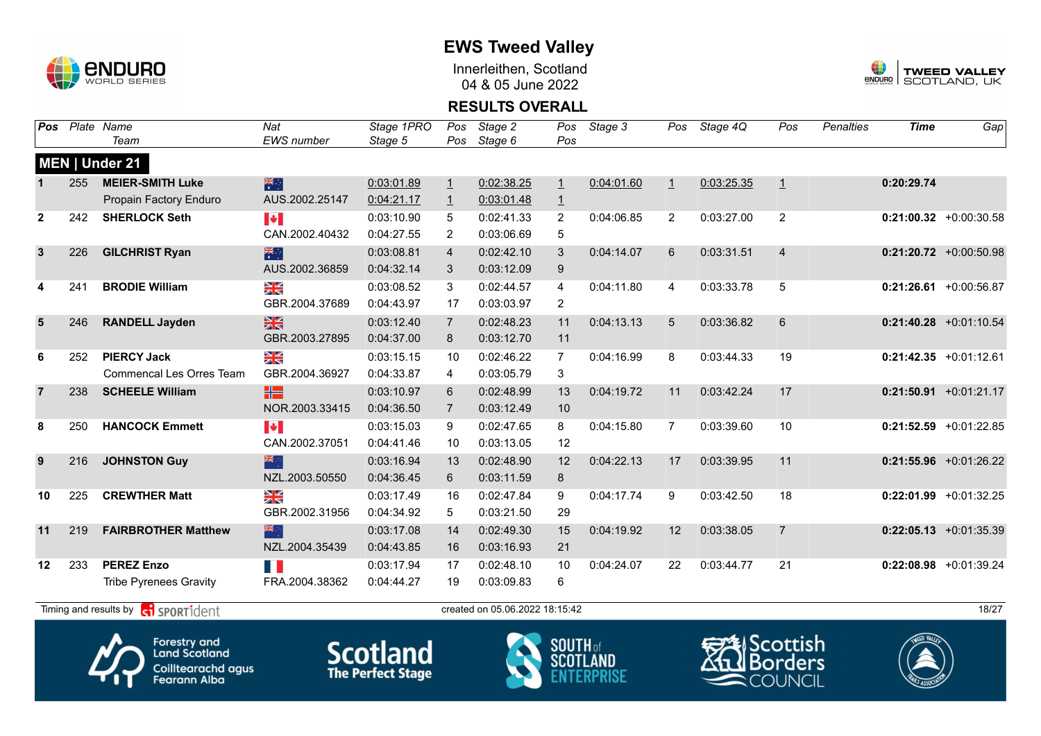

Innerleithen, Scotland 04 & 05 June 2022



#### **RESULTS OVERALL**

| Pos            |     | Plate Name                                                   | Nat                             | Stage 1PRO | Pos            | Stage 2                        | Pos            | Stage 3    | Pos            | Stage 4Q   | Pos            | <b>Penalties</b> | <b>Time</b> | Gap                       |
|----------------|-----|--------------------------------------------------------------|---------------------------------|------------|----------------|--------------------------------|----------------|------------|----------------|------------|----------------|------------------|-------------|---------------------------|
|                |     | Team                                                         | <b>EWS</b> number               | Stage 5    | Pos            | Stage 6                        | Pos            |            |                |            |                |                  |             |                           |
|                |     | MEN   Under 21                                               |                                 |            |                |                                |                |            |                |            |                |                  |             |                           |
|                | 255 | <b>MEIER-SMITH Luke</b>                                      | 米                               | 0:03:01.89 | $\overline{1}$ | 0:02:38.25                     | $\overline{1}$ | 0:04:01.60 | $\mathbf{1}$   | 0:03:25.35 | $\overline{1}$ |                  | 0:20:29.74  |                           |
|                |     | Propain Factory Enduro                                       | AUS.2002.25147                  | 0:04:21.17 | $\overline{1}$ | 0:03:01.48                     | $\overline{1}$ |            |                |            |                |                  |             |                           |
| $\mathbf{2}$   | 242 | <b>SHERLOCK Seth</b>                                         | <b>A</b>                        | 0:03:10.90 | 5              | 0:02:41.33                     | $\overline{c}$ | 0:04:06.85 | $\overline{2}$ | 0:03:27.00 | $\overline{2}$ |                  |             | $0:21:00.32$ +0:00:30.58  |
|                |     |                                                              | CAN.2002.40432                  | 0:04:27.55 | $\overline{2}$ | 0:03:06.69                     | 5              |            |                |            |                |                  |             |                           |
| $\mathbf{3}$   | 226 | <b>GILCHRIST Ryan</b>                                        | 米村                              | 0:03:08.81 | $\overline{4}$ | 0:02:42.10                     | 3              | 0:04:14.07 | 6              | 0:03:31.51 | $\overline{4}$ |                  |             | $0:21:20.72$ +0:00:50.98  |
|                |     |                                                              | AUS.2002.36859                  | 0:04:32.14 | 3              | 0:03:12.09                     | 9              |            |                |            |                |                  |             |                           |
| 4              | 241 | <b>BRODIE William</b>                                        | XK<br>X                         | 0:03:08.52 | 3              | 0:02:44.57                     | 4              | 0:04:11.80 | 4              | 0:03:33.78 | 5              |                  |             | $0:21:26.61 + 0:00:56.87$ |
|                |     |                                                              | GBR.2004.37689                  | 0:04:43.97 | 17             | 0:03:03.97                     | 2              |            |                |            |                |                  |             |                           |
| 5              | 246 | <b>RANDELL Jayden</b>                                        | $\frac{N}{N}$                   | 0:03:12.40 | $\overline{7}$ | 0:02:48.23                     | 11             | 0:04:13.13 | 5              | 0:03:36.82 | 6              |                  |             | $0:21:40.28$ +0:01:10.54  |
|                |     |                                                              | GBR.2003.27895                  | 0:04:37.00 | 8              | 0:03:12.70                     | 11             |            |                |            |                |                  |             |                           |
| 6              | 252 | <b>PIERCY Jack</b>                                           | $\frac{\mathbf{N}}{\mathbf{N}}$ | 0:03:15.15 | 10             | 0:02:46.22                     | 7              | 0:04:16.99 | 8              | 0:03:44.33 | 19             |                  |             | $0:21:42.35 +0:01:12.61$  |
|                |     | <b>Commencal Les Orres Team</b>                              | GBR.2004.36927                  | 0:04:33.87 | 4              | 0:03:05.79                     | 3              |            |                |            |                |                  |             |                           |
| $\overline{7}$ | 238 | <b>SCHEELE William</b>                                       | H .                             | 0:03:10.97 | 6              | 0:02:48.99                     | 13             | 0:04:19.72 | 11             | 0:03:42.24 | 17             |                  |             | $0:21:50.91 + 0:01:21.17$ |
|                |     |                                                              | NOR.2003.33415                  | 0:04:36.50 | $\overline{7}$ | 0:03:12.49                     | 10             |            |                |            |                |                  |             |                           |
| 8              | 250 | <b>HANCOCK Emmett</b>                                        | <b>A</b>                        | 0:03:15.03 | 9              | 0:02:47.65                     | 8              | 0:04:15.80 | $\overline{7}$ | 0:03:39.60 | 10             |                  |             | $0:21:52.59$ +0:01:22.85  |
|                |     |                                                              | CAN.2002.37051                  | 0:04:41.46 | 10             | 0:03:13.05                     | 12             |            |                |            |                |                  |             |                           |
| 9              | 216 | <b>JOHNSTON Guy</b>                                          | 米                               | 0:03:16.94 | 13             | 0:02:48.90                     | 12             | 0:04:22.13 | 17             | 0:03:39.95 | 11             |                  |             | $0:21:55.96$ +0:01:26.22  |
|                |     |                                                              | NZL.2003.50550                  | 0:04:36.45 | 6              | 0:03:11.59                     | 8              |            |                |            |                |                  |             |                           |
| 10             | 225 | <b>CREWTHER Matt</b>                                         | $\frac{N}{N}$                   | 0:03:17.49 | 16             | 0:02:47.84                     | 9              | 0:04:17.74 | 9              | 0:03:42.50 | 18             |                  |             | $0:22:01.99$ +0:01:32.25  |
|                |     |                                                              | GBR.2002.31956                  | 0:04:34.92 | 5              | 0:03:21.50                     | 29             |            |                |            |                |                  |             |                           |
| 11             | 219 | <b>FAIRBROTHER Matthew</b>                                   | 米                               | 0:03:17.08 | 14             | 0:02:49.30                     | 15             | 0:04:19.92 | 12             | 0:03:38.05 | $\overline{7}$ |                  |             | $0:22:05.13 + 0:01:35.39$ |
|                |     |                                                              | NZL.2004.35439                  | 0:04:43.85 | 16             | 0:03:16.93                     | 21             |            |                |            |                |                  |             |                           |
| 12             | 233 | <b>PEREZ Enzo</b>                                            | H                               | 0:03:17.94 | 17             | 0:02:48.10                     | 10             | 0:04:24.07 | 22             | 0:03:44.77 | 21             |                  |             | $0:22:08.98$ +0:01:39.24  |
|                |     | <b>Tribe Pyrenees Gravity</b>                                | FRA.2004.38362                  | 0:04:44.27 | 19             | 0:03:09.83                     | 6              |            |                |            |                |                  |             |                           |
|                |     |                                                              |                                 |            |                |                                |                |            |                |            |                |                  |             | 18/27                     |
|                |     | Timing and results by $\left  \mathbf{c} \right $ sportident |                                 |            |                | created on 05.06.2022 18:15:42 |                |            |                |            |                |                  |             |                           |

Forestry and<br>Land Scotland Coilltearachd agus<br>Fearann Alba **Scotland** 



Scottish **Borders COUNCIL** 

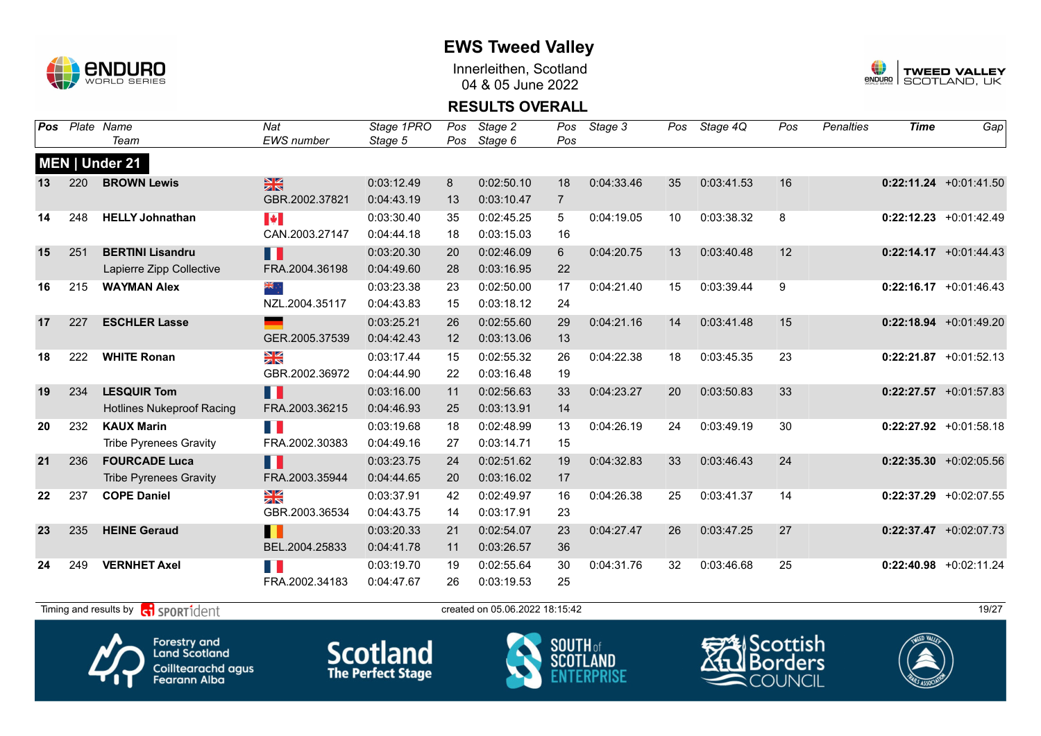

Innerleithen, Scotland 04 & 05 June 2022



#### **RESULTS OVERALL**

| Pos |     | Plate Name                       | Nat                   | Stage 1PRO | Pos | Stage 2    | Pos            | Stage 3    | Pos | Stage 4Q   | Pos | <b>Penalties</b> | <b>Time</b> | Gap                      |
|-----|-----|----------------------------------|-----------------------|------------|-----|------------|----------------|------------|-----|------------|-----|------------------|-------------|--------------------------|
|     |     | Team                             | <b>EWS</b> number     | Stage 5    | Pos | Stage 6    | Pos            |            |     |            |     |                  |             |                          |
|     |     | MEN   Under 21                   |                       |            |     |            |                |            |     |            |     |                  |             |                          |
| 13  | 220 | <b>BROWN Lewis</b>               | $\frac{N}{N}$         | 0:03:12.49 | 8   | 0:02:50.10 | 18             | 0:04:33.46 | 35  | 0:03:41.53 | 16  |                  |             | $0:22:11.24$ +0:01:41.50 |
|     |     |                                  | GBR.2002.37821        | 0:04:43.19 | 13  | 0:03:10.47 | $\overline{7}$ |            |     |            |     |                  |             |                          |
| 14  | 248 | <b>HELLY Johnathan</b>           | $\blacktriangleright$ | 0:03:30.40 | 35  | 0:02:45.25 | 5              | 0:04:19.05 | 10  | 0:03:38.32 | 8   |                  |             | $0:22:12.23 +0:01:42.49$ |
|     |     |                                  | CAN.2003.27147        | 0:04:44.18 | 18  | 0:03:15.03 | 16             |            |     |            |     |                  |             |                          |
| 15  | 251 | <b>BERTINI Lisandru</b>          | Ш                     | 0:03:20.30 | 20  | 0:02:46.09 | 6              | 0:04:20.75 | 13  | 0:03:40.48 | 12  |                  |             | $0:22:14.17$ +0:01:44.43 |
|     |     | Lapierre Zipp Collective         | FRA.2004.36198        | 0:04:49.60 | 28  | 0:03:16.95 | 22             |            |     |            |     |                  |             |                          |
| 16  | 215 | <b>WAYMAN Alex</b>               | ▓                     | 0:03:23.38 | 23  | 0:02:50.00 | 17             | 0:04:21.40 | 15  | 0:03:39.44 | 9   |                  |             | $0:22:16.17$ +0:01:46.43 |
|     |     |                                  | NZL.2004.35117        | 0:04:43.83 | 15  | 0:03:18.12 | 24             |            |     |            |     |                  |             |                          |
| 17  | 227 | <b>ESCHLER Lasse</b>             |                       | 0:03:25.21 | 26  | 0:02:55.60 | 29             | 0:04:21.16 | 14  | 0:03:41.48 | 15  |                  |             | $0:22:18.94 +0:01:49.20$ |
|     |     |                                  | GER.2005.37539        | 0:04:42.43 | 12  | 0:03:13.06 | 13             |            |     |            |     |                  |             |                          |
| 18  | 222 | <b>WHITE Ronan</b>               | $\frac{N}{N}$         | 0:03:17.44 | 15  | 0:02:55.32 | 26             | 0:04:22.38 | 18  | 0:03:45.35 | 23  |                  |             | $0:22:21.87$ +0:01:52.13 |
|     |     |                                  | GBR.2002.36972        | 0:04:44.90 | 22  | 0:03:16.48 | 19             |            |     |            |     |                  |             |                          |
| 19  | 234 | <b>LESQUIR Tom</b>               | Ш                     | 0:03:16.00 | 11  | 0:02:56.63 | 33             | 0:04:23.27 | 20  | 0:03:50.83 | 33  |                  |             | $0:22:27.57$ +0:01:57.83 |
|     |     | <b>Hotlines Nukeproof Racing</b> | FRA.2003.36215        | 0:04:46.93 | 25  | 0:03:13.91 | 14             |            |     |            |     |                  |             |                          |
| 20  | 232 | <b>KAUX Marin</b>                | FI I                  | 0:03:19.68 | 18  | 0:02:48.99 | 13             | 0:04:26.19 | 24  | 0:03:49.19 | 30  |                  |             | $0:22:27.92$ +0:01:58.18 |
|     |     | <b>Tribe Pyrenees Gravity</b>    | FRA.2002.30383        | 0:04:49.16 | 27  | 0:03:14.71 | 15             |            |     |            |     |                  |             |                          |
| 21  | 236 | <b>FOURCADE Luca</b>             | H.                    | 0:03:23.75 | 24  | 0:02:51.62 | 19             | 0:04:32.83 | 33  | 0:03:46.43 | 24  |                  |             | $0:22:35.30$ +0:02:05.56 |
|     |     | <b>Tribe Pyrenees Gravity</b>    | FRA.2003.35944        | 0:04:44.65 | 20  | 0:03:16.02 | 17             |            |     |            |     |                  |             |                          |
| 22  | 237 | <b>COPE Daniel</b>               | $\frac{N}{N}$         | 0:03:37.91 | 42  | 0:02:49.97 | 16             | 0:04:26.38 | 25  | 0:03:41.37 | 14  |                  |             | $0:22:37.29$ +0:02:07.55 |
|     |     |                                  | GBR.2003.36534        | 0:04:43.75 | 14  | 0:03:17.91 | 23             |            |     |            |     |                  |             |                          |
| 23  | 235 | <b>HEINE Geraud</b>              | H                     | 0:03:20.33 | 21  | 0:02:54.07 | 23             | 0:04:27.47 | 26  | 0:03:47.25 | 27  |                  |             | $0:22:37.47$ +0:02:07.73 |
|     |     |                                  | BEL.2004.25833        | 0:04:41.78 | 11  | 0:03:26.57 | 36             |            |     |            |     |                  |             |                          |
| 24  | 249 | <b>VERNHET Axel</b>              | T N                   | 0:03:19.70 | 19  | 0:02:55.64 | 30             | 0:04:31.76 | 32  | 0:03:46.68 | 25  |                  |             | $0:22:40.98$ +0:02:11.24 |
|     |     |                                  | FRA.2002.34183        | 0:04:47.67 | 26  | 0:03:19.53 | 25             |            |     |            |     |                  |             |                          |
|     |     |                                  |                       |            |     |            |                |            |     |            |     |                  |             |                          |



Forestry and<br>Land Scotland Coilltearachd agus<br>Fearann Alba







Timing and results by  $\overline{c_1}$  SPORT1 $\overline{d}$  enter the created on 05.06.2022 18:15:42 19/27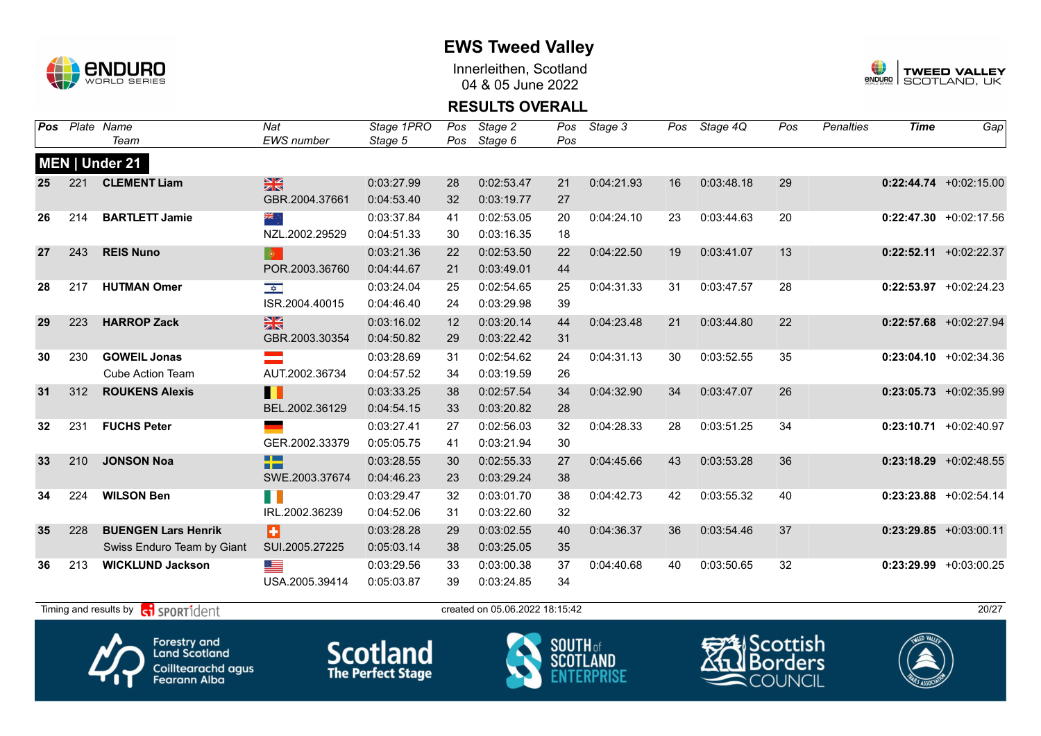

Innerleithen, Scotland 04 & 05 June 2022



#### **RESULTS OVERALL**

|    |     | Pos Plate Name                                                                                                                                             | Nat                       | Stage 1PRO | Pos | Stage 2                        | Pos | Stage 3    | Pos | Stage 4Q   | Pos | <b>Penalties</b> | <b>Time</b> | Gap                       |
|----|-----|------------------------------------------------------------------------------------------------------------------------------------------------------------|---------------------------|------------|-----|--------------------------------|-----|------------|-----|------------|-----|------------------|-------------|---------------------------|
|    |     | Team                                                                                                                                                       | <b>EWS</b> number         | Stage 5    | Pos | Stage 6                        | Pos |            |     |            |     |                  |             |                           |
|    |     | MEN   Under 21                                                                                                                                             |                           |            |     |                                |     |            |     |            |     |                  |             |                           |
| 25 | 221 | <b>CLEMENT Liam</b>                                                                                                                                        | $\frac{N}{N}$             | 0:03:27.99 | 28  | 0:02:53.47                     | 21  | 0:04:21.93 | 16  | 0:03:48.18 | 29  |                  |             | $0:22:44.74$ +0:02:15.00  |
|    |     |                                                                                                                                                            | GBR.2004.37661            | 0:04:53.40 | 32  | 0:03:19.77                     | 27  |            |     |            |     |                  |             |                           |
| 26 | 214 | <b>BARTLETT Jamie</b>                                                                                                                                      | ÷, ak                     | 0:03:37.84 | 41  | 0:02:53.05                     | 20  | 0:04:24.10 | 23  | 0:03:44.63 | 20  |                  |             | $0:22:47.30$ +0:02:17.56  |
|    |     |                                                                                                                                                            | NZL.2002.29529            | 0:04:51.33 | 30  | 0:03:16.35                     | 18  |            |     |            |     |                  |             |                           |
| 27 | 243 | <b>REIS Nuno</b>                                                                                                                                           | $\langle \bullet \rangle$ | 0:03:21.36 | 22  | 0:02:53.50                     | 22  | 0:04:22.50 | 19  | 0:03:41.07 | 13  |                  |             | $0:22:52.11$ +0:02:22.37  |
|    |     |                                                                                                                                                            | POR.2003.36760            | 0:04:44.67 | 21  | 0:03:49.01                     | 44  |            |     |            |     |                  |             |                           |
| 28 | 217 | <b>HUTMAN Omer</b>                                                                                                                                         | $\frac{1}{\sqrt{2}}$      | 0:03:24.04 | 25  | 0:02:54.65                     | 25  | 0:04:31.33 | 31  | 0:03:47.57 | 28  |                  |             | $0:22:53.97$ +0:02:24.23  |
|    |     |                                                                                                                                                            | ISR.2004.40015            | 0:04:46.40 | 24  | 0:03:29.98                     | 39  |            |     |            |     |                  |             |                           |
| 29 | 223 | <b>HARROP Zack</b>                                                                                                                                         | 黑                         | 0:03:16.02 | 12  | 0:03:20.14                     | 44  | 0:04:23.48 | 21  | 0:03:44.80 | 22  |                  |             | $0:22:57.68$ +0:02:27.94  |
|    |     |                                                                                                                                                            | GBR.2003.30354            | 0:04:50.82 | 29  | 0:03:22.42                     | 31  |            |     |            |     |                  |             |                           |
| 30 | 230 | <b>GOWEIL Jonas</b>                                                                                                                                        |                           | 0:03:28.69 | 31  | 0:02:54.62                     | 24  | 0:04:31.13 | 30  | 0:03:52.55 | 35  |                  |             | $0:23:04.10 + 0:02:34.36$ |
|    |     | <b>Cube Action Team</b>                                                                                                                                    | AUT.2002.36734            | 0:04:57.52 | 34  | 0:03:19.59                     | 26  |            |     |            |     |                  |             |                           |
| 31 | 312 | <b>ROUKENS Alexis</b>                                                                                                                                      | Ш                         | 0:03:33.25 | 38  | 0:02:57.54                     | 34  | 0:04:32.90 | 34  | 0:03:47.07 | 26  |                  |             | $0:23:05.73$ +0:02:35.99  |
|    |     |                                                                                                                                                            | BEL.2002.36129            | 0:04:54.15 | 33  | 0:03:20.82                     | 28  |            |     |            |     |                  |             |                           |
| 32 | 231 | <b>FUCHS Peter</b>                                                                                                                                         |                           | 0:03:27.41 | 27  | 0:02:56.03                     | 32  | 0:04:28.33 | 28  | 0:03:51.25 | 34  |                  |             | $0:23:10.71$ +0:02:40.97  |
|    |     |                                                                                                                                                            | GER.2002.33379            | 0:05:05.75 | 41  | 0:03:21.94                     | 30  |            |     |            |     |                  |             |                           |
| 33 | 210 | <b>JONSON Noa</b>                                                                                                                                          | <u>e a</u><br><b>BEE</b>  | 0:03:28.55 | 30  | 0:02:55.33                     | 27  | 0:04:45.66 | 43  | 0:03:53.28 | 36  |                  |             | $0:23:18.29$ +0:02:48.55  |
|    |     |                                                                                                                                                            | SWE.2003.37674            | 0:04:46.23 | 23  | 0:03:29.24                     | 38  |            |     |            |     |                  |             |                           |
| 34 | 224 | <b>WILSON Ben</b>                                                                                                                                          | H.                        | 0:03:29.47 | 32  | 0:03:01.70                     | 38  | 0:04:42.73 | 42  | 0:03:55.32 | 40  |                  |             | $0:23:23.88$ +0:02:54.14  |
|    |     |                                                                                                                                                            | IRL.2002.36239            | 0:04:52.06 | 31  | 0:03:22.60                     | 32  |            |     |            |     |                  |             |                           |
| 35 | 228 | <b>BUENGEN Lars Henrik</b>                                                                                                                                 | в                         | 0:03:28.28 | 29  | 0:03:02.55                     | 40  | 0:04:36.37 | 36  | 0:03:54.46 | 37  |                  |             | $0:23:29.85$ +0:03:00.11  |
|    |     | Swiss Enduro Team by Giant                                                                                                                                 | SUI.2005.27225            | 0:05:03.14 | 38  | 0:03:25.05                     | 35  |            |     |            |     |                  |             |                           |
| 36 | 213 | <b>WICKLUND Jackson</b>                                                                                                                                    | <u>est</u>                | 0:03:29.56 | 33  | 0:03:00.38                     | 37  | 0:04:40.68 | 40  | 0:03:50.65 | 32  |                  |             | $0:23:29.99$ +0:03:00.25  |
|    |     |                                                                                                                                                            | USA.2005.39414            | 0:05:03.87 | 39  | 0:03:24.85                     | 34  |            |     |            |     |                  |             |                           |
|    |     | Timing and results by $\left  \begin{array}{c} \bullet \\ \bullet \end{array} \right $ SPORT1 $\left  \begin{array}{c} \circ \\ \circ \end{array} \right $ |                           |            |     | created on 05.06.2022 18:15:42 |     |            |     |            |     |                  |             | 20/27                     |









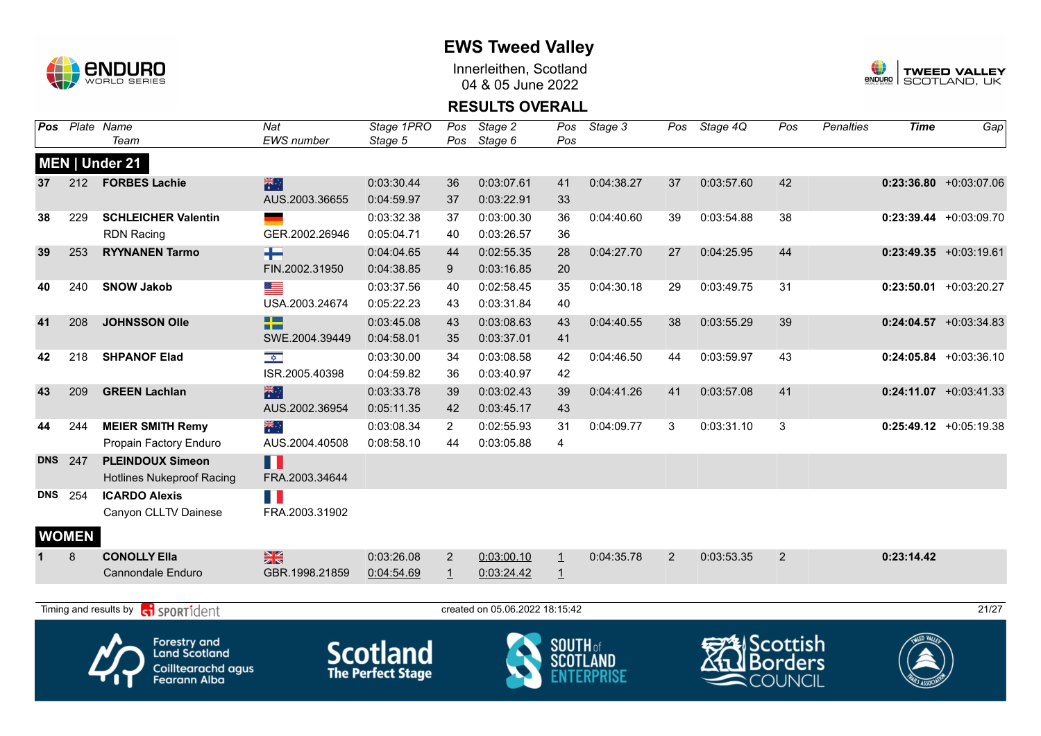

Innerleithen, Scotland 04 & 05 June 2022



### **RESULTS OVERALL**

| Pos        |              | Plate Name<br>Team                                                                       | Nat<br>EWS number               | Stage 1PRO<br>Stage 5                       | Pos<br>Pos     | Stage 2<br>Stage 6             | Pos<br>Pos      | Stage 3    | Pos | Stage 4Q   | Pos                                          | <b>Penalties</b> | <b>Time</b> | Gap                       |
|------------|--------------|------------------------------------------------------------------------------------------|---------------------------------|---------------------------------------------|----------------|--------------------------------|-----------------|------------|-----|------------|----------------------------------------------|------------------|-------------|---------------------------|
|            |              | MEN   Under 21                                                                           |                                 |                                             |                |                                |                 |            |     |            |                                              |                  |             |                           |
| 37         | 212          | <b>FORBES Lachie</b>                                                                     | 業                               | 0:03:30.44                                  | 36             | 0:03:07.61                     | 41              | 0:04:38.27 | 37  | 0:03:57.60 | 42                                           |                  |             | $0:23:36.80 + 0:03:07.06$ |
|            |              |                                                                                          | AUS.2003.36655                  | 0:04:59.97                                  | 37             | 0:03:22.91                     | 33              |            |     |            |                                              |                  |             |                           |
| 38         | 229          | <b>SCHLEICHER Valentin</b>                                                               |                                 | 0:03:32.38                                  | 37             | 0:03:00.30                     | 36              | 0:04:40.60 | 39  | 0:03:54.88 | 38                                           |                  |             | $0:23:39.44 +0:03:09.70$  |
|            |              | <b>RDN Racing</b>                                                                        | GER.2002.26946                  | 0:05:04.71                                  | 40             | 0:03:26.57                     | 36              |            |     |            |                                              |                  |             |                           |
| 39         | 253          | <b>RYYNANEN Tarmo</b>                                                                    | ╄                               | 0:04:04.65                                  | 44             | 0:02:55.35                     | 28              | 0:04:27.70 | 27  | 0:04:25.95 | 44                                           |                  |             | $0:23:49.35$ +0:03:19.61  |
|            |              |                                                                                          | FIN.2002.31950                  | 0:04:38.85                                  | 9              | 0:03:16.85                     | 20              |            |     |            |                                              |                  |             |                           |
| 40         | 240          | <b>SNOW Jakob</b>                                                                        | ▀                               | 0:03:37.56                                  | 40             | 0:02:58.45                     | 35              | 0:04:30.18 | 29  | 0:03:49.75 | 31                                           |                  |             | $0:23:50.01$ +0:03:20.27  |
|            |              |                                                                                          | USA.2003.24674                  | 0:05:22.23                                  | 43             | 0:03:31.84                     | 40              |            |     |            |                                              |                  |             |                           |
| 41         | 208          | <b>JOHNSSON Olle</b>                                                                     | <b>TELESCOPE</b><br><b>Film</b> | 0:03:45.08                                  | 43             | 0:03:08.63                     | 43              | 0:04:40.55 | 38  | 0:03:55.29 | 39                                           |                  |             | $0:24:04.57$ +0:03:34.83  |
|            |              |                                                                                          | SWE.2004.39449                  | 0:04:58.01                                  | 35             | 0:03:37.01                     | 41              |            |     |            |                                              |                  |             |                           |
| 42         | 218          | <b>SHPANOF Elad</b>                                                                      | $\frac{1}{\sqrt{2}}$            | 0:03:30.00                                  | 34             | 0:03:08.58                     | 42              | 0:04:46.50 | 44  | 0:03:59.97 | 43                                           |                  |             | $0:24:05.84$ +0:03:36.10  |
|            |              |                                                                                          | ISR.2005.40398                  | 0:04:59.82                                  | 36             | 0:03:40.97                     | 42              |            |     |            |                                              |                  |             |                           |
| 43         | 209          | <b>GREEN Lachlan</b>                                                                     | 米                               | 0:03:33.78                                  | 39             | 0:03:02.43                     | 39              | 0:04:41.26 | 41  | 0:03:57.08 | 41                                           |                  |             | $0:24:11.07$ +0:03:41.33  |
|            |              |                                                                                          | AUS.2002.36954                  | 0:05:11.35                                  | 42             | 0:03:45.17                     | 43              |            |     |            |                                              |                  |             |                           |
| 44         | 244          | <b>MEIER SMITH Remy</b>                                                                  | ्हें                            | 0:03:08.34                                  | $\overline{2}$ | 0:02:55.93                     | 31              | 0:04:09.77 | 3   | 0:03:31.10 | 3                                            |                  |             | $0:25:49.12$ +0:05:19.38  |
|            |              | Propain Factory Enduro                                                                   | AUS.2004.40508                  | 0:08:58.10                                  | 44             | 0:03:05.88                     | $\overline{4}$  |            |     |            |                                              |                  |             |                           |
| <b>DNS</b> | 247          | <b>PLEINDOUX Simeon</b><br><b>Hotlines Nukeproof Racing</b>                              | Ш<br>FRA.2003.34644             |                                             |                |                                |                 |            |     |            |                                              |                  |             |                           |
| <b>DNS</b> | 254          | <b>ICARDO Alexis</b>                                                                     | n K                             |                                             |                |                                |                 |            |     |            |                                              |                  |             |                           |
|            |              | Canyon CLLTV Dainese                                                                     | FRA.2003.31902                  |                                             |                |                                |                 |            |     |            |                                              |                  |             |                           |
|            | <b>WOMEN</b> |                                                                                          |                                 |                                             |                |                                |                 |            |     |            |                                              |                  |             |                           |
|            | 8            | <b>CONOLLY Ella</b>                                                                      | $\frac{N}{2}$                   | 0:03:26.08                                  | $\overline{2}$ | 0:03:00.10                     | $\mathbf{1}$    | 0:04:35.78 | 2   | 0:03:53.35 | 2                                            |                  | 0:23:14.42  |                           |
|            |              | <b>Cannondale Enduro</b>                                                                 | GBR.1998.21859                  | 0:04:54.69                                  | $\overline{1}$ | 0:03:24.42                     | $\perp$         |            |     |            |                                              |                  |             |                           |
|            |              |                                                                                          |                                 |                                             |                |                                |                 |            |     |            |                                              |                  |             |                           |
|            |              | Timing and results by<br><b>R</b> sportident                                             |                                 |                                             |                | created on 05.06.2022 18:15:42 |                 |            |     |            |                                              |                  |             | 21/27                     |
|            |              | Forestry and<br><b>Land Scotland</b><br><b>Coilltearachd agus</b><br><b>Fearann Alba</b> |                                 | <b>Scotland</b><br><b>The Perfect Stage</b> |                |                                | <b>SOUTH</b> of |            |     |            | Scottish<br><b>Borders</b><br><b>COUNCIL</b> |                  |             |                           |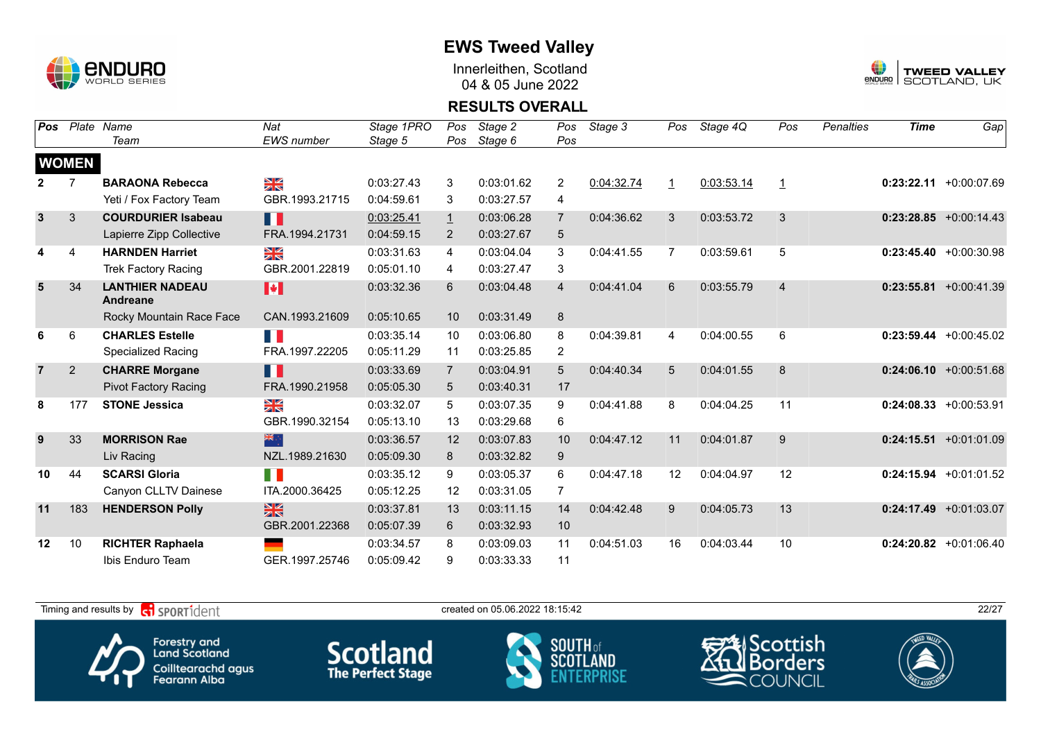

Innerleithen, Scotland 04 & 05 June 2022



### **RESULTS OVERALL**

| Pos                     |                | Plate Name                         | Nat                   | Stage 1PRO | Pos               | Stage 2    | Pos            | Stage 3    | Pos          | Stage 4Q   | Pos            | Penalties | <b>Time</b> | Gap                       |
|-------------------------|----------------|------------------------------------|-----------------------|------------|-------------------|------------|----------------|------------|--------------|------------|----------------|-----------|-------------|---------------------------|
|                         |                | Team                               | <b>EWS</b> number     | Stage 5    | Pos               | Stage 6    | Pos            |            |              |            |                |           |             |                           |
|                         | <b>WOMEN</b>   |                                    |                       |            |                   |            |                |            |              |            |                |           |             |                           |
|                         |                | <b>BARAONA Rebecca</b>             | ¥≼                    | 0:03:27.43 | 3                 | 0:03:01.62 | $\overline{2}$ | 0:04:32.74 | $\mathbf{1}$ | 0:03:53.14 | $\mathbf{1}$   |           |             | $0:23:22.11 + 0:00:07.69$ |
|                         |                | Yeti / Fox Factory Team            | GBR.1993.21715        | 0:04:59.61 | 3                 | 0:03:27.57 | 4              |            |              |            |                |           |             |                           |
| $\overline{\mathbf{3}}$ | 3              | <b>COURDURIER Isabeau</b>          | H                     | 0:03:25.41 | $\overline{1}$    | 0:03:06.28 | $\overline{7}$ | 0:04:36.62 | 3            | 0:03:53.72 | 3              |           |             | $0:23:28.85 + 0:00:14.43$ |
|                         |                | Lapierre Zipp Collective           | FRA.1994.21731        | 0:04:59.15 | $\overline{2}$    | 0:03:27.67 | 5              |            |              |            |                |           |             |                           |
| 4                       | $\overline{4}$ | <b>HARNDEN Harriet</b>             | $\frac{N}{N}$         | 0:03:31.63 | 4                 | 0:03:04.04 | 3              | 0:04:41.55 | 7            | 0:03:59.61 | 5              |           |             | $0:23:45.40 + 0:00:30.98$ |
|                         |                | <b>Trek Factory Racing</b>         | GBR.2001.22819        | 0:05:01.10 | 4                 | 0:03:27.47 | 3              |            |              |            |                |           |             |                           |
| 5                       | 34             | <b>LANTHIER NADEAU</b><br>Andreane | $\blacktriangleright$ | 0:03:32.36 | 6                 | 0:03:04.48 | $\overline{4}$ | 0:04:41.04 | 6            | 0:03:55.79 | $\overline{4}$ |           |             | $0:23:55.81 + 0:00:41.39$ |
|                         |                | Rocky Mountain Race Face           | CAN.1993.21609        | 0:05:10.65 | 10                | 0:03:31.49 | 8              |            |              |            |                |           |             |                           |
| 6                       | 6              | <b>CHARLES Estelle</b>             | H                     | 0:03:35.14 | 10                | 0:03:06.80 | 8              | 0:04:39.81 | 4            | 0:04:00.55 | 6              |           |             | $0:23:59.44 + 0:00:45.02$ |
|                         |                | <b>Specialized Racing</b>          | FRA.1997.22205        | 0:05:11.29 | 11                | 0:03:25.85 | $\overline{2}$ |            |              |            |                |           |             |                           |
| $\overline{7}$          | $\overline{2}$ | <b>CHARRE Morgane</b>              | П                     | 0:03:33.69 | $\overline{7}$    | 0:03:04.91 | 5              | 0:04:40.34 | 5            | 0:04:01.55 | 8              |           |             | $0:24:06.10 + 0:00:51.68$ |
|                         |                | <b>Pivot Factory Racing</b>        | FRA.1990.21958        | 0:05:05.30 | 5                 | 0:03:40.31 | 17             |            |              |            |                |           |             |                           |
| 8                       | 177            | <b>STONE Jessica</b>               | N<br>X                | 0:03:32.07 | 5                 | 0:03:07.35 | 9              | 0:04:41.88 | 8            | 0:04:04.25 | 11             |           |             | $0:24:08.33 + 0:00:53.91$ |
|                         |                |                                    | GBR.1990.32154        | 0:05:13.10 | 13                | 0:03:29.68 | 6              |            |              |            |                |           |             |                           |
| 9                       | 33             | <b>MORRISON Rae</b>                | 米                     | 0:03:36.57 | 12                | 0:03:07.83 | 10             | 0:04:47.12 | 11           | 0:04:01.87 | 9              |           |             | $0:24:15.51 + 0:01:01.09$ |
|                         |                | Liv Racing                         | NZL.1989.21630        | 0:05:09.30 | 8                 | 0:03:32.82 | 9              |            |              |            |                |           |             |                           |
| 10                      | 44             | <b>SCARSI Gloria</b>               | H                     | 0:03:35.12 | 9                 | 0:03:05.37 | 6              | 0:04:47.18 | 12           | 0:04:04.97 | 12             |           |             | $0:24:15.94 +0:01:01.52$  |
|                         |                | Canyon CLLTV Dainese               | ITA.2000.36425        | 0:05:12.25 | $12 \overline{ }$ | 0:03:31.05 | 7              |            |              |            |                |           |             |                           |
| 11                      | 183            | <b>HENDERSON Polly</b>             | $\frac{N}{N}$         | 0:03:37.81 | 13                | 0:03:11.15 | 14             | 0:04:42.48 | 9            | 0:04:05.73 | 13             |           |             | $0:24:17.49 +0:01:03.07$  |
|                         |                |                                    | GBR.2001.22368        | 0:05:07.39 | 6                 | 0:03:32.93 | 10             |            |              |            |                |           |             |                           |
| 12                      | 10             | <b>RICHTER Raphaela</b>            | ٠                     | 0:03:34.57 | 8                 | 0:03:09.03 | 11             | 0:04:51.03 | 16           | 0:04:03.44 | 10             |           |             | $0:24:20.82$ +0:01:06.40  |
|                         |                | Ibis Enduro Team                   | GER.1997.25746        | 0:05:09.42 | 9                 | 0:03:33.33 | 11             |            |              |            |                |           |             |                           |

Timing and results by  $\overline{c_1}$  SPORT1 $\overline{d}$  entropy created on 05.06.2022 18:15:42 Scottish Forestry and<br>Land Scotland **Scotland SOUTH** of orders **SCOT** Coilltearachd agus<br>Fearann Alba COUNCIL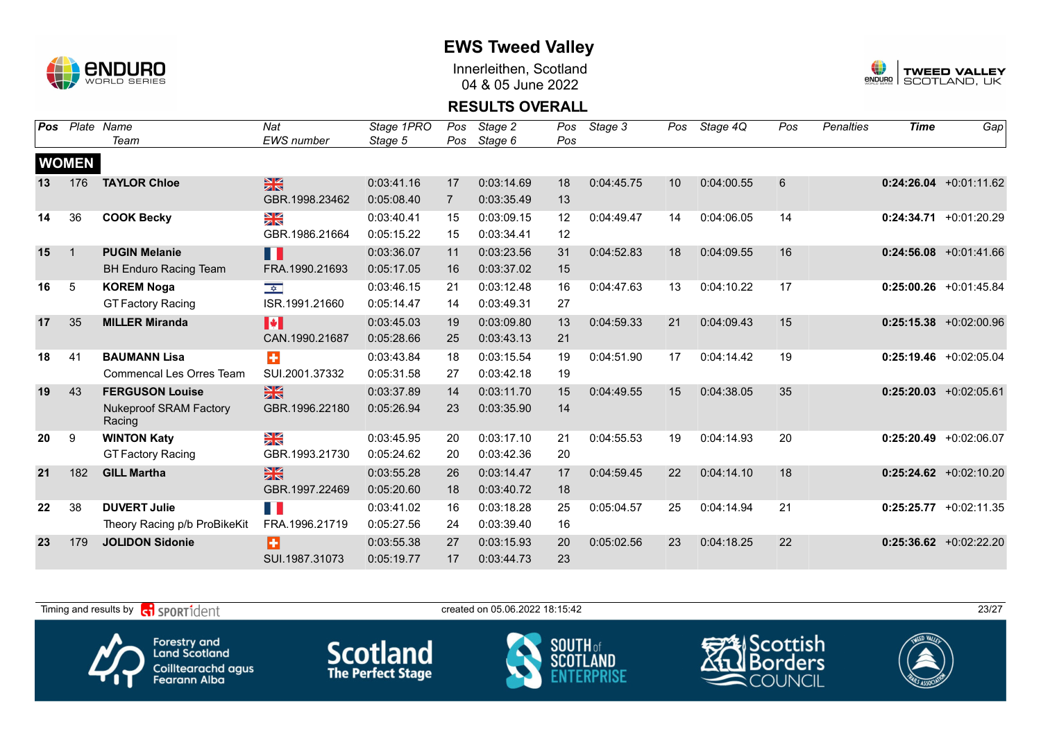

Innerleithen, Scotland 04 & 05 June 2022



### **RESULTS OVERALL**

| <b>Pos</b> | Plate        | Name                                    | Nat                     | Stage 1PRO | Pos            | Stage 2    | Pos | Stage 3    | Pos | Stage 4Q   | Pos | <b>Penalties</b> | <b>Time</b> | Gap                       |
|------------|--------------|-----------------------------------------|-------------------------|------------|----------------|------------|-----|------------|-----|------------|-----|------------------|-------------|---------------------------|
|            |              | Team                                    | <b>EWS</b> number       | Stage 5    | Pos            | Stage 6    | Pos |            |     |            |     |                  |             |                           |
|            | <b>WOMEN</b> |                                         |                         |            |                |            |     |            |     |            |     |                  |             |                           |
| 13         | 176          | <b>TAYLOR Chloe</b>                     | $\frac{N}{N}$           | 0:03:41.16 | 17             | 0:03:14.69 | 18  | 0:04:45.75 | 10  | 0:04:00.55 | 6   |                  |             | $0:24:26.04$ +0:01:11.62  |
|            |              |                                         | GBR.1998.23462          | 0:05:08.40 | $\overline{7}$ | 0:03:35.49 | 13  |            |     |            |     |                  |             |                           |
| 14         | 36           | <b>COOK Becky</b>                       | ≫<br>X                  | 0:03:40.41 | 15             | 0:03:09.15 | 12  | 0:04:49.47 | 14  | 0:04:06.05 | 14  |                  |             | $0:24:34.71 + 0:01:20.29$ |
|            |              |                                         | GBR.1986.21664          | 0:05:15.22 | 15             | 0:03:34.41 | 12  |            |     |            |     |                  |             |                           |
| 15         | $\mathbf{1}$ | <b>PUGIN Melanie</b>                    | П                       | 0:03:36.07 | 11             | 0:03:23.56 | 31  | 0:04:52.83 | 18  | 0:04:09.55 | 16  |                  |             | $0:24:56.08$ +0:01:41.66  |
|            |              | <b>BH Enduro Racing Team</b>            | FRA.1990.21693          | 0:05:17.05 | 16             | 0:03:37.02 | 15  |            |     |            |     |                  |             |                           |
| 16         | $\sqrt{5}$   | <b>KOREM Noga</b>                       | $\frac{1}{2}$           | 0:03:46.15 | 21             | 0:03:12.48 | 16  | 0:04:47.63 | 13  | 0:04:10.22 | 17  |                  |             | $0:25:00.26$ +0:01:45.84  |
|            |              | <b>GT Factory Racing</b>                | ISR.1991.21660          | 0:05:14.47 | 14             | 0:03:49.31 | 27  |            |     |            |     |                  |             |                           |
| 17         | 35           | <b>MILLER Miranda</b>                   | H                       | 0:03:45.03 | 19             | 0:03:09.80 | 13  | 0:04:59.33 | 21  | 0:04:09.43 | 15  |                  |             | $0:25:15.38$ +0:02:00.96  |
|            |              |                                         | CAN.1990.21687          | 0:05:28.66 | 25             | 0:03:43.13 | 21  |            |     |            |     |                  |             |                           |
| 18         | 41           | <b>BAUMANN Lisa</b>                     | $\ddot{}$               | 0:03:43.84 | 18             | 0:03:15.54 | 19  | 0:04:51.90 | 17  | 0:04:14.42 | 19  |                  |             | $0:25:19.46$ +0:02:05.04  |
|            |              | Commencal Les Orres Team                | SUI.2001.37332          | 0:05:31.58 | 27             | 0:03:42.18 | 19  |            |     |            |     |                  |             |                           |
| 19         | 43           | <b>FERGUSON Louise</b>                  | $\frac{N}{N}$           | 0:03:37.89 | 14             | 0:03:11.70 | 15  | 0:04:49.55 | 15  | 0:04:38.05 | 35  |                  |             | $0:25:20.03$ +0:02:05.61  |
|            |              | <b>Nukeproof SRAM Factory</b><br>Racing | GBR.1996.22180          | 0:05:26.94 | 23             | 0:03:35.90 | 14  |            |     |            |     |                  |             |                           |
| 20         | 9            | <b>WINTON Katy</b>                      | $\frac{\sum x}{\sum x}$ | 0:03:45.95 | 20             | 0:03:17.10 | 21  | 0:04:55.53 | 19  | 0:04:14.93 | 20  |                  |             | $0:25:20.49$ +0:02:06.07  |
|            |              | <b>GT Factory Racing</b>                | GBR.1993.21730          | 0:05:24.62 | 20             | 0:03:42.36 | 20  |            |     |            |     |                  |             |                           |
| 21         | 182          | <b>GILL Martha</b>                      | $\frac{N}{N}$           | 0:03:55.28 | 26             | 0:03:14.47 | 17  | 0:04:59.45 | 22  | 0:04:14.10 | 18  |                  |             | $0:25:24.62$ +0:02:10.20  |
|            |              |                                         | GBR.1997.22469          | 0:05:20.60 | 18             | 0:03:40.72 | 18  |            |     |            |     |                  |             |                           |
| 22         | 38           | <b>DUVERT Julie</b>                     | H.                      | 0:03:41.02 | 16             | 0:03:18.28 | 25  | 0:05:04.57 | 25  | 0:04:14.94 | 21  |                  |             | $0:25:25.77$ +0:02:11.35  |
|            |              | Theory Racing p/b ProBikeKit            | FRA.1996.21719          | 0:05:27.56 | 24             | 0:03:39.40 | 16  |            |     |            |     |                  |             |                           |
| 23         | 179          | <b>JOLIDON Sidonie</b>                  | Ŧ                       | 0:03:55.38 | 27             | 0:03:15.93 | 20  | 0:05:02.56 | 23  | 0:04:18.25 | 22  |                  |             | $0:25:36.62$ +0:02:22.20  |
|            |              |                                         | SUI.1987.31073          | 0:05:19.77 | 17             | 0:03:44.73 | 23  |            |     |            |     |                  |             |                           |

Timing and results by  $\overline{c_1}$  SPORT1 $\overline{1}$  dentity and the created on 05.06.2022 18:15:42 Scottish Forestry and<br>Land Scotland **Scotland SOUTH** of **SCOT** orders Coilltearachd agus<br>Fearann Alba COUNCIL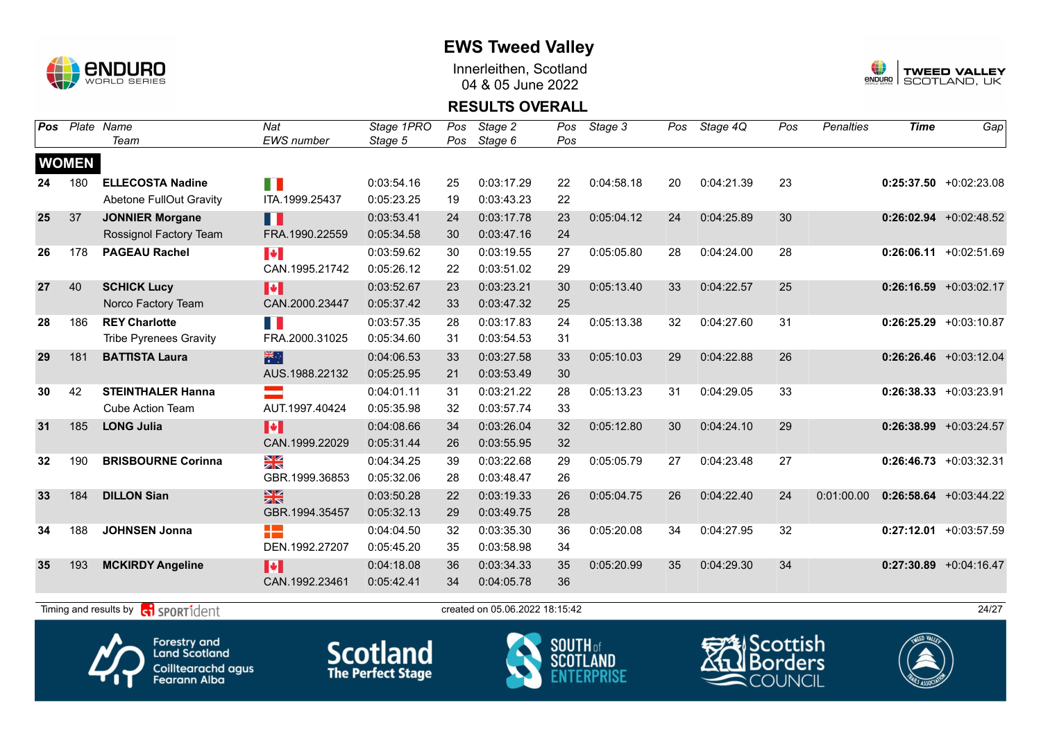

Innerleithen, Scotland 04 & 05 June 2022



#### **RESULTS OVERALL**

| <b>Pos</b> |              | Plate Name                                | Nat                   | Stage 1PRO | Pos | Stage 2                        | Pos | Stage 3    | Pos | Stage 4Q   | Pos | <b>Penalties</b> | <b>Time</b> | Gap                       |
|------------|--------------|-------------------------------------------|-----------------------|------------|-----|--------------------------------|-----|------------|-----|------------|-----|------------------|-------------|---------------------------|
|            |              | Team                                      | EWS number            | Stage 5    | Pos | Stage 6                        | Pos |            |     |            |     |                  |             |                           |
|            | <b>WOMEN</b> |                                           |                       |            |     |                                |     |            |     |            |     |                  |             |                           |
| 24         | 180          | <b>ELLECOSTA Nadine</b>                   | E.                    | 0:03:54.16 | 25  | 0:03:17.29                     | 22  | 0:04:58.18 | 20  | 0:04:21.39 | 23  |                  |             | $0:25:37.50 + 0:02:23.08$ |
|            |              | <b>Abetone FullOut Gravity</b>            | ITA.1999.25437        | 0:05:23.25 | 19  | 0:03:43.23                     | 22  |            |     |            |     |                  |             |                           |
| 25         | 37           | <b>JONNIER Morgane</b>                    | n                     | 0:03:53.41 | 24  | 0:03:17.78                     | 23  | 0:05:04.12 | 24  | 0:04:25.89 | 30  |                  |             | $0:26:02.94$ +0:02:48.52  |
|            |              | Rossignol Factory Team                    | FRA.1990.22559        | 0:05:34.58 | 30  | 0:03:47.16                     | 24  |            |     |            |     |                  |             |                           |
| 26         | 178          | <b>PAGEAU Rachel</b>                      | $\blacktriangleright$ | 0:03:59.62 | 30  | 0:03:19.55                     | 27  | 0:05:05.80 | 28  | 0:04:24.00 | 28  |                  |             | $0:26:06.11 + 0:02:51.69$ |
|            |              |                                           | CAN.1995.21742        | 0:05:26.12 | 22  | 0:03:51.02                     | 29  |            |     |            |     |                  |             |                           |
| 27         | 40           | <b>SCHICK Lucy</b>                        | H                     | 0:03:52.67 | 23  | 0:03:23.21                     | 30  | 0:05:13.40 | 33  | 0:04:22.57 | 25  |                  |             | $0:26:16.59$ +0:03:02.17  |
|            |              | Norco Factory Team                        | CAN.2000.23447        | 0:05:37.42 | 33  | 0:03:47.32                     | 25  |            |     |            |     |                  |             |                           |
| 28         | 186          | <b>REY Charlotte</b>                      |                       | 0:03:57.35 | 28  | 0:03:17.83                     | 24  | 0:05:13.38 | 32  | 0:04:27.60 | 31  |                  |             | $0:26:25.29 + 0:03:10.87$ |
|            |              | <b>Tribe Pyrenees Gravity</b>             | FRA.2000.31025        | 0:05:34.60 | 31  | 0:03:54.53                     | 31  |            |     |            |     |                  |             |                           |
| 29         | 181          | <b>BATTISTA Laura</b>                     | 米                     | 0:04:06.53 | 33  | 0:03:27.58                     | 33  | 0:05:10.03 | 29  | 0:04:22.88 | 26  |                  |             | $0:26:26.46$ +0:03:12.04  |
|            |              |                                           | AUS.1988.22132        | 0:05:25.95 | 21  | 0:03:53.49                     | 30  |            |     |            |     |                  |             |                           |
| 30         | 42           | <b>STEINTHALER Hanna</b>                  |                       | 0:04:01.11 | 31  | 0:03:21.22                     | 28  | 0:05:13.23 | 31  | 0:04:29.05 | 33  |                  |             | $0:26:38.33 + 0:03:23.91$ |
|            |              | <b>Cube Action Team</b>                   | AUT.1997.40424        | 0:05:35.98 | 32  | 0:03:57.74                     | 33  |            |     |            |     |                  |             |                           |
| 31         | 185          | <b>LONG Julia</b>                         | H                     | 0:04:08.66 | 34  | 0:03:26.04                     | 32  | 0:05:12.80 | 30  | 0:04:24.10 | 29  |                  |             | $0:26:38.99 + 0:03:24.57$ |
|            |              |                                           | CAN.1999.22029        | 0:05:31.44 | 26  | 0:03:55.95                     | 32  |            |     |            |     |                  |             |                           |
| 32         | 190          | <b>BRISBOURNE Corinna</b>                 | N<br>X                | 0:04:34.25 | 39  | 0:03:22.68                     | 29  | 0:05:05.79 | 27  | 0:04:23.48 | 27  |                  |             | $0:26:46.73$ +0:03:32.31  |
|            |              |                                           | GBR.1999.36853        | 0:05:32.06 | 28  | 0:03:48.47                     | 26  |            |     |            |     |                  |             |                           |
| 33         | 184          | <b>DILLON Sian</b>                        | $\frac{N}{N}$         | 0:03:50.28 | 22  | 0:03:19.33                     | 26  | 0:05:04.75 | 26  | 0:04:22.40 | 24  | 0:01:00.00       |             | $0:26:58.64$ +0:03:44.22  |
|            |              |                                           | GBR.1994.35457        | 0:05:32.13 | 29  | 0:03:49.75                     | 28  |            |     |            |     |                  |             |                           |
| 34         | 188          | <b>JOHNSEN Jonna</b>                      | 22                    | 0:04:04.50 | 32  | 0:03:35.30                     | 36  | 0:05:20.08 | 34  | 0:04:27.95 | 32  |                  |             | $0:27:12.01 + 0:03:57.59$ |
|            |              |                                           | DEN.1992.27207        | 0:05:45.20 | 35  | 0:03:58.98                     | 34  |            |     |            |     |                  |             |                           |
| 35         | 193          | <b>MCKIRDY Angeline</b>                   | M                     | 0:04:18.08 | 36  | 0:03:34.33                     | 35  | 0:05:20.99 | 35  | 0:04:29.30 | 34  |                  |             | $0:27:30.89$ +0:04:16.47  |
|            |              |                                           | CAN.1992.23461        | 0:05:42.41 | 34  | 0:04:05.78                     | 36  |            |     |            |     |                  |             |                           |
|            |              | Timing and results by <b>G</b> SPORT1dent |                       |            |     | created on 05.06.2022 18:15:42 |     |            |     |            |     |                  |             | 24/27                     |
|            |              |                                           |                       |            |     |                                |     |            |     |            |     |                  |             |                           |







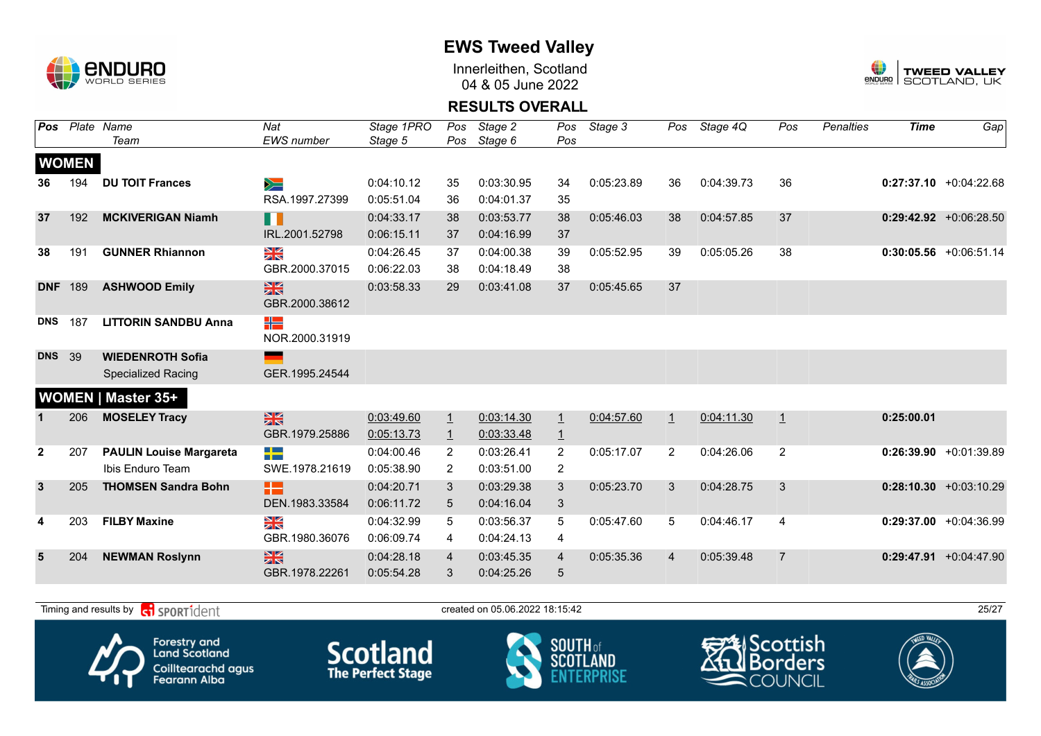

Innerleithen, Scotland 04 & 05 June 2022



### **RESULTS OVERALL**

| Pos          |              | Plate Name                     | Nat                       | Stage 1PRO | Pos            | Stage 2    | Pos            | Stage 3    | Pos            | Stage 4Q   | Pos            | <b>Penalties</b> | <b>Time</b> | Gap                       |
|--------------|--------------|--------------------------------|---------------------------|------------|----------------|------------|----------------|------------|----------------|------------|----------------|------------------|-------------|---------------------------|
|              |              | Team                           | <b>EWS</b> number         | Stage 5    | Pos            | Stage 6    | Pos            |            |                |            |                |                  |             |                           |
|              | <b>WOMEN</b> |                                |                           |            |                |            |                |            |                |            |                |                  |             |                           |
| 36           | 194          | <b>DU TOIT Frances</b>         | $\geqslant$               | 0:04:10.12 | 35             | 0:03:30.95 | 34             | 0:05:23.89 | 36             | 0:04:39.73 | 36             |                  |             | $0:27:37.10$ +0:04:22.68  |
|              |              |                                | RSA.1997.27399            | 0:05:51.04 | 36             | 0:04:01.37 | 35             |            |                |            |                |                  |             |                           |
| 37           | 192          | <b>MCKIVERIGAN Niamh</b>       | H                         | 0:04:33.17 | 38             | 0:03:53.77 | 38             | 0:05:46.03 | 38             | 0:04:57.85 | 37             |                  |             | $0:29:42.92 + 0:06:28.50$ |
|              |              |                                | IRL.2001.52798            | 0:06:15.11 | 37             | 0:04:16.99 | 37             |            |                |            |                |                  |             |                           |
| 38           | 191          | <b>GUNNER Rhiannon</b>         | $\frac{\Delta K}{\Delta}$ | 0:04:26.45 | 37             | 0:04:00.38 | 39             | 0:05:52.95 | 39             | 0:05:05.26 | 38             |                  |             | $0:30:05.56$ +0:06:51.14  |
|              |              |                                | GBR.2000.37015            | 0:06:22.03 | 38             | 0:04:18.49 | 38             |            |                |            |                |                  |             |                           |
| <b>DNF</b>   | 189          | <b>ASHWOOD Emily</b>           | 黑                         | 0:03:58.33 | 29             | 0:03:41.08 | 37             | 0:05:45.65 | 37             |            |                |                  |             |                           |
|              |              |                                | GBR.2000.38612            |            |                |            |                |            |                |            |                |                  |             |                           |
| <b>DNS</b>   | 187          | <b>LITTORIN SANDBU Anna</b>    | ╬                         |            |                |            |                |            |                |            |                |                  |             |                           |
|              |              |                                | NOR.2000.31919            |            |                |            |                |            |                |            |                |                  |             |                           |
| <b>DNS</b>   | 39           | <b>WIEDENROTH Sofia</b>        |                           |            |                |            |                |            |                |            |                |                  |             |                           |
|              |              | <b>Specialized Racing</b>      | GER.1995.24544            |            |                |            |                |            |                |            |                |                  |             |                           |
|              |              | <b>WOMEN   Master 35+</b>      |                           |            |                |            |                |            |                |            |                |                  |             |                           |
| 1            | 206          | <b>MOSELEY Tracy</b>           | $\frac{N}{N}$             | 0:03:49.60 | $\overline{1}$ | 0:03:14.30 | $\perp$        | 0:04:57.60 | $\perp$        | 0:04:11.30 | $\overline{1}$ |                  | 0:25:00.01  |                           |
|              |              |                                | GBR.1979.25886            | 0:05:13.73 | $\overline{1}$ | 0:03:33.48 | $\overline{1}$ |            |                |            |                |                  |             |                           |
| $\mathbf{2}$ | 207          | <b>PAULIN Louise Margareta</b> | -13                       | 0:04:00.46 | $\overline{2}$ | 0:03:26.41 | 2              | 0:05:17.07 | $\overline{2}$ | 0:04:26.06 | 2              |                  |             | $0:26:39.90 +0:01:39.89$  |
|              |              | Ibis Enduro Team               | SWE.1978.21619            | 0:05:38.90 | $\overline{2}$ | 0:03:51.00 | 2              |            |                |            |                |                  |             |                           |
| $\mathbf{3}$ | 205          | <b>THOMSEN Sandra Bohn</b>     | 12                        | 0:04:20.71 | 3              | 0:03:29.38 | 3              | 0:05:23.70 | 3              | 0:04:28.75 | 3              |                  |             | $0:28:10.30 + 0:03:10.29$ |
|              |              |                                | DEN.1983.33584            | 0:06:11.72 | 5              | 0:04:16.04 | 3              |            |                |            |                |                  |             |                           |
| 4            | 203          | <b>FILBY Maxine</b>            | XK<br>X                   | 0:04:32.99 | 5              | 0:03:56.37 | 5              | 0:05:47.60 | 5              | 0:04:46.17 | $\overline{4}$ |                  |             | $0:29:37.00 +0:04:36.99$  |
|              |              |                                | GBR.1980.36076            | 0:06:09.74 | 4              | 0:04:24.13 | 4              |            |                |            |                |                  |             |                           |
| 5            | 204          | <b>NEWMAN Roslynn</b>          | $\frac{N}{N}$             | 0:04:28.18 | $\overline{4}$ | 0:03:45.35 | $\overline{4}$ | 0:05:35.36 | 4              | 0:05:39.48 | $\overline{7}$ |                  |             | $0:29:47.91 + 0:04:47.90$ |
|              |              |                                | GBR.1978.22261            | 0:05:54.28 | 3              | 0:04:25.26 | 5              |            |                |            |                |                  |             |                           |

Timing and results by  $\overline{c_1}$  SPORT1 $\overline{d}$  entropy created on 05.06.2022 18:15:42 25/27









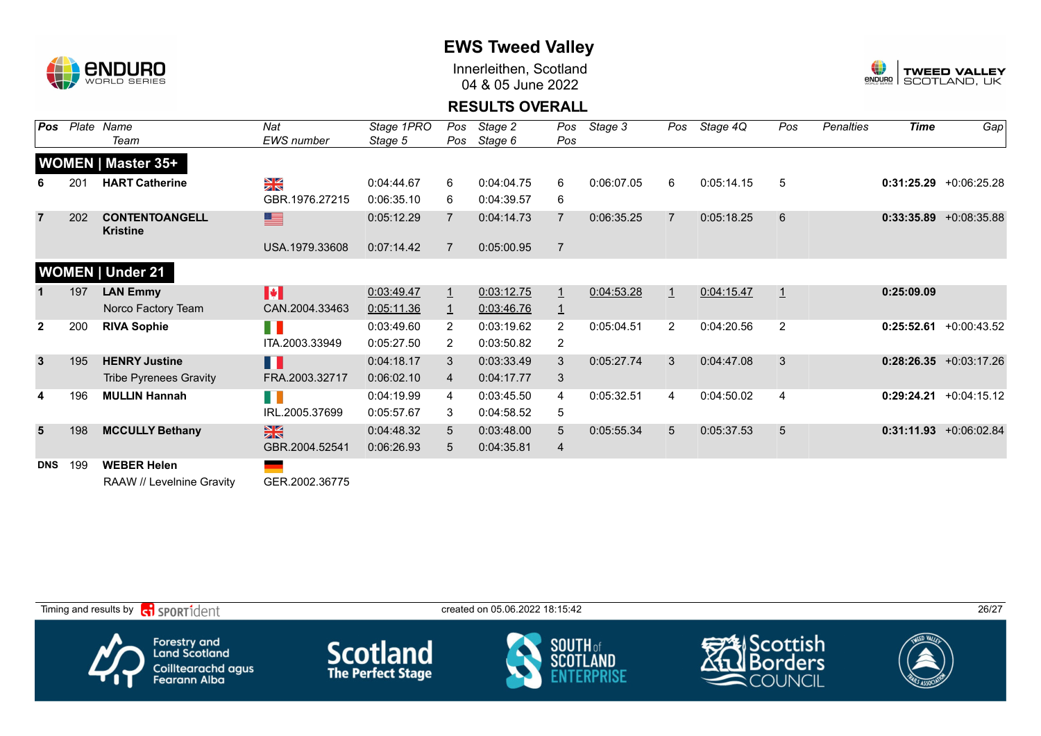

Innerleithen, Scotland 04 & 05 June 2022



### **RESULTS OVERALL**

| Pos          | Plate | Name<br>Team                                    | Nat<br>EWS number     | Stage 1PRO<br>Stage 5 | Pos<br>Pos     | Stage 2<br>Stage 6 | Pos<br>Pos     | Stage 3    | Pos            | Stage 4Q   | Pos            | <b>Penalties</b> | Time       | Gap                       |
|--------------|-------|-------------------------------------------------|-----------------------|-----------------------|----------------|--------------------|----------------|------------|----------------|------------|----------------|------------------|------------|---------------------------|
|              |       | <b>WOMEN   Master 35+</b>                       |                       |                       |                |                    |                |            |                |            |                |                  |            |                           |
|              | 201   | <b>HART Catherine</b>                           | ≥k                    | 0:04:44.67            | 6              | 0:04:04.75         | 6              | 0:06:07.05 | 6              | 0:05:14.15 | 5              |                  | 0:31:25.29 | +0:06:25.28               |
|              |       |                                                 | GBR.1976.27215        | 0:06:35.10            | 6              | 0:04:39.57         | 6              |            |                |            |                |                  |            |                           |
| 7            | 202   | <b>CONTENTOANGELL</b><br><b>Kristine</b>        | 토                     | 0:05:12.29            | $\overline{7}$ | 0:04:14.73         | $\overline{7}$ | 0:06:35.25 | 7              | 0:05:18.25 | 6              |                  |            | $0:33:35.89$ +0:08:35.88  |
|              |       |                                                 | USA.1979.33608        | 0:07:14.42            | $\overline{7}$ | 0:05:00.95         | $\overline{7}$ |            |                |            |                |                  |            |                           |
|              |       | <b>WOMEN   Under 21</b>                         |                       |                       |                |                    |                |            |                |            |                |                  |            |                           |
|              | 197   | <b>LAN Emmy</b>                                 | $\blacktriangleright$ | 0:03:49.47            | $\perp$        | 0:03:12.75         | $\overline{1}$ | 0:04:53.28 | $\mathbf{1}$   | 0:04:15.47 | $\mathbf{1}$   |                  | 0:25:09.09 |                           |
|              |       | Norco Factory Team                              | CAN.2004.33463        | 0:05:11.36            | $\overline{1}$ | 0:03:46.76         | $\overline{1}$ |            |                |            |                |                  |            |                           |
| $\mathbf{2}$ | 200   | <b>RIVA Sophie</b>                              | FI I                  | 0:03:49.60            | $\overline{2}$ | 0:03:19.62         | 2              | 0:05:04.51 | $\overline{2}$ | 0:04:20.56 | 2              |                  | 0:25:52.61 | +0:00:43.52               |
|              |       |                                                 | ITA.2003.33949        | 0:05:27.50            | 2              | 0:03:50.82         | 2              |            |                |            |                |                  |            |                           |
| 3            | 195   | <b>HENRY Justine</b>                            | H                     | 0:04:18.17            | 3              | 0:03:33.49         | 3              | 0:05:27.74 | 3              | 0:04:47.08 | 3              |                  |            | $0:28:26.35 + 0:03:17.26$ |
|              |       | <b>Tribe Pyrenees Gravity</b>                   | FRA.2003.32717        | 0:06:02.10            | $\overline{4}$ | 0:04:17.77         | 3              |            |                |            |                |                  |            |                           |
| 4            | 196   | <b>MULLIN Hannah</b>                            | M.                    | 0:04:19.99            | 4              | 0:03:45.50         | 4              | 0:05:32.51 | 4              | 0:04:50.02 | $\overline{4}$ |                  | 0:29:24.21 | $+0:04:15.12$             |
|              |       |                                                 | IRL.2005.37699        | 0:05:57.67            | 3              | 0:04:58.52         | 5              |            |                |            |                |                  |            |                           |
| 5            | 198   | <b>MCCULLY Bethany</b>                          | $\frac{N}{N}$         | 0:04:48.32            | $5^{\circ}$    | 0:03:48.00         | 5              | 0:05:55.34 | 5              | 0:05:37.53 | 5              |                  |            | $0:31:11.93 + 0:06:02.84$ |
|              |       |                                                 | GBR.2004.52541        | 0:06:26.93            | 5              | 0:04:35.81         | 4              |            |                |            |                |                  |            |                           |
| <b>DNS</b>   | 199   | <b>WEBER Helen</b><br>RAAW // Levelnine Gravity | GER.2002.36775        |                       |                |                    |                |            |                |            |                |                  |            |                           |